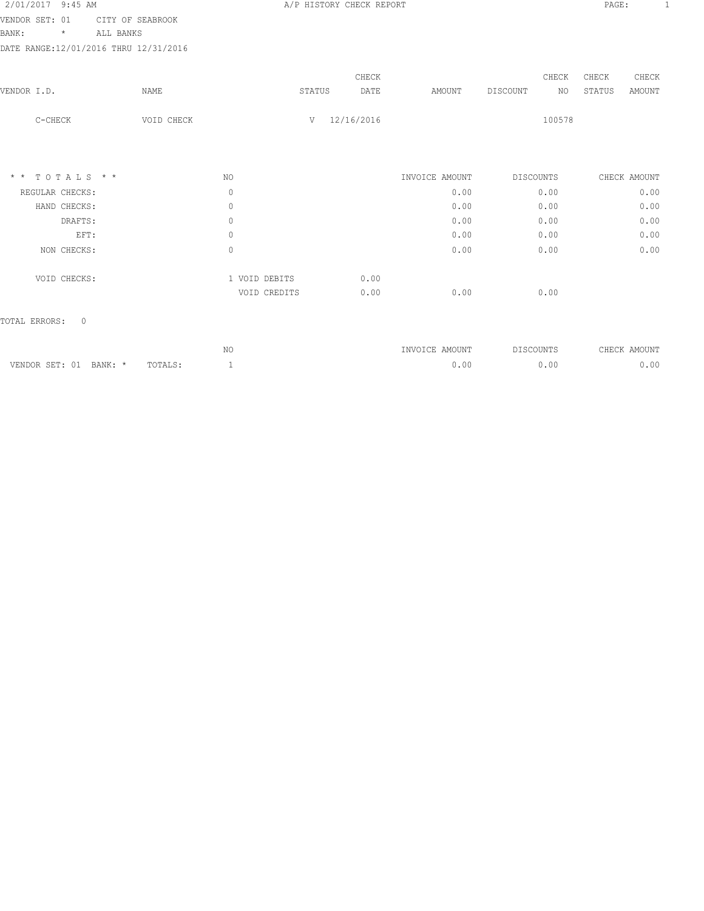|            |                                                                                                     | A/P HISTORY CHECK REPORT |                                         |                             |        |          | PAGE:                                                                    | -1              |                                 |
|------------|-----------------------------------------------------------------------------------------------------|--------------------------|-----------------------------------------|-----------------------------|--------|----------|--------------------------------------------------------------------------|-----------------|---------------------------------|
|            |                                                                                                     |                          |                                         |                             |        |          |                                                                          |                 |                                 |
|            |                                                                                                     |                          |                                         |                             |        |          |                                                                          |                 |                                 |
|            |                                                                                                     |                          |                                         |                             |        |          |                                                                          |                 |                                 |
|            |                                                                                                     |                          |                                         |                             |        |          |                                                                          |                 |                                 |
|            |                                                                                                     |                          |                                         |                             |        |          |                                                                          |                 |                                 |
|            |                                                                                                     |                          |                                         |                             |        |          |                                                                          |                 |                                 |
| VOID CHECK |                                                                                                     | V                        |                                         |                             |        | 100578   |                                                                          |                 |                                 |
|            |                                                                                                     |                          |                                         |                             |        |          |                                                                          |                 |                                 |
|            | NO.                                                                                                 |                          |                                         | INVOICE AMOUNT              |        |          |                                                                          |                 |                                 |
|            | $\circ$                                                                                             |                          |                                         | 0.00                        |        |          |                                                                          | 0.00            |                                 |
|            | $\circ$                                                                                             |                          |                                         | 0.00                        |        |          |                                                                          | 0.00            |                                 |
|            | $\circ$                                                                                             |                          |                                         | 0.00                        |        |          |                                                                          | 0.00            |                                 |
|            | $\circ$                                                                                             |                          |                                         | 0.00                        |        |          |                                                                          | 0.00            |                                 |
|            | $\circ$                                                                                             |                          |                                         | 0.00                        |        |          |                                                                          | 0.00            |                                 |
|            |                                                                                                     |                          | 0.00                                    |                             |        |          |                                                                          |                 |                                 |
|            |                                                                                                     |                          | 0.00                                    | 0.00                        |        |          |                                                                          |                 |                                 |
|            | CITY OF SEABROOK<br>ALL BANKS<br>DATE RANGE: 12/01/2016 THRU 12/31/2016<br>NAME<br>$*$ * TOTALS * * |                          | STATUS<br>1 VOID DEBITS<br>VOID CREDITS | CHECK<br>DATE<br>12/16/2016 | AMOUNT | DISCOUNT | CHECK<br>NO<br>DISCOUNTS<br>0.00<br>0.00<br>0.00<br>0.00<br>0.00<br>0.00 | CHECK<br>STATUS | CHECK<br>AMOUNT<br>CHECK AMOUNT |

|                                |                 | 37 <sub>c</sub><br>7 L T | <b>INVOICE</b><br>AMOUNT | DISCOUNTS | <b>CHECK</b><br>AMOUNT |
|--------------------------------|-----------------|--------------------------|--------------------------|-----------|------------------------|
| CPT.<br>BANK:<br><b>VENDOP</b> | TOTA<br>IVIALO. |                          | 00                       | .00       | 0 <sup>0</sup>         |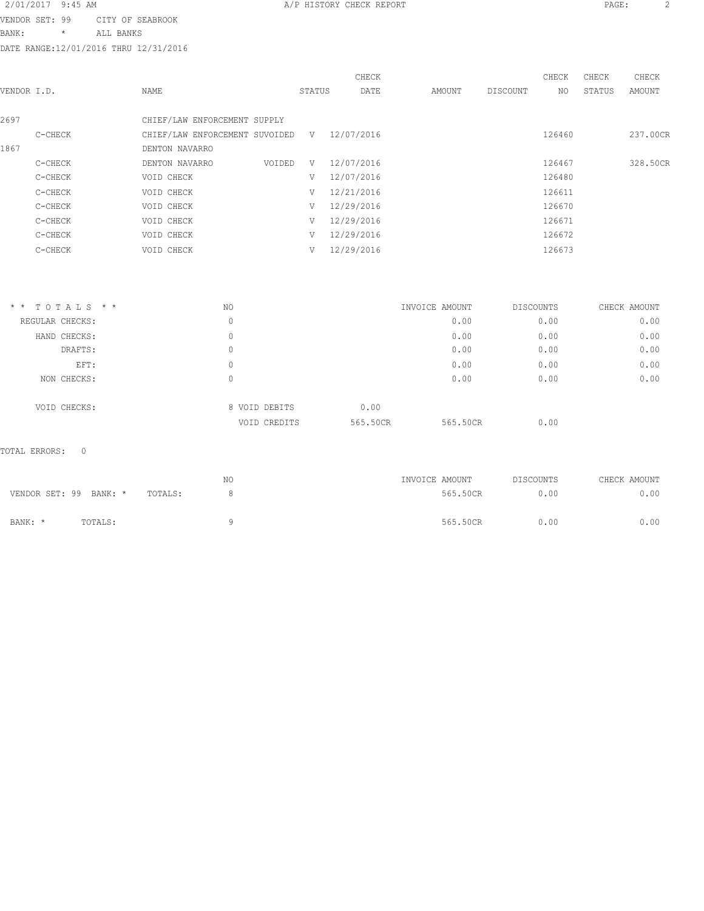VENDOR SET: 99 CITY OF SEABROOK

BANK: \* ALL BANKS

DATE RANGE:12/01/2016 THRU 12/31/2016

|             |         |                                |        | CHECK      |        |          | CHECK  | CHECK  | CHECK    |
|-------------|---------|--------------------------------|--------|------------|--------|----------|--------|--------|----------|
| VENDOR I.D. |         | NAME                           | STATUS | DATE       | AMOUNT | DISCOUNT | NO.    | STATUS | AMOUNT   |
| 2697        |         | CHIEF/LAW ENFORCEMENT SUPPLY   |        |            |        |          |        |        |          |
|             | C-CHECK | CHIEF/LAW ENFORCEMENT SUVOIDED | V      | 12/07/2016 |        |          | 126460 |        | 237.00CR |
| 1867        |         | DENTON NAVARRO                 |        |            |        |          |        |        |          |
|             | C-CHECK | VOIDED<br>DENTON NAVARRO       | V      | 12/07/2016 |        |          | 126467 |        | 328.50CR |
|             | C-CHECK | VOID CHECK                     | V      | 12/07/2016 |        |          | 126480 |        |          |
|             | C-CHECK | VOID CHECK                     | V      | 12/21/2016 |        |          | 126611 |        |          |
|             | C-CHECK | VOID CHECK                     | V      | 12/29/2016 |        |          | 126670 |        |          |
|             | C-CHECK | VOID CHECK                     | V      | 12/29/2016 |        |          | 126671 |        |          |
|             | C-CHECK | VOID CHECK                     | V      | 12/29/2016 |        |          | 126672 |        |          |
|             | C-CHECK | VOID CHECK                     | V      | 12/29/2016 |        |          | 126673 |        |          |
|             |         |                                |        |            |        |          |        |        |          |

| $*$ * TOTALS * * | NO |               | INVOICE AMOUNT |          | DISCOUNTS | CHECK AMOUNT |
|------------------|----|---------------|----------------|----------|-----------|--------------|
| REGULAR CHECKS:  | 0  |               |                | 0.00     | 0.00      | 0.00         |
| HAND CHECKS:     | 0  |               |                | 0.00     | 0.00      | 0.00         |
| DRAFTS:          | 0  |               |                | 0.00     | 0.00      | 0.00         |
| EFT:             | 0  |               |                | 0.00     | 0.00      | 0.00         |
| NON CHECKS:      | 0  |               |                | 0.00     | 0.00      | 0.00         |
| VOID CHECKS:     |    | 8 VOID DEBITS | 0.00           |          |           |              |
|                  |    | VOID CREDITS  | 565.50CR       | 565.50CR | 0.00      |              |

# TOTAL ERRORS: 0

|                        |         |         | ΝO | INVOICE AMOUNT | DISCOUNTS | CHECK AMOUNT |
|------------------------|---------|---------|----|----------------|-----------|--------------|
| VENDOR SET: 99 BANK: * |         | TOTALS: |    | 565.50CR       | 0.00      | 0.00         |
|                        |         |         |    |                |           |              |
| BANK: *                | TOTALS: |         |    | 565.50CR       | 0.00      | 0.00         |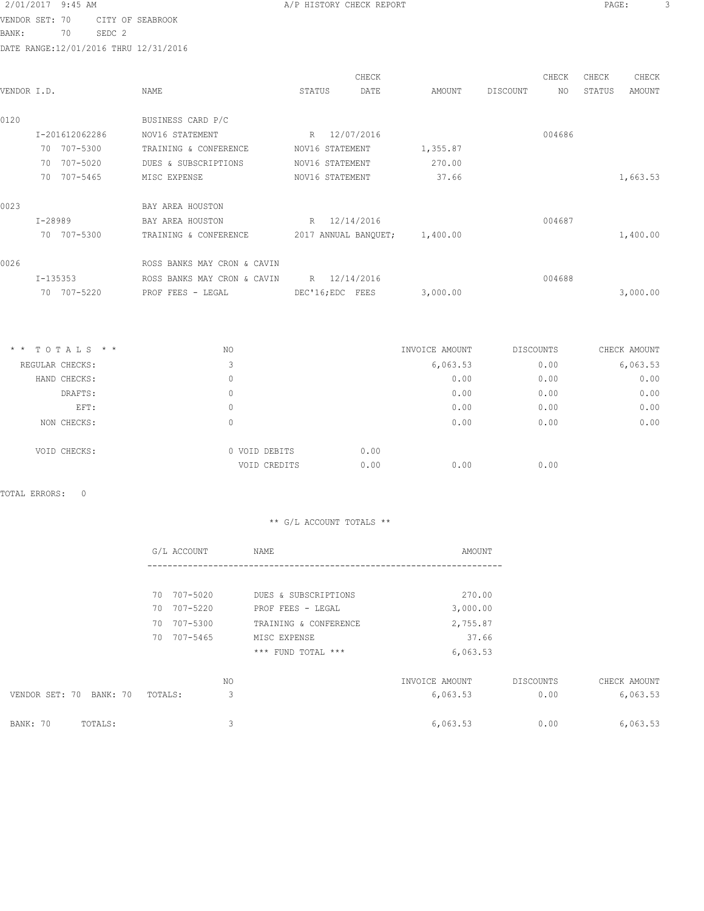2/01/2017 9:45 AM **A/P HISTORY CHECK REPORT PAGE:** 3 VENDOR SET: 70 CITY OF SEABROOK

BANK: 70 SEDC 2

DATE RANGE:12/01/2016 THRU 12/31/2016

| VENDOR I.D. |                  | <b>NAME</b>                 | STATUS           | CHECK<br>DATE                 | AMOUNT         | DISCOUNT  | CHECK<br>NO. | CHECK<br>STATUS | CHECK<br>AMOUNT |
|-------------|------------------|-----------------------------|------------------|-------------------------------|----------------|-----------|--------------|-----------------|-----------------|
| 0120        |                  | BUSINESS CARD P/C           |                  |                               |                |           |              |                 |                 |
|             | I-201612062286   | NOV16 STATEMENT             | R 12/07/2016     |                               |                |           | 004686       |                 |                 |
|             | 70 707-5300      | TRAINING & CONFERENCE       | NOV16 STATEMENT  |                               | 1,355.87       |           |              |                 |                 |
|             | 70 707-5020      | DUES & SUBSCRIPTIONS        | NOV16 STATEMENT  |                               | 270.00         |           |              |                 |                 |
|             | 70 707-5465      | MISC EXPENSE                | NOV16 STATEMENT  |                               | 37.66          |           |              |                 | 1,663.53        |
| 0023        |                  | BAY AREA HOUSTON            |                  |                               |                |           |              |                 |                 |
|             | $I - 28989$      | BAY AREA HOUSTON            | R 12/14/2016     |                               |                |           | 004687       |                 |                 |
|             | 70 707-5300      | TRAINING & CONFERENCE       |                  | 2017 ANNUAL BANQUET; 1,400.00 |                |           |              |                 | 1,400.00        |
| 0026        |                  | ROSS BANKS MAY CRON & CAVIN |                  |                               |                |           |              |                 |                 |
|             | $I-135353$       | ROSS BANKS MAY CRON & CAVIN | R 12/14/2016     |                               |                |           | 004688       |                 |                 |
|             | 70 707-5220      | PROF FEES - LEGAL           | DEC'16; EDC FEES |                               | 3,000.00       |           |              |                 | 3,000.00        |
|             |                  |                             |                  |                               |                |           |              |                 |                 |
|             | $*$ * TOTALS * * | NO.                         |                  |                               | INVOICE AMOUNT | DISCOUNTS |              |                 | CHECK AMOUNT    |
|             | REGULAR CHECKS:  | 3                           |                  |                               | 6,063.53       |           | 0.00         |                 | 6,063.53        |
|             | HAND CHECKS:     | $\mathbf{0}$                |                  |                               | 0.00           |           | 0.00         |                 | 0.00            |
|             | DRAFTS:          | $\mathbb O$                 |                  |                               | 0.00           |           | 0.00         |                 | 0.00            |

| DRAFTS:      |                  |      | 0.00 | 0.00 | 0.00 |
|--------------|------------------|------|------|------|------|
| EFT:         | 0                |      | 0.00 | 0.00 | 0.00 |
| NON CHECKS:  | $\left( \right)$ |      | 0.00 | 0.00 | 0.00 |
| VOID CHECKS: | 0 VOID DEBITS    | 0.00 |      |      |      |
|              | VOID CREDITS     | 0.00 | 0.00 | 0.00 |      |

TOTAL ERRORS: 0

|                         | G/L ACCOUNT    | NAME                  | AMOUNT         |           |              |
|-------------------------|----------------|-----------------------|----------------|-----------|--------------|
|                         |                |                       |                |           |              |
|                         | 707-5020<br>70 | DUES & SUBSCRIPTIONS  | 270.00         |           |              |
|                         | 70 707-5220    | PROF FEES - LEGAL     | 3,000.00       |           |              |
|                         | 707-5300<br>70 | TRAINING & CONFERENCE | 2,755.87       |           |              |
|                         | 707-5465<br>70 | MISC EXPENSE          | 37.66          |           |              |
|                         |                | *** FUND TOTAL ***    | 6,063.53       |           |              |
|                         | NO.            |                       | INVOICE AMOUNT | DISCOUNTS | CHECK AMOUNT |
| VENDOR SET: 70 BANK: 70 | 3<br>TOTALS:   |                       | 6,063.53       | 0.00      | 6,063.53     |
| BANK: 70<br>TOTALS:     | 3              |                       | 6,063.53       | 0.00      | 6,063.53     |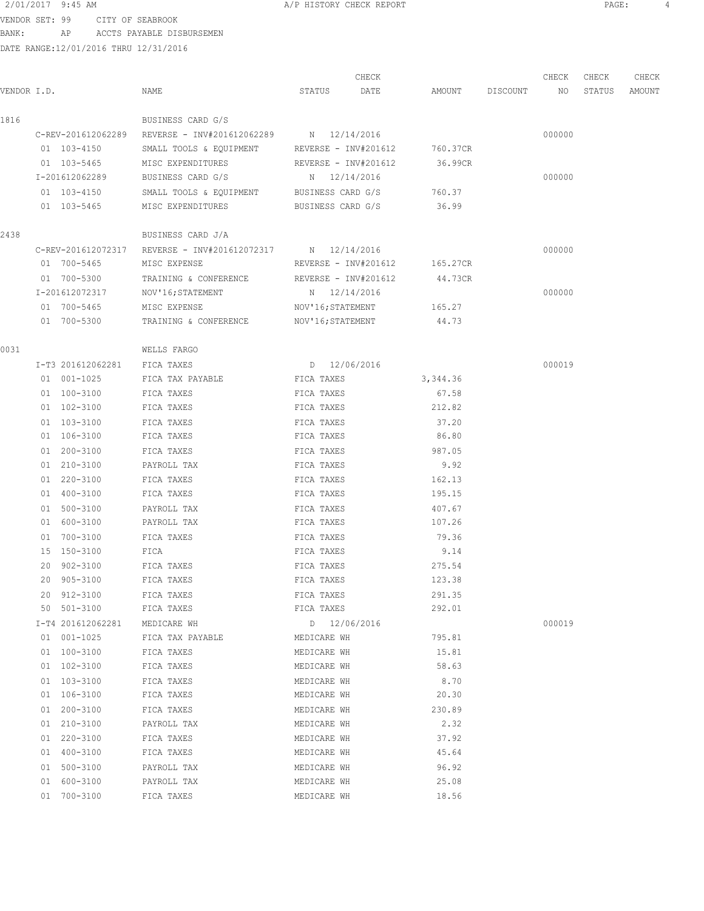VENDOR SET: 99 CITY OF SEABROOK BANK: AP ACCTS PAYABLE DISBURSEMEN

DATE RANGE:12/01/2016 THRU 12/31/2016

| VENDOR I.D. |                   | NAME                                                       | STATUS               | CHECK<br>DATE | AMOUNT   | DISCOUNT | CHECK<br>NO | CHECK<br>STATUS | CHECK<br>AMOUNT |
|-------------|-------------------|------------------------------------------------------------|----------------------|---------------|----------|----------|-------------|-----------------|-----------------|
| 1816        |                   | BUSINESS CARD G/S                                          |                      |               |          |          |             |                 |                 |
|             |                   | C-REV-201612062289 REVERSE - INV#201612062289 N 12/14/2016 |                      |               |          |          | 000000      |                 |                 |
|             | 01 103-4150       | SMALL TOOLS & EQUIPMENT REVERSE - INV#201612               |                      |               | 760.37CR |          |             |                 |                 |
|             | 01 103-5465       | MISC EXPENDITURES                                          | REVERSE - INV#201612 |               | 36.99CR  |          |             |                 |                 |
|             | I-201612062289    | BUSINESS CARD G/S                                          | N 12/14/2016         |               |          |          | 000000      |                 |                 |
|             | 01 103-4150       | SMALL TOOLS & EQUIPMENT BUSINESS CARD G/S                  |                      |               | 760.37   |          |             |                 |                 |
|             | 01 103-5465       | MISC EXPENDITURES                                          | BUSINESS CARD G/S    |               | 36.99    |          |             |                 |                 |
| 2438        |                   | BUSINESS CARD J/A                                          |                      |               |          |          |             |                 |                 |
|             |                   | C-REV-201612072317 REVERSE - INV#201612072317 N 12/14/2016 |                      |               |          |          | 000000      |                 |                 |
|             | 01 700-5465       | MISC EXPENSE                                               | REVERSE - INV#201612 |               | 165.27CR |          |             |                 |                 |
|             | 01 700-5300       | TRAINING & CONFERENCE                                      | REVERSE - INV#201612 |               | 44.73CR  |          |             |                 |                 |
|             | I-201612072317    | NOV'16; STATEMENT                                          | N 12/14/2016         |               |          |          | 000000      |                 |                 |
|             | 01 700-5465       | MISC EXPENSE                                               | NOV'16; STATEMENT    |               | 165.27   |          |             |                 |                 |
|             | 01 700-5300       | TRAINING & CONFERENCE                                      | NOV'16;STATEMENT     |               | 44.73    |          |             |                 |                 |
| 0031        |                   | WELLS FARGO                                                |                      |               |          |          |             |                 |                 |
|             | I-T3 201612062281 | FICA TAXES                                                 | D 12/06/2016         |               |          |          | 000019      |                 |                 |
|             | 01 001-1025       | FICA TAX PAYABLE                                           | FICA TAXES           |               | 3,344.36 |          |             |                 |                 |
|             | 01 100-3100       | FICA TAXES                                                 | FICA TAXES           |               | 67.58    |          |             |                 |                 |
|             | 01 102-3100       | FICA TAXES                                                 | FICA TAXES           |               | 212.82   |          |             |                 |                 |
|             | 01 103-3100       | FICA TAXES                                                 | FICA TAXES           |               | 37.20    |          |             |                 |                 |
|             | 01 106-3100       | FICA TAXES                                                 | FICA TAXES           |               | 86.80    |          |             |                 |                 |
|             | 01 200-3100       | FICA TAXES                                                 | FICA TAXES           |               | 987.05   |          |             |                 |                 |
|             | 01 210-3100       | PAYROLL TAX                                                | FICA TAXES           |               | 9.92     |          |             |                 |                 |
|             | 01 220-3100       | FICA TAXES                                                 | FICA TAXES           |               | 162.13   |          |             |                 |                 |
|             | 01 400-3100       | FICA TAXES                                                 | FICA TAXES           |               | 195.15   |          |             |                 |                 |
|             | 01 500-3100       | PAYROLL TAX                                                | FICA TAXES           |               | 407.67   |          |             |                 |                 |
|             | 01 600-3100       | PAYROLL TAX                                                | FICA TAXES           |               | 107.26   |          |             |                 |                 |
|             | 01 700-3100       | FICA TAXES                                                 | FICA TAXES           |               | 79.36    |          |             |                 |                 |
|             | 15 150-3100       | FICA                                                       | FICA TAXES           |               | 9.14     |          |             |                 |                 |
|             | 20 902-3100       | FICA TAXES                                                 | FICA TAXES           |               | 275.54   |          |             |                 |                 |
|             | 20 905-3100       | FICA TAXES                                                 | FICA TAXES           |               | 123.38   |          |             |                 |                 |
|             | 20 912-3100       | FICA TAXES                                                 | FICA TAXES           |               | 291.35   |          |             |                 |                 |
|             | 50 501-3100       | FICA TAXES                                                 | FICA TAXES           |               | 292.01   |          |             |                 |                 |
|             | I-T4 201612062281 | MEDICARE WH                                                | D 12/06/2016         |               |          |          | 000019      |                 |                 |
|             | 01 001-1025       | FICA TAX PAYABLE                                           | MEDICARE WH          |               | 795.81   |          |             |                 |                 |
|             | 01 100-3100       | FICA TAXES                                                 | MEDICARE WH          |               | 15.81    |          |             |                 |                 |
|             | 01 102-3100       | FICA TAXES                                                 | MEDICARE WH          |               | 58.63    |          |             |                 |                 |
|             |                   |                                                            |                      |               |          |          |             |                 |                 |

 01 103-3100 FICA TAXES MEDICARE WH 8.70 01 106-3100 FICA TAXES MEDICARE WH 20.30

01 200-3100 FICA TAXES MEDICARE WH 230.89 01 210-3100 PAYROLL TAX MEDICARE WH 2.32 01 220-3100 FICA TAXES MEDICARE WH 37.92 01 400-3100 FICA TAXES MEDICARE WH 45.64 01 500-3100 PAYROLL TAX MEDICARE WH 96.92 01 600-3100 PAYROLL TAX MEDICARE WH 25.08 01 700-3100 FICA TAXES MEDICARE WH 18.56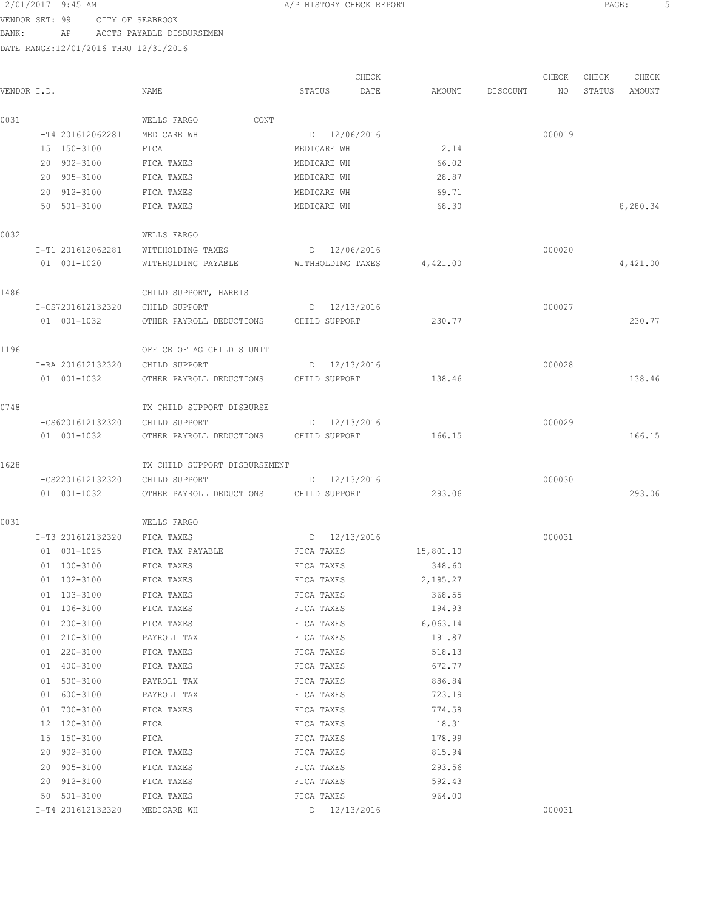VENDOR SET: 99 CITY OF SEABROOK BANK: AP ACCTS PAYABLE DISBURSEMEN

|             |                                  |                                        |                            | CHECK          |          | CHECK  | CHECK  | CHECK    |
|-------------|----------------------------------|----------------------------------------|----------------------------|----------------|----------|--------|--------|----------|
| VENDOR I.D. |                                  | NAME                                   | STATUS                     | DATE<br>AMOUNT | DISCOUNT | NO     | STATUS | AMOUNT   |
| 0031        |                                  | CONT<br>WELLS FARGO                    |                            |                |          |        |        |          |
|             | I-T4 201612062281                | MEDICARE WH                            | D 12/06/2016               |                |          | 000019 |        |          |
|             | 15 150-3100                      | FICA                                   | MEDICARE WH                | 2.14           |          |        |        |          |
|             | 20 902-3100                      | FICA TAXES                             | MEDICARE WH                | 66.02          |          |        |        |          |
|             | 20 905-3100                      | FICA TAXES                             | MEDICARE WH                | 28.87          |          |        |        |          |
|             | 20 912-3100                      | FICA TAXES                             | MEDICARE WH                | 69.71          |          |        |        |          |
|             | 50 501-3100                      | FICA TAXES                             | MEDICARE WH                | 68.30          |          |        |        | 8,280.34 |
| 0032        |                                  | WELLS FARGO                            |                            |                |          |        |        |          |
|             | I-T1 201612062281                | WITHHOLDING TAXES                      | D 12/06/2016               |                |          | 000020 |        |          |
|             | 01 001-1020                      | WITHHOLDING PAYABLE WITHHOLDING TAXES  |                            | 4,421.00       |          |        |        | 4,421.00 |
| 1486        |                                  | CHILD SUPPORT, HARRIS                  |                            |                |          |        |        |          |
|             | I-CS7201612132320                | CHILD SUPPORT                          | $D = 12/13/2016$           |                |          | 000027 |        |          |
|             | 01 001-1032                      | OTHER PAYROLL DEDUCTIONS CHILD SUPPORT |                            | 230.77         |          |        |        | 230.77   |
| 1196        |                                  | OFFICE OF AG CHILD S UNIT              |                            |                |          |        |        |          |
|             | I-RA 201612132320                | CHILD SUPPORT                          | D 12/13/2016               |                |          | 000028 |        |          |
|             | 01 001-1032                      | OTHER PAYROLL DEDUCTIONS CHILD SUPPORT |                            | 138.46         |          |        |        | 138.46   |
| 0748        |                                  | TX CHILD SUPPORT DISBURSE              |                            |                |          |        |        |          |
|             | I-CS6201612132320                | CHILD SUPPORT                          | D 12/13/2016               |                |          | 000029 |        |          |
|             | 01 001-1032                      | OTHER PAYROLL DEDUCTIONS CHILD SUPPORT |                            | 166.15         |          |        |        | 166.15   |
| 1628        |                                  | TX CHILD SUPPORT DISBURSEMENT          |                            |                |          |        |        |          |
|             | I-CS2201612132320                | CHILD SUPPORT                          | D 12/13/2016               |                |          | 000030 |        |          |
|             | 01 001-1032                      | OTHER PAYROLL DEDUCTIONS CHILD SUPPORT |                            | 293.06         |          |        |        | 293.06   |
| 0031        |                                  | WELLS FARGO                            |                            |                |          |        |        |          |
|             | I-T3 201612132320                | FICA TAXES                             | D 12/13/2016               |                |          | 000031 |        |          |
|             | 01 001-1025                      | FICA TAX PAYABLE                       | FICA TAXES                 | 15,801.10      |          |        |        |          |
|             | 01 100-3100                      | FICA TAXES                             | FICA TAXES                 | 348.60         |          |        |        |          |
|             | 01 102-3100                      | FICA TAXES                             | FICA TAXES                 | 2,195.27       |          |        |        |          |
|             | 01 103-3100                      | FICA TAXES                             | FICA TAXES                 | 368.55         |          |        |        |          |
|             | 01 106-3100                      | FICA TAXES                             | FICA TAXES                 | 194.93         |          |        |        |          |
|             | 01 200-3100                      | FICA TAXES                             | FICA TAXES                 | 6,063.14       |          |        |        |          |
|             | 01 210-3100                      | PAYROLL TAX                            | FICA TAXES                 | 191.87         |          |        |        |          |
|             | 01 220-3100                      | FICA TAXES                             | FICA TAXES                 | 518.13         |          |        |        |          |
|             | 01 400-3100                      | FICA TAXES                             | FICA TAXES                 | 672.77         |          |        |        |          |
|             | 01 500-3100                      | PAYROLL TAX                            | FICA TAXES                 | 886.84         |          |        |        |          |
|             | 01 600-3100                      | PAYROLL TAX                            | FICA TAXES                 | 723.19         |          |        |        |          |
|             | 01 700-3100                      | FICA TAXES                             | FICA TAXES                 | 774.58         |          |        |        |          |
|             | 12 120-3100                      | FICA                                   | FICA TAXES                 | 18.31          |          |        |        |          |
|             | 15 150-3100                      | FICA                                   | FICA TAXES                 | 178.99         |          |        |        |          |
|             | 20 902-3100                      | FICA TAXES                             | FICA TAXES                 | 815.94         |          |        |        |          |
|             | 20 905-3100                      | FICA TAXES                             | FICA TAXES                 | 293.56         |          |        |        |          |
|             | 20 912-3100                      | FICA TAXES                             | FICA TAXES                 | 592.43         |          |        |        |          |
|             | 50 501-3100<br>I-T4 201612132320 | FICA TAXES<br>MEDICARE WH              | FICA TAXES<br>D 12/13/2016 | 964.00         |          | 000031 |        |          |
|             |                                  |                                        |                            |                |          |        |        |          |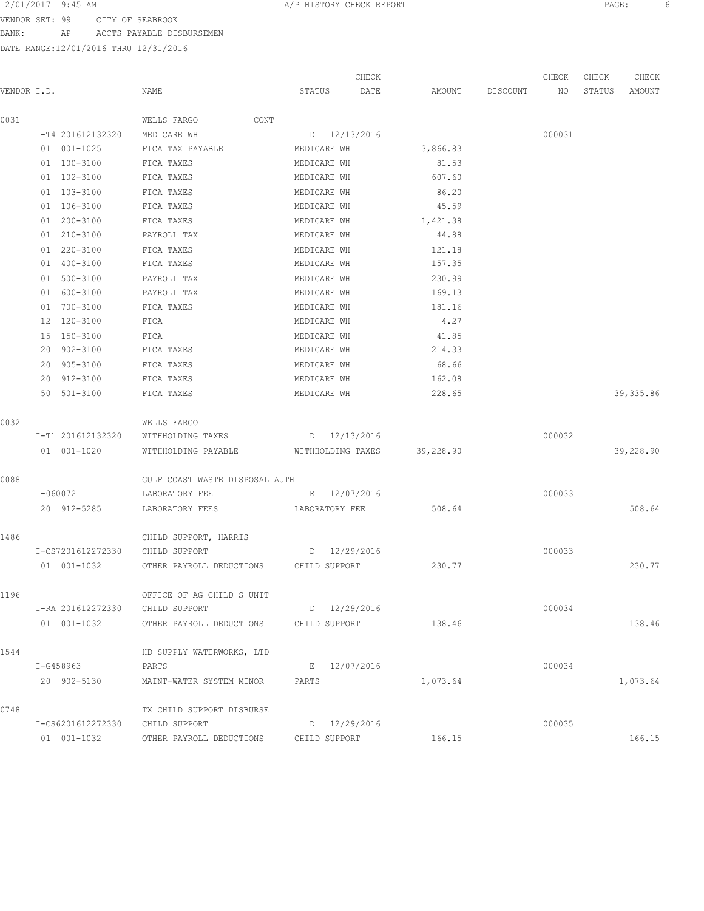VENDOR SET: 99 CITY OF SEABROOK BANK: AP ACCTS PAYABLE DISBURSEMEN

|             |                                 |                                        | CHECK             |           |          | CHECK  | CHECK  | CHECK      |
|-------------|---------------------------------|----------------------------------------|-------------------|-----------|----------|--------|--------|------------|
| VENDOR I.D. |                                 | NAME                                   | STATUS<br>DATE    | AMOUNT    | DISCOUNT | NO     | STATUS | AMOUNT     |
| 0031        |                                 | WELLS FARGO<br>CONT                    |                   |           |          |        |        |            |
|             | I-T4 201612132320               | MEDICARE WH                            | D 12/13/2016      |           |          | 000031 |        |            |
|             | 01 001-1025                     | FICA TAX PAYABLE                       | MEDICARE WH       | 3,866.83  |          |        |        |            |
|             | 01 100-3100                     | FICA TAXES                             | MEDICARE WH       | 81.53     |          |        |        |            |
|             | 01 102-3100                     | FICA TAXES                             | MEDICARE WH       | 607.60    |          |        |        |            |
|             | 01 103-3100                     | FICA TAXES                             | MEDICARE WH       | 86.20     |          |        |        |            |
|             | 01 106-3100                     | FICA TAXES                             | MEDICARE WH       | 45.59     |          |        |        |            |
|             | 01 200-3100                     | FICA TAXES                             | MEDICARE WH       | 1,421.38  |          |        |        |            |
|             | $01 210 - 3100$                 | PAYROLL TAX                            | MEDICARE WH       | 44.88     |          |        |        |            |
|             | 01 220-3100                     | FICA TAXES                             | MEDICARE WH       | 121.18    |          |        |        |            |
|             | 01 400-3100                     | FICA TAXES                             | MEDICARE WH       | 157.35    |          |        |        |            |
|             | 01 500-3100                     | PAYROLL TAX                            | MEDICARE WH       | 230.99    |          |        |        |            |
|             | 01 600-3100                     | PAYROLL TAX                            | MEDICARE WH       | 169.13    |          |        |        |            |
|             | 01 700-3100                     | FICA TAXES                             | MEDICARE WH       | 181.16    |          |        |        |            |
|             | 12 120-3100                     | FICA                                   | MEDICARE WH       | 4.27      |          |        |        |            |
|             | 15 150-3100                     | FICA                                   | MEDICARE WH       | 41.85     |          |        |        |            |
|             | 20 902-3100                     | FICA TAXES                             | MEDICARE WH       | 214.33    |          |        |        |            |
|             | 20 905-3100                     | FICA TAXES                             | MEDICARE WH       | 68.66     |          |        |        |            |
|             | 20 912-3100                     | FICA TAXES                             | MEDICARE WH       | 162.08    |          |        |        |            |
|             | 50 501-3100                     |                                        |                   |           |          |        |        |            |
|             |                                 | FICA TAXES                             | MEDICARE WH       | 228.65    |          |        |        | 39, 335.86 |
| 0032        |                                 | WELLS FARGO                            |                   |           |          |        |        |            |
|             | I-T1 201612132320               | WITHHOLDING TAXES                      | D 12/13/2016      |           |          | 000032 |        |            |
|             | 01 001-1020                     | WITHHOLDING PAYABLE                    | WITHHOLDING TAXES | 39,228.90 |          |        |        | 39,228.90  |
| 0088        |                                 | GULF COAST WASTE DISPOSAL AUTH         |                   |           |          |        |        |            |
|             | I-060072                        | LABORATORY FEE                         | E 12/07/2016      |           |          | 000033 |        |            |
|             | 20 912-5285                     | LABORATORY FEES                        | LABORATORY FEE    | 508.64    |          |        |        | 508.64     |
| 1486        |                                 | CHILD SUPPORT, HARRIS                  |                   |           |          |        |        |            |
|             | I-CS7201612272330               | CHILD SUPPORT                          | D 12/29/2016      |           |          | 000033 |        |            |
|             | 01 001-1032                     | OTHER PAYROLL DEDUCTIONS               | CHILD SUPPORT     | 230.77    |          |        |        | 230.77     |
|             |                                 |                                        |                   |           |          |        |        |            |
| 1196        |                                 | OFFICE OF AG CHILD S UNIT              |                   |           |          |        |        |            |
|             | I-RA 201612272330               | CHILD SUPPORT                          | D 12/29/2016      |           |          | 000034 |        |            |
|             | 01 001-1032                     | OTHER PAYROLL DEDUCTIONS CHILD SUPPORT |                   | 138.46    |          |        |        | 138.46     |
| 1544        |                                 | HD SUPPLY WATERWORKS, LTD              |                   |           |          |        |        |            |
|             | I-G458963                       | PARTS                                  | E 12/07/2016      |           |          | 000034 |        |            |
|             | 20 902-5130                     | MAINT-WATER SYSTEM MINOR               | PARTS             | 1,073.64  |          |        |        | 1,073.64   |
| 0748        |                                 | TX CHILD SUPPORT DISBURSE              |                   |           |          |        |        |            |
|             | I-CS6201612272330 CHILD SUPPORT |                                        | D 12/29/2016      |           |          | 000035 |        |            |
|             |                                 |                                        |                   |           |          |        |        |            |
|             | 01 001-1032                     | OTHER PAYROLL DEDUCTIONS               | CHILD SUPPORT     | 166.15    |          |        |        | 166.15     |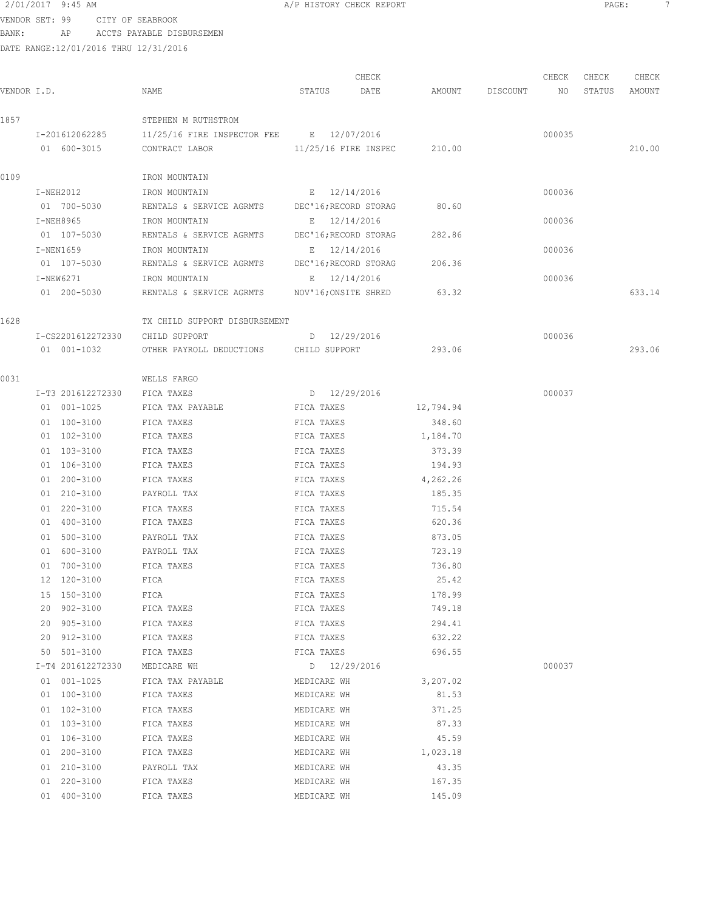VENDOR SET: 99 CITY OF SEABROOK BANK: AP ACCTS PAYABLE DISBURSEMEN

|             |                   |                                                |              | CHECK                       |           |                    | CHECK  | CHECK  | CHECK  |
|-------------|-------------------|------------------------------------------------|--------------|-----------------------------|-----------|--------------------|--------|--------|--------|
| VENDOR I.D. |                   | NAME                                           | STATUS       | DATE                        |           | AMOUNT DISCOUNT NO |        | STATUS | AMOUNT |
| 1857        |                   | STEPHEN M RUTHSTROM                            |              |                             |           |                    |        |        |        |
|             | I-201612062285    | 11/25/16 FIRE INSPECTOR FEE B 12/07/2016       |              |                             |           |                    | 000035 |        |        |
|             | 01 600-3015       | CONTRACT LABOR                                 |              | 11/25/16 FIRE INSPEC 210.00 |           |                    |        |        | 210.00 |
| 0109        |                   | IRON MOUNTAIN                                  |              |                             |           |                    |        |        |        |
|             | $I-NEH2012$       | IRON MOUNTAIN                                  | E 12/14/2016 |                             |           |                    | 000036 |        |        |
|             | 01 700-5030       | RENTALS & SERVICE AGRMTS DEC'16; RECORD STORAG |              |                             | 80.60     |                    |        |        |        |
|             | I-NEH8965         | IRON MOUNTAIN                                  |              | E 12/14/2016                |           |                    | 000036 |        |        |
|             | 01 107-5030       | RENTALS & SERVICE AGRMTS                       |              | DEC'16;RECORD STORAG        | 282.86    |                    |        |        |        |
|             | I-NEN1659         | IRON MOUNTAIN                                  |              | E 12/14/2016                |           |                    | 000036 |        |        |
|             | 01 107-5030       | RENTALS & SERVICE AGRMTS                       |              | DEC'16;RECORD STORAG        | 206.36    |                    |        |        |        |
|             | I-NEW6271         | IRON MOUNTAIN                                  |              | E 12/14/2016                |           |                    | 000036 |        |        |
|             | 01 200-5030       | RENTALS & SERVICE AGRMTS NOV'16;ONSITE SHRED   |              |                             | 63.32     |                    |        |        | 633.14 |
| 1628        |                   | TX CHILD SUPPORT DISBURSEMENT                  |              |                             |           |                    |        |        |        |
|             | I-CS2201612272330 | CHILD SUPPORT                                  |              | D 12/29/2016                |           |                    | 000036 |        |        |
|             | 01 001-1032       | OTHER PAYROLL DEDUCTIONS CHILD SUPPORT         |              |                             | 293.06    |                    |        |        | 293.06 |
| 0031        |                   | WELLS FARGO                                    |              |                             |           |                    |        |        |        |
|             | I-T3 201612272330 | FICA TAXES                                     |              | D 12/29/2016                |           |                    | 000037 |        |        |
|             | 01 001-1025       | FICA TAX PAYABLE                               | FICA TAXES   |                             | 12,794.94 |                    |        |        |        |
|             | 01 100-3100       | FICA TAXES                                     | FICA TAXES   |                             | 348.60    |                    |        |        |        |
|             | 01 102-3100       | FICA TAXES                                     | FICA TAXES   |                             | 1,184.70  |                    |        |        |        |
|             | 01 103-3100       | FICA TAXES                                     | FICA TAXES   |                             | 373.39    |                    |        |        |        |
|             | 01 106-3100       | FICA TAXES                                     | FICA TAXES   |                             | 194.93    |                    |        |        |        |
|             | 01 200-3100       | FICA TAXES                                     | FICA TAXES   |                             | 4,262.26  |                    |        |        |        |
|             | 01 210-3100       | PAYROLL TAX                                    | FICA TAXES   |                             | 185.35    |                    |        |        |        |
|             | 01 220-3100       | FICA TAXES                                     | FICA TAXES   |                             | 715.54    |                    |        |        |        |
|             | 01 400-3100       | FICA TAXES                                     | FICA TAXES   |                             | 620.36    |                    |        |        |        |
|             | 01 500-3100       | PAYROLL TAX                                    | FICA TAXES   |                             | 873.05    |                    |        |        |        |
|             | 01 600-3100       | PAYROLL TAX                                    | FICA TAXES   |                             | 723.19    |                    |        |        |        |
|             | 01 700-3100       | FICA TAXES                                     | FICA TAXES   |                             | 736.80    |                    |        |        |        |
|             | 12 120-3100       | FICA                                           | FICA TAXES   |                             | 25.42     |                    |        |        |        |
|             | 15 150-3100       | FICA                                           | FICA TAXES   |                             | 178.99    |                    |        |        |        |
|             | 20 902-3100       | FICA TAXES                                     | FICA TAXES   |                             | 749.18    |                    |        |        |        |
|             | 20 905-3100       | FICA TAXES                                     | FICA TAXES   |                             | 294.41    |                    |        |        |        |
|             | 20 912-3100       | FICA TAXES                                     | FICA TAXES   |                             | 632.22    |                    |        |        |        |
|             | 50 501-3100       | FICA TAXES                                     | FICA TAXES   |                             | 696.55    |                    |        |        |        |
|             | I-T4 201612272330 | MEDICARE WH                                    |              | D 12/29/2016                |           |                    | 000037 |        |        |
|             | 01 001-1025       | FICA TAX PAYABLE                               | MEDICARE WH  |                             | 3,207.02  |                    |        |        |        |
|             | 01 100-3100       | FICA TAXES                                     | MEDICARE WH  |                             | 81.53     |                    |        |        |        |
|             | 01 102-3100       | FICA TAXES                                     | MEDICARE WH  |                             | 371.25    |                    |        |        |        |
|             | 01 103-3100       | FICA TAXES                                     | MEDICARE WH  |                             | 87.33     |                    |        |        |        |
|             | 01 106-3100       | FICA TAXES                                     | MEDICARE WH  |                             | 45.59     |                    |        |        |        |
|             | 01 200-3100       | FICA TAXES                                     | MEDICARE WH  |                             | 1,023.18  |                    |        |        |        |
|             | 01 210-3100       | PAYROLL TAX                                    | MEDICARE WH  |                             | 43.35     |                    |        |        |        |
|             | 01 220-3100       | FICA TAXES                                     | MEDICARE WH  |                             | 167.35    |                    |        |        |        |
|             | 01 400-3100       | FICA TAXES                                     | MEDICARE WH  |                             | 145.09    |                    |        |        |        |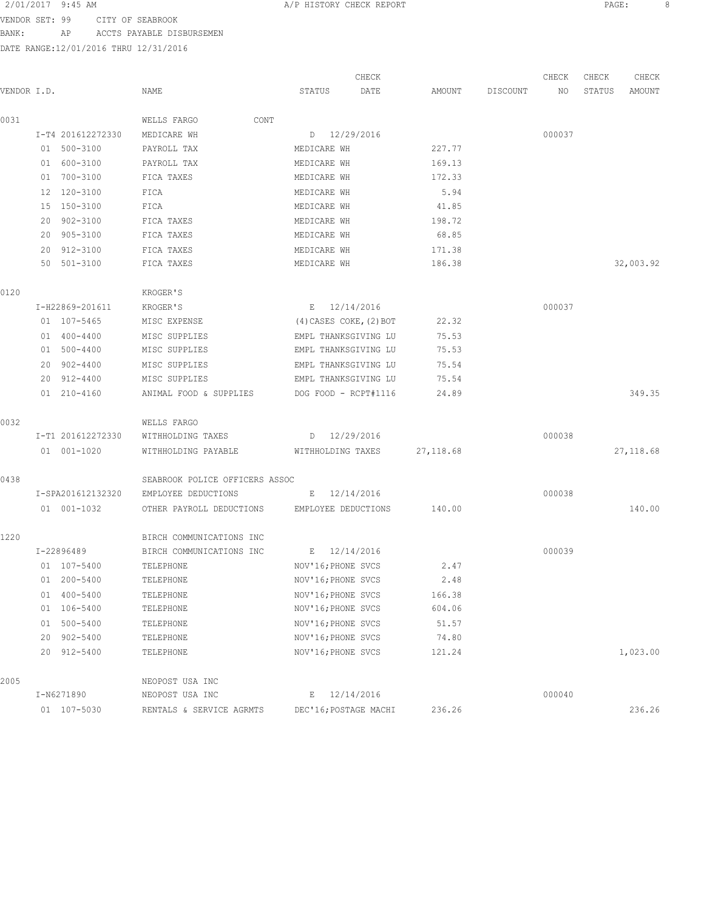VENDOR SET: 99 CITY OF SEABROOK

BANK: AP ACCTS PAYABLE DISBURSEMEN

DATE RANGE:12/01/2016 THRU 12/31/2016

 CHECK CHECK CHECK CHECK VENDOR I.D. NAME STATUS DATE AMOUNT DISCOUNT NO STATUS AMOUNT 0031 WELLS FARGO CONT I-T4 201612272330 MEDICARE WH D 12/29/2016 000037 01 500-3100 PAYROLL TAX MEDICARE WH 227.77 01 600-3100 PAYROLL TAX MEDICARE WH 169.13 01 700-3100 FICA TAXES MEDICARE WH 172.33 12 120-3100 FICA MEDICARE WH 5.94 15 150-3100 FICA MEDICARE WH 41.85 20 902-3100 FICA TAXES MEDICARE WH 198.72 20 905-3100 FICA TAXES MEDICARE WH 68.85 20 912-3100 FICA TAXES MEDICARE WH 171.38 50 501-3100 FICA TAXES MEDICARE WH 186.38 32,003.92 0120 KROGER'S I-H22869-201611 KROGER'S E 12/14/2016 000037 01 107-5465 MISC EXPENSE (4) CASES COKE, (2) BOT 22.32 01 400-4400 MISC SUPPLIES EMPL THANKSGIVING LU 75.53 01 500-4400 MISC SUPPLIES EMPL THANKSGIVING LU 75.53 20 902-4400 MISC SUPPLIES EMPL THANKSGIVING LU 75.54 20 912-4400 MISC SUPPLIES EMPL THANKSGIVING LU 75.54 01 210-4160 ANIMAL FOOD & SUPPLIES DOG FOOD - RCPT#1116 24.89 349.35 0032 WELLS FARGO I-T1 201612272330 WITHHOLDING TAXES D 12/29/2016 000038 01 001-1020 WITHHOLDING PAYABLE WITHHOLDING TAXES 27,118.68 27,118.68 0438 SEABROOK POLICE OFFICERS ASSOC I-SPA201612132320 EMPLOYEE DEDUCTIONS E 12/14/2016 000038 01 001-1032 OTHER PAYROLL DEDUCTIONS EMPLOYEE DEDUCTIONS 140.00 140.00 1220 BIRCH COMMUNICATIONS INC I-22896489 BIRCH COMMUNICATIONS INC E 12/14/2016 000039 01 107-5400 TELEPHONE NOV'16; PHONE SVCS 2.47 01 200-5400 TELEPHONE NOV'16; PHONE SVCS 2.48 01 400-5400 TELEPHONE 166.38 01 106-5400 TELEPHONE NOV'16; PHONE SVCS 604.06 01 500-5400 TELEPHONE NOV'16; PHONE SVCS 51.57 20 902-5400 TELEPHONE NOV'16;PHONE SVCS 74.80 20 912-5400 TELEPHONE NOV'16;PHONE SVCS 121.24 1,023.00 2005 NEOPOST USA INC I-N6271890 NEOPOST USA INC E 12/14/2016 000040 01 107-5030 RENTALS & SERVICE AGRMTS DEC'16;POSTAGE MACHI 236.26 236.26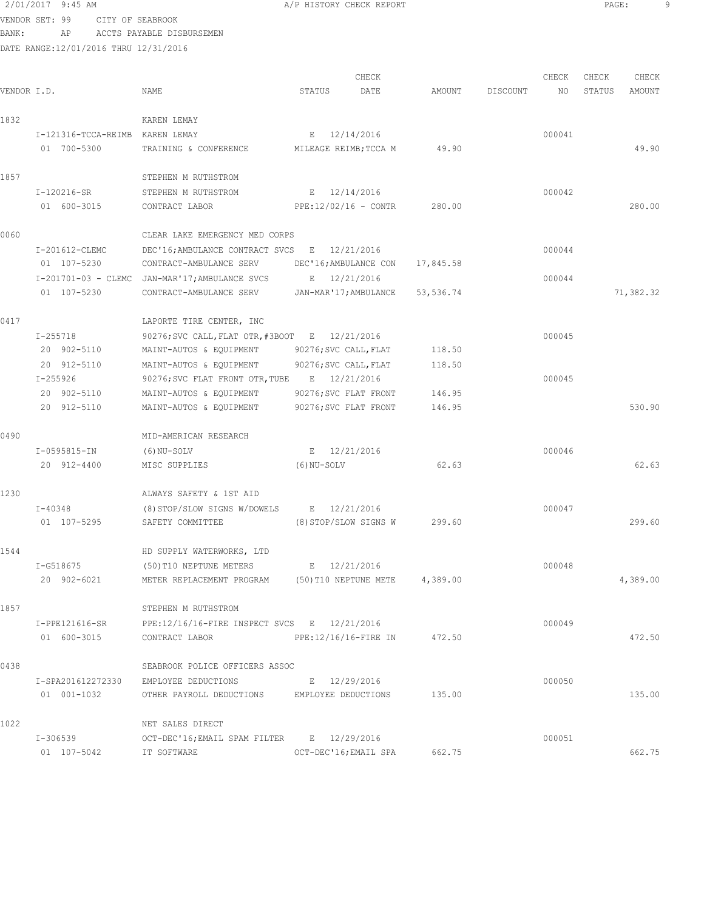VENDOR SET: 99 CITY OF SEABROOK BANK: AP ACCTS PAYABLE DISBURSEMEN

|             |                                 |                                                         |             | CHECK                            |           |          | CHECK  | CHECK  | CHECK     |
|-------------|---------------------------------|---------------------------------------------------------|-------------|----------------------------------|-----------|----------|--------|--------|-----------|
| VENDOR I.D. |                                 | NAME                                                    | STATUS      | DATE                             | AMOUNT    | DISCOUNT | NO     | STATUS | AMOUNT    |
| 1832        |                                 | KAREN LEMAY                                             |             |                                  |           |          |        |        |           |
|             | I-121316-TCCA-REIMB KAREN LEMAY |                                                         |             | E 12/14/2016                     |           |          | 000041 |        |           |
|             | 01 700-5300                     | TRAINING & CONFERENCE                                   |             | MILEAGE REIMB; TCCA M            | 49.90     |          |        |        | 49.90     |
| 1857        |                                 | STEPHEN M RUTHSTROM                                     |             |                                  |           |          |        |        |           |
|             | I-120216-SR                     | STEPHEN M RUTHSTROM                                     |             | E 12/14/2016                     |           |          | 000042 |        |           |
|             | 01 600-3015                     | CONTRACT LABOR                                          |             | $PPE:12/02/16 - CONF$            | 280.00    |          |        |        | 280.00    |
| 0060        |                                 | CLEAR LAKE EMERGENCY MED CORPS                          |             |                                  |           |          |        |        |           |
|             | I-201612-CLEMC                  | DEC'16; AMBULANCE CONTRACT SVCS E 12/21/2016            |             |                                  |           |          | 000044 |        |           |
|             | 01 107-5230                     | CONTRACT-AMBULANCE SERV                                 |             | DEC'16;AMBULANCE CON             | 17,845.58 |          |        |        |           |
|             |                                 | I-201701-03 - CLEMC JAN-MAR'17; AMBULANCE SVCS          |             | E 12/21/2016                     |           |          | 000044 |        |           |
|             | 01 107-5230                     | CONTRACT-AMBULANCE SERV                                 |             | JAN-MAR'17; AMBULANCE 53, 536.74 |           |          |        |        | 71,382.32 |
| 0417        |                                 | LAPORTE TIRE CENTER, INC                                |             |                                  |           |          |        |        |           |
|             | $I - 255718$                    | 90276; SVC CALL, FLAT OTR, #3BOOT E 12/21/2016          |             |                                  |           |          | 000045 |        |           |
|             | 20 902-5110                     | MAINT-AUTOS & EQUIPMENT                                 |             | 90276; SVC CALL, FLAT            | 118.50    |          |        |        |           |
|             | 20 912-5110                     | MAINT-AUTOS & EQUIPMENT                                 |             | 90276; SVC CALL, FLAT            | 118.50    |          |        |        |           |
|             | $I - 255926$                    | 90276; SVC FLAT FRONT OTR, TUBE E 12/21/2016            |             |                                  |           |          | 000045 |        |           |
|             | 20 902-5110                     | MAINT-AUTOS & EQUIPMENT                                 |             | 90276; SVC FLAT FRONT            | 146.95    |          |        |        |           |
|             | 20 912-5110                     | MAINT-AUTOS & EQUIPMENT                                 |             | 90276; SVC FLAT FRONT            | 146.95    |          |        |        | 530.90    |
| 0490        |                                 | MID-AMERICAN RESEARCH                                   |             |                                  |           |          |        |        |           |
|             | I-0595815-IN                    | (6) NU-SOLV                                             |             | E 12/21/2016                     |           |          | 000046 |        |           |
|             | 20 912-4400                     | MISC SUPPLIES                                           | (6) NU-SOLV |                                  | 62.63     |          |        |        | 62.63     |
| 1230        |                                 | ALWAYS SAFETY & 1ST AID                                 |             |                                  |           |          |        |        |           |
|             | I-40348                         | $(8)$ STOP/SLOW SIGNS W/DOWELS E 12/21/2016             |             |                                  |           |          | 000047 |        |           |
|             | 01 107-5295                     | SAFETY COMMITTEE                                        |             | (8) STOP/SLOW SIGNS W            | 299.60    |          |        |        | 299.60    |
| 1544        |                                 | HD SUPPLY WATERWORKS, LTD                               |             |                                  |           |          |        |        |           |
|             | I-G518675                       | (50)T10 NEPTUNE METERS                                  |             | E 12/21/2016                     |           |          | 000048 |        |           |
|             | 20 902-6021                     | METER REPLACEMENT PROGRAM (50)T10 NEPTUNE METE 4,389.00 |             |                                  |           |          |        |        | 4,389.00  |
| 1857        |                                 | STEPHEN M RUTHSTROM                                     |             |                                  |           |          |        |        |           |
|             | I-PPE121616-SR                  | PPE:12/16/16-FIRE INSPECT SVCS E 12/21/2016             |             |                                  |           |          | 000049 |        |           |
|             | 01 600-3015                     | CONTRACT LABOR                                          |             | PPE:12/16/16-FIRE IN 472.50      |           |          |        |        | 472.50    |
| 0438        |                                 | SEABROOK POLICE OFFICERS ASSOC                          |             |                                  |           |          |        |        |           |
|             |                                 | I-SPA201612272330 EMPLOYEE DEDUCTIONS                   |             | E 12/29/2016                     |           |          | 000050 |        |           |
|             | 01  001-1032                    | OTHER PAYROLL DEDUCTIONS EMPLOYEE DEDUCTIONS 135.00     |             |                                  |           |          |        |        | 135.00    |
| 1022        |                                 | NET SALES DIRECT                                        |             |                                  |           |          |        |        |           |
|             | I-306539                        | OCT-DEC'16; EMAIL SPAM FILTER B 12/29/2016              |             |                                  |           |          | 000051 |        |           |
|             | 01 107-5042                     | IT SOFTWARE                                             |             | OCT-DEC'16; EMAIL SPA            | 662.75    |          |        |        | 662.75    |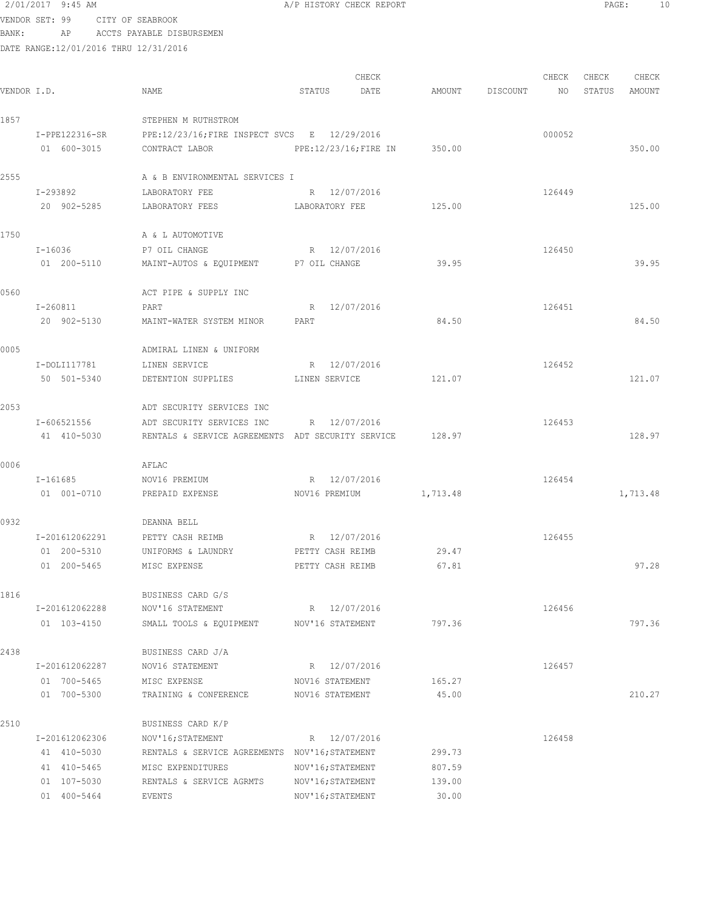# 2/01/2017 9:45 AM **A**/P HISTORY CHECK REPORT **PAGE:** 10 VENDOR SET: 99 CITY OF SEABROOK

BANK: AP ACCTS PAYABLE DISBURSEMEN

| VENDOR I.D. |                               | NAME                                                                           | STATUS                               | CHECK<br>DATE | AMOUNT         | DISCOUNT | CHECK<br>NO | CHECK<br>STATUS | CHECK<br>AMOUNT |
|-------------|-------------------------------|--------------------------------------------------------------------------------|--------------------------------------|---------------|----------------|----------|-------------|-----------------|-----------------|
| 1857        |                               | STEPHEN M RUTHSTROM                                                            |                                      |               |                |          |             |                 |                 |
|             | I-PPE122316-SR<br>01 600-3015 | PPE:12/23/16; FIRE INSPECT SVCS E 12/29/2016<br>CONTRACT LABOR                 | PPE:12/23/16; FIRE IN                |               | 350.00         |          | 000052      |                 | 350.00          |
| 2555        |                               | A & B ENVIRONMENTAL SERVICES I                                                 |                                      |               |                |          |             |                 |                 |
|             | I-293892<br>20 902-5285       | LABORATORY FEE<br>LABORATORY FEES                                              | R 12/07/2016<br>LABORATORY FEE       |               | 125.00         |          | 126449      |                 | 125.00          |
| 1750        |                               | A & L AUTOMOTIVE                                                               |                                      |               |                |          |             |                 |                 |
|             | I-16036<br>01 200-5110        | P7 OIL CHANGE<br>MAINT-AUTOS & EQUIPMENT P7 OIL CHANGE                         | R 12/07/2016                         |               | 39.95          |          | 126450      |                 | 39.95           |
| 0560        |                               | ACT PIPE & SUPPLY INC                                                          |                                      |               |                |          |             |                 |                 |
|             | I-260811<br>20 902-5130       | PART<br>MAINT-WATER SYSTEM MINOR                                               | R 12/07/2016<br>PART                 |               | 84.50          |          | 126451      |                 | 84.50           |
| 0005        |                               | ADMIRAL LINEN & UNIFORM                                                        |                                      |               |                |          |             |                 |                 |
|             | I-DOLI117781<br>50 501-5340   | LINEN SERVICE<br>DETENTION SUPPLIES                                            | R 12/07/2016<br>LINEN SERVICE        |               | 121.07         |          | 126452      |                 | 121.07          |
| 2053        |                               | ADT SECURITY SERVICES INC                                                      |                                      |               |                |          |             |                 |                 |
|             | I-606521556<br>41 410-5030    | ADT SECURITY SERVICES INC<br>RENTALS & SERVICE AGREEMENTS ADT SECURITY SERVICE | R 12/07/2016                         |               | 128.97         |          | 126453      |                 | 128.97          |
| 0006        |                               | AFLAC                                                                          |                                      |               |                |          |             |                 |                 |
|             | I-161685<br>01 001-0710       | NOV16 PREMIUM<br>PREPAID EXPENSE                                               | R 12/07/2016<br>NOV16 PREMIUM        |               | 1,713.48       |          | 126454      |                 | 1,713.48        |
| 0932        |                               | DEANNA BELL                                                                    |                                      |               |                |          |             |                 |                 |
|             | I-201612062291                | PETTY CASH REIMB                                                               | R 12/07/2016                         |               |                |          | 126455      |                 |                 |
|             | 01 200-5310<br>01 200-5465    | UNIFORMS & LAUNDRY<br>MISC EXPENSE                                             | PETTY CASH REIMB<br>PETTY CASH REIMB |               | 29.47<br>67.81 |          |             |                 | 97.28           |
|             |                               |                                                                                |                                      |               |                |          |             |                 |                 |
| 1816        |                               | BUSINESS CARD G/S                                                              |                                      |               |                |          |             |                 |                 |
|             | I-201612062288<br>01 103-4150 | NOV'16 STATEMENT<br>SMALL TOOLS & EQUIPMENT NOV'16 STATEMENT                   | R 12/07/2016                         |               | 797.36         |          | 126456      |                 | 797.36          |
| 2438        |                               | BUSINESS CARD J/A                                                              |                                      |               |                |          |             |                 |                 |
|             | I-201612062287                | NOV16 STATEMENT                                                                | R 12/07/2016                         |               |                |          | 126457      |                 |                 |
|             | 01 700-5465                   | MISC EXPENSE                                                                   | NOV16 STATEMENT                      |               | 165.27         |          |             |                 |                 |
|             | 01 700-5300                   | TRAINING & CONFERENCE                                                          | NOV16 STATEMENT                      |               | 45.00          |          |             |                 | 210.27          |
| 2510        |                               | BUSINESS CARD K/P                                                              |                                      |               |                |          |             |                 |                 |
|             | I-201612062306                | NOV'16; STATEMENT                                                              | R 12/07/2016                         |               |                |          | 126458      |                 |                 |
|             | 41 410-5030                   | RENTALS & SERVICE AGREEMENTS NOV'16; STATEMENT                                 |                                      |               | 299.73         |          |             |                 |                 |
|             | 41 410-5465                   | MISC EXPENDITURES                                                              | NOV'16; STATEMENT                    |               | 807.59         |          |             |                 |                 |
|             | 01 107-5030                   | RENTALS & SERVICE AGRMTS                                                       | NOV'16; STATEMENT                    |               | 139.00         |          |             |                 |                 |
|             | 01 400-5464                   | EVENTS                                                                         | NOV'16; STATEMENT                    |               | 30.00          |          |             |                 |                 |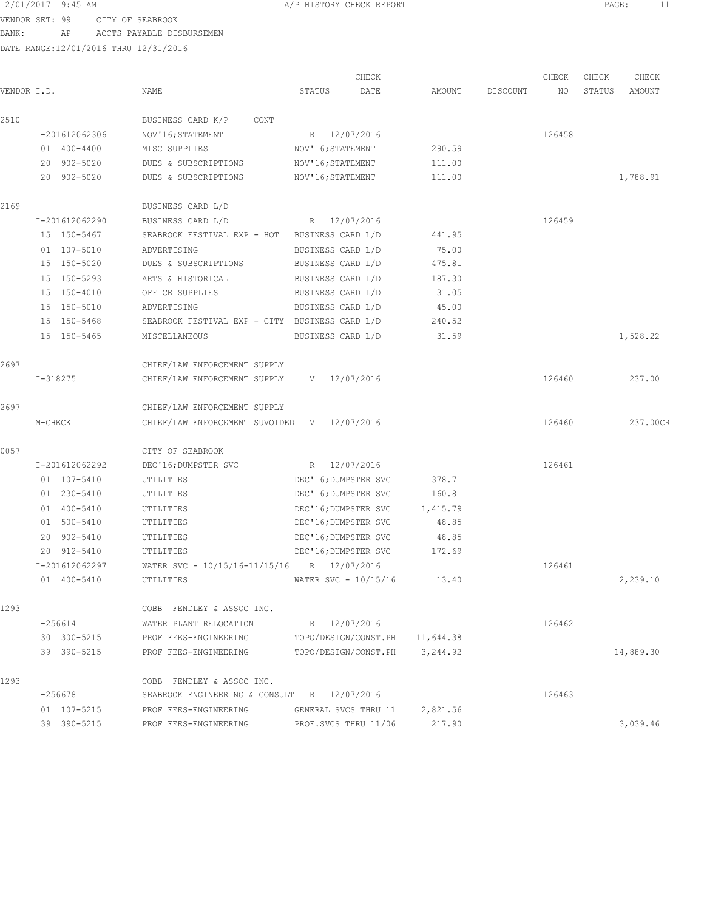VENDOR SET: 99 CITY OF SEABROOK BANK: AP ACCTS PAYABLE DISBURSEMEN

| VENDOR I.D. |                            | NAME                                           | CHECK<br>STATUS<br>DATE | AMOUNT    | DISCOUNT | CHECK<br>NO | CHECK<br>STATUS | CHECK<br>AMOUNT |
|-------------|----------------------------|------------------------------------------------|-------------------------|-----------|----------|-------------|-----------------|-----------------|
|             |                            |                                                |                         |           |          |             |                 |                 |
| 2510        |                            | BUSINESS CARD K/P<br>CONT                      |                         |           |          |             |                 |                 |
|             | I-201612062306             | NOV'16; STATEMENT                              | R 12/07/2016            |           |          | 126458      |                 |                 |
|             | 01 400-4400                | MISC SUPPLIES                                  | NOV'16; STATEMENT       | 290.59    |          |             |                 |                 |
|             | 20 902-5020<br>20 902-5020 | DUES & SUBSCRIPTIONS                           | NOV'16; STATEMENT       | 111.00    |          |             |                 |                 |
|             |                            | DUES & SUBSCRIPTIONS                           | NOV'16; STATEMENT       | 111.00    |          |             |                 | 1,788.91        |
| 2169        |                            | BUSINESS CARD L/D                              |                         |           |          |             |                 |                 |
|             | I-201612062290             | BUSINESS CARD L/D                              | R 12/07/2016            |           |          | 126459      |                 |                 |
|             | 15 150-5467                | SEABROOK FESTIVAL EXP - HOT BUSINESS CARD L/D  |                         | 441.95    |          |             |                 |                 |
|             | 01 107-5010                | ADVERTISING                                    | BUSINESS CARD L/D       | 75.00     |          |             |                 |                 |
|             | 15 150-5020                | DUES & SUBSCRIPTIONS                           | BUSINESS CARD L/D       | 475.81    |          |             |                 |                 |
|             | 15 150-5293                | ARTS & HISTORICAL                              | BUSINESS CARD L/D       | 187.30    |          |             |                 |                 |
|             | 15 150-4010                | OFFICE SUPPLIES                                | BUSINESS CARD L/D       | 31.05     |          |             |                 |                 |
|             | 15 150-5010                | ADVERTISING                                    | BUSINESS CARD L/D       | 45.00     |          |             |                 |                 |
|             | 15 150-5468                | SEABROOK FESTIVAL EXP - CITY BUSINESS CARD L/D |                         | 240.52    |          |             |                 |                 |
|             | 15 150-5465                | MISCELLANEOUS                                  | BUSINESS CARD L/D       | 31.59     |          |             |                 | 1,528.22        |
| 2697        |                            | CHIEF/LAW ENFORCEMENT SUPPLY                   |                         |           |          |             |                 |                 |
|             | I-318275                   | CHIEF/LAW ENFORCEMENT SUPPLY                   | $V = 12/07/2016$        |           |          | 126460      |                 | 237.00          |
| 2697        |                            | CHIEF/LAW ENFORCEMENT SUPPLY                   |                         |           |          |             |                 |                 |
|             | M-CHECK                    | CHIEF/LAW ENFORCEMENT SUVOIDED V 12/07/2016    |                         |           |          | 126460      |                 | 237.00CR        |
| 0057        |                            | CITY OF SEABROOK                               |                         |           |          |             |                 |                 |
|             | I-201612062292             | DEC'16; DUMPSTER SVC                           | R 12/07/2016            |           |          | 126461      |                 |                 |
|             | 01 107-5410                | UTILITIES                                      | DEC'16; DUMPSTER SVC    | 378.71    |          |             |                 |                 |
|             | 01 230-5410                | UTILITIES                                      | DEC'16; DUMPSTER SVC    | 160.81    |          |             |                 |                 |
|             | 01 400-5410                | UTILITIES                                      | DEC'16; DUMPSTER SVC    | 1,415.79  |          |             |                 |                 |
|             | 01 500-5410                | UTILITIES                                      | DEC'16; DUMPSTER SVC    | 48.85     |          |             |                 |                 |
|             | 20 902-5410                | UTILITIES                                      | DEC'16; DUMPSTER SVC    | 48.85     |          |             |                 |                 |
|             | 20 912-5410                | UTILITIES                                      | DEC'16; DUMPSTER SVC    | 172.69    |          |             |                 |                 |
|             | I-201612062297             | WATER SVC - 10/15/16-11/15/16 R 12/07/2016     |                         |           |          | 126461      |                 |                 |
|             | 01 400-5410                | UTILITIES                                      | WATER SVC $-10/15/16$   | 13.40     |          |             |                 | 2,239.10        |
| 1293        |                            | COBB FENDLEY & ASSOC INC.                      |                         |           |          |             |                 |                 |
|             | I-256614                   | WATER PLANT RELOCATION                         | R 12/07/2016            |           |          | 126462      |                 |                 |
|             | 30 300-5215                | PROF FEES-ENGINEERING                          | TOPO/DESIGN/CONST.PH    | 11,644.38 |          |             |                 |                 |
|             | 39 390-5215                | PROF FEES-ENGINEERING                          | TOPO/DESIGN/CONST.PH    | 3,244.92  |          |             |                 | 14,889.30       |
| 1293        |                            | COBB FENDLEY & ASSOC INC.                      |                         |           |          |             |                 |                 |
|             | I-256678                   | SEABROOK ENGINEERING & CONSULT                 | R 12/07/2016            |           |          | 126463      |                 |                 |
|             | 01 107-5215                | PROF FEES-ENGINEERING                          | GENERAL SVCS THRU 11    | 2,821.56  |          |             |                 |                 |
|             | 39 390-5215                | PROF FEES-ENGINEERING                          | PROF. SVCS THRU 11/06   | 217.90    |          |             |                 | 3,039.46        |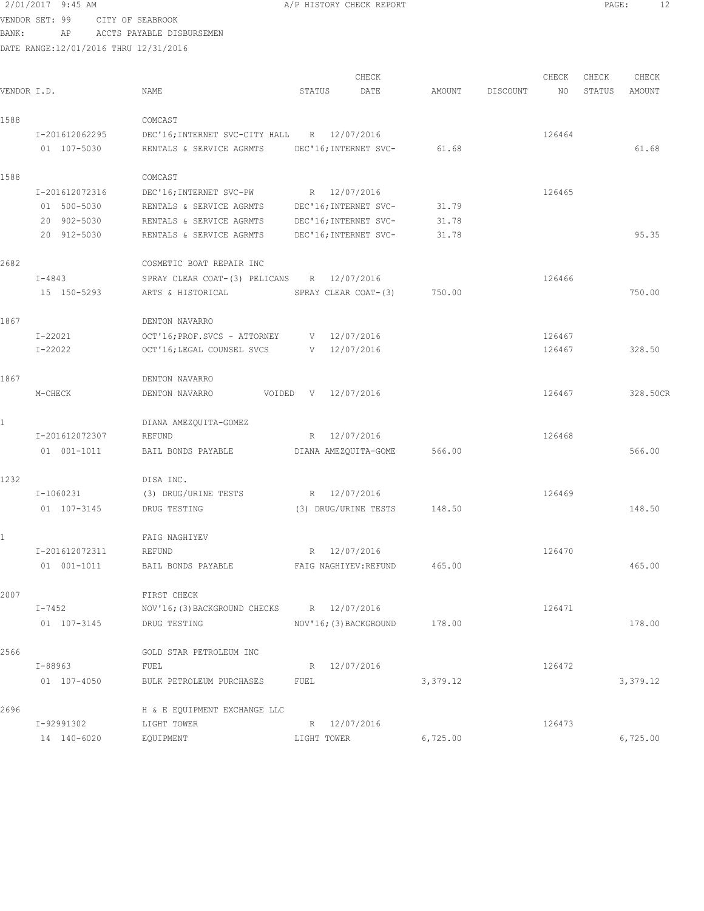2696 H & E EQUIPMENT EXCHANGE LLC

VENDOR SET: 99 CITY OF SEABROOK

BANK: AP ACCTS PAYABLE DISBURSEMEN

DATE RANGE:12/01/2016 THRU 12/31/2016

|             |                |                                |              | CHECK                  |        |          | CHECK  | CHECK  | CHECK    |
|-------------|----------------|--------------------------------|--------------|------------------------|--------|----------|--------|--------|----------|
| VENDOR I.D. |                | NAME                           | STATUS       | DATE                   | AMOUNT | DISCOUNT | NO     | STATUS | AMOUNT   |
| 1588        |                | COMCAST                        |              |                        |        |          |        |        |          |
|             | I-201612062295 | DEC'16; INTERNET SVC-CITY HALL |              | R 12/07/2016           |        |          | 126464 |        |          |
|             | 01 107-5030    | RENTALS & SERVICE AGRMTS       |              | DEC'16; INTERNET SVC-  | 61.68  |          |        |        | 61.68    |
| 1588        |                | COMCAST                        |              |                        |        |          |        |        |          |
|             | I-201612072316 | DEC'16; INTERNET SVC-PW        |              | R 12/07/2016           |        |          | 126465 |        |          |
|             | 01 500-5030    | RENTALS & SERVICE AGRMTS       |              | DEC'16; INTERNET SVC-  | 31.79  |          |        |        |          |
|             | 20 902-5030    | RENTALS & SERVICE AGRMTS       |              | DEC'16; INTERNET SVC-  | 31.78  |          |        |        |          |
|             | 20 912-5030    | RENTALS & SERVICE AGRMTS       |              | DEC'16; INTERNET SVC-  | 31.78  |          |        |        | 95.35    |
| 2682        |                | COSMETIC BOAT REPAIR INC       |              |                        |        |          |        |        |          |
|             | $I - 4843$     | SPRAY CLEAR COAT-(3) PELICANS  |              | R 12/07/2016           |        |          | 126466 |        |          |
|             | 15 150-5293    | ARTS & HISTORICAL              |              | SPRAY CLEAR COAT-(3)   | 750.00 |          |        |        | 750.00   |
| 1867        |                | DENTON NAVARRO                 |              |                        |        |          |        |        |          |
|             | I-22021        | OCT'16; PROF. SVCS - ATTORNEY  |              | V 12/07/2016           |        |          | 126467 |        |          |
|             | $I - 22022$    | OCT'16; LEGAL COUNSEL SVCS     |              | V 12/07/2016           |        |          | 126467 |        | 328.50   |
| 1867        |                | DENTON NAVARRO                 |              |                        |        |          |        |        |          |
|             | M-CHECK        | DENTON NAVARRO<br>VOIDED       | V 12/07/2016 |                        |        |          | 126467 |        | 328.50CR |
| 1           |                | DIANA AMEZQUITA-GOMEZ          |              |                        |        |          |        |        |          |
|             | I-201612072307 | REFUND                         | R            | 12/07/2016             |        |          | 126468 |        |          |
|             | 01 001-1011    | BAIL BONDS PAYABLE             |              | DIANA AMEZQUITA-GOME   | 566.00 |          |        |        | 566.00   |
| 1232        |                | DISA INC.                      |              |                        |        |          |        |        |          |
|             | I-1060231      | (3) DRUG/URINE TESTS           |              | R 12/07/2016           |        |          | 126469 |        |          |
|             | 01 107-3145    | DRUG TESTING                   |              | (3) DRUG/URINE TESTS   | 148.50 |          |        |        | 148.50   |
| 1           |                | FAIG NAGHIYEV                  |              |                        |        |          |        |        |          |
|             | I-201612072311 | REFUND                         | R            | 12/07/2016             |        |          | 126470 |        |          |
|             | 01 001-1011    | BAIL BONDS PAYABLE             |              | FAIG NAGHIYEV: REFUND  | 465.00 |          |        |        | 465.00   |
| 2007        |                | FIRST CHECK                    |              |                        |        |          |        |        |          |
|             | $I - 7452$     | NOV'16; (3) BACKGROUND CHECKS  |              | R 12/07/2016           |        |          | 126471 |        |          |
|             | 01 107-3145    | DRUG TESTING                   |              | NOV'16; (3) BACKGROUND | 178.00 |          |        |        | 178.00   |
| 2566        |                | GOLD STAR PETROLEUM INC        |              |                        |        |          |        |        |          |
|             | $I-88963$      | FUEL                           |              | R 12/07/2016           |        |          | 126472 |        |          |

01 107-4050 BULK PETROLEUM PURCHASES FUEL 3,379.12 3,379.12

14 140-6020 EQUIPMENT LIGHT TOWER 6,725.00 6,725.00

I-92991302 LIGHT TOWER R 12/07/2016 126473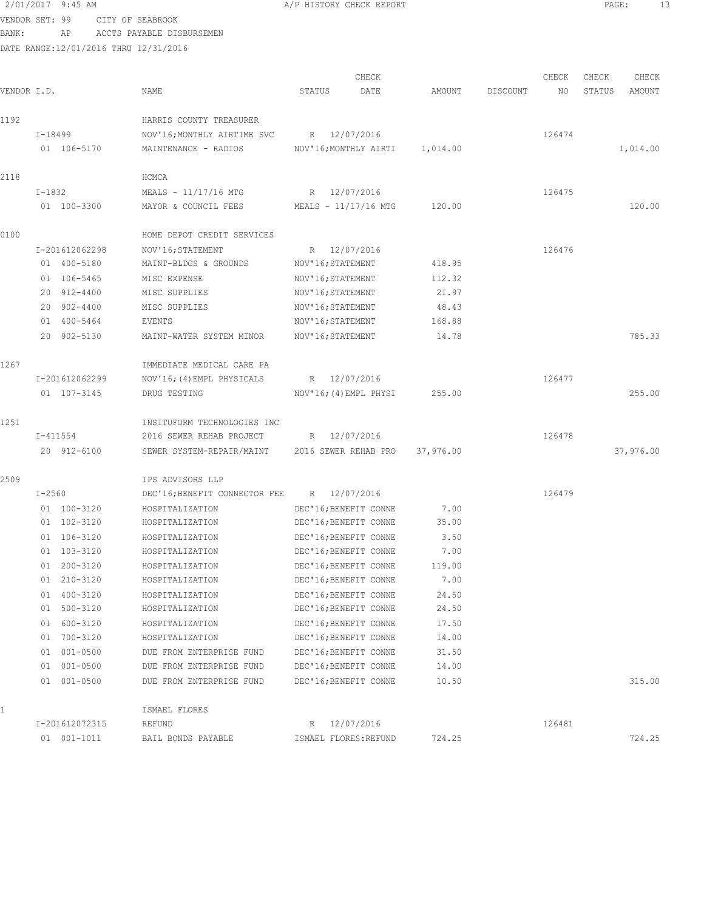# 2/01/2017 9:45 AM A/P HISTORY CHECK REPORT PAGE: 13 VENDOR SET: 99 CITY OF SEABROOK

# BANK: AP ACCTS PAYABLE DISBURSEMEN

| VENDOR I.D. |                | NAME                                           | CHECK<br>STATUS<br>DATE | AMOUNT    | DISCOUNT | CHECK<br>NO | CHECK<br>STATUS | CHECK<br>AMOUNT |
|-------------|----------------|------------------------------------------------|-------------------------|-----------|----------|-------------|-----------------|-----------------|
| 1192        |                | HARRIS COUNTY TREASURER                        |                         |           |          |             |                 |                 |
|             | I-18499        | NOV'16; MONTHLY AIRTIME SVC                    | R 12/07/2016            |           |          | 126474      |                 |                 |
|             | 01 106-5170    | MAINTENANCE - RADIOS                           | NOV'16;MONTHLY AIRTI    | 1,014.00  |          |             |                 | 1,014.00        |
| 2118        |                | HCMCA                                          |                         |           |          |             |                 |                 |
|             | $I-1832$       | MEALS - 11/17/16 MTG                           | R 12/07/2016            |           |          | 126475      |                 |                 |
|             | 01 100-3300    | MAYOR & COUNCIL FEES                           | MEALS - 11/17/16 MTG    | 120.00    |          |             |                 | 120.00          |
| 0100        |                | HOME DEPOT CREDIT SERVICES                     |                         |           |          |             |                 |                 |
|             | I-201612062298 | NOV'16; STATEMENT                              | R 12/07/2016            |           |          | 126476      |                 |                 |
|             | 01 400-5180    | MAINT-BLDGS & GROUNDS                          | NOV'16; STATEMENT       | 418.95    |          |             |                 |                 |
|             | 01 106-5465    | MISC EXPENSE                                   | NOV'16; STATEMENT       | 112.32    |          |             |                 |                 |
|             | 20 912-4400    | MISC SUPPLIES                                  | NOV'16; STATEMENT       | 21.97     |          |             |                 |                 |
|             | 20 902-4400    | MISC SUPPLIES                                  | NOV'16; STATEMENT       | 48.43     |          |             |                 |                 |
|             | 01 400-5464    | EVENTS                                         | NOV'16; STATEMENT       | 168.88    |          |             |                 |                 |
|             | 20 902-5130    | MAINT-WATER SYSTEM MINOR                       | NOV'16; STATEMENT       | 14.78     |          |             |                 | 785.33          |
| 1267        |                | IMMEDIATE MEDICAL CARE PA                      |                         |           |          |             |                 |                 |
|             | I-201612062299 | NOV'16; (4) EMPL PHYSICALS                     | R 12/07/2016            |           |          | 126477      |                 |                 |
|             | 01 107-3145    | DRUG TESTING                                   | NOV'16; (4) EMPL PHYSI  | 255.00    |          |             |                 | 255.00          |
| 1251        |                | INSITUFORM TECHNOLOGIES INC                    |                         |           |          |             |                 |                 |
|             | I-411554       | 2016 SEWER REHAB PROJECT R 12/07/2016          |                         |           |          | 126478      |                 |                 |
|             | 20 912-6100    | SEWER SYSTEM-REPAIR/MAINT 2016 SEWER REHAB PRO |                         | 37,976.00 |          |             | 37,976.00       |                 |
| 2509        |                | IPS ADVISORS LLP                               |                         |           |          |             |                 |                 |
|             | $I - 2560$     | DEC'16; BENEFIT CONNECTOR FEE R 12/07/2016     |                         |           |          | 126479      |                 |                 |
|             | 01 100-3120    | HOSPITALIZATION                                | DEC'16; BENEFIT CONNE   | 7.00      |          |             |                 |                 |
|             | 01 102-3120    | HOSPITALIZATION                                | DEC'16; BENEFIT CONNE   | 35.00     |          |             |                 |                 |
|             | 01 106-3120    | HOSPITALIZATION                                | DEC'16; BENEFIT CONNE   | 3.50      |          |             |                 |                 |
|             | 01 103-3120    | HOSPITALIZATION                                | DEC'16; BENEFIT CONNE   | 7.00      |          |             |                 |                 |
|             | 01 200-3120    | HOSPITALIZATION                                | DEC'16; BENEFIT CONNE   | 119.00    |          |             |                 |                 |
|             | 01 210-3120    | HOSPITALIZATION                                | DEC'16; BENEFIT CONNE   | 7.00      |          |             |                 |                 |
|             | 01 400-3120    | HOSPITALIZATION                                | DEC'16; BENEFIT CONNE   | 24.50     |          |             |                 |                 |
|             | 01 500-3120    | HOSPITALIZATION                                | DEC'16; BENEFIT CONNE   | 24.50     |          |             |                 |                 |
|             | 01 600-3120    | HOSPITALIZATION                                | DEC'16; BENEFIT CONNE   | 17.50     |          |             |                 |                 |
|             | 01 700-3120    | HOSPITALIZATION                                | DEC'16; BENEFIT CONNE   | 14.00     |          |             |                 |                 |
|             | 01 001-0500    | DUE FROM ENTERPRISE FUND                       | DEC'16; BENEFIT CONNE   | 31.50     |          |             |                 |                 |
|             | 01 001-0500    | DUE FROM ENTERPRISE FUND                       | DEC'16; BENEFIT CONNE   | 14.00     |          |             |                 |                 |
|             | 01 001-0500    | DUE FROM ENTERPRISE FUND                       | DEC'16; BENEFIT CONNE   | 10.50     |          |             |                 | 315.00          |
| 1           |                | ISMAEL FLORES                                  |                         |           |          |             |                 |                 |
|             | I-201612072315 | REFUND                                         | R 12/07/2016            |           |          | 126481      |                 |                 |
|             | 01 001-1011    | BAIL BONDS PAYABLE                             | ISMAEL FLORES: REFUND   | 724.25    |          |             |                 | 724.25          |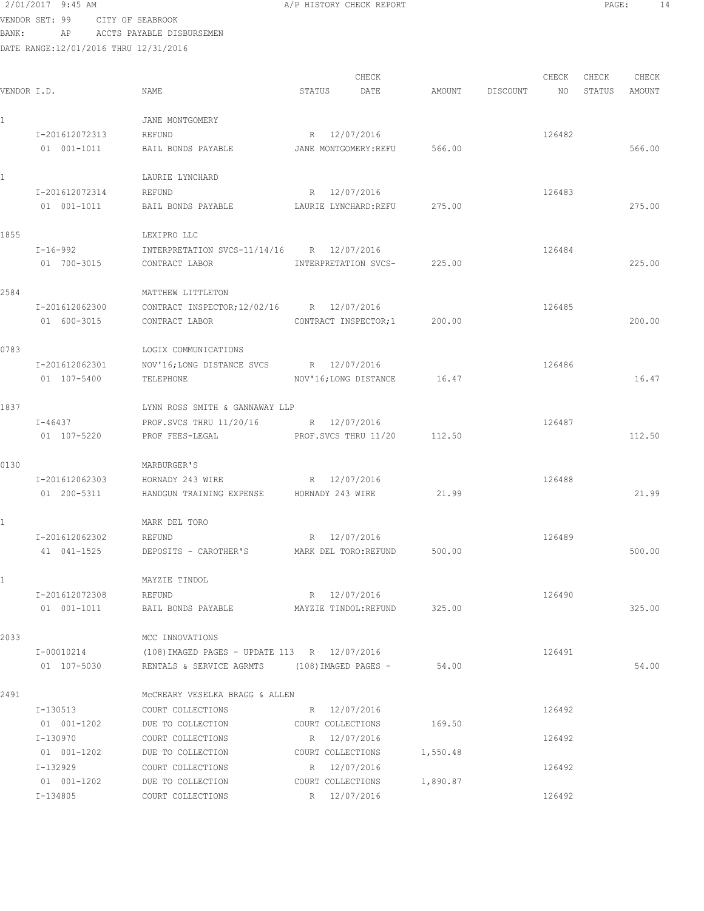2/01/2017 9:45 AM A/P HISTORY CHECK REPORT PAGE: 14 VENDOR SET: 99 CITY OF SEABROOK

BANK: AP ACCTS PAYABLE DISBURSEMEN

| VENDOR I.D.  |                | NAME                                          | STATUS                | CHECK<br>DATE               | AMOUNT   | DISCOUNT | CHECK<br>NO | CHECK<br>STATUS | CHECK<br>AMOUNT |
|--------------|----------------|-----------------------------------------------|-----------------------|-----------------------------|----------|----------|-------------|-----------------|-----------------|
| $\mathbf{1}$ |                | JANE MONTGOMERY                               |                       |                             |          |          |             |                 |                 |
|              | I-201612072313 | REFUND                                        | R 12/07/2016          |                             |          |          | 126482      |                 |                 |
|              | 01 001-1011    | BAIL BONDS PAYABLE                            | JANE MONTGOMERY: REFU |                             | 566.00   |          |             |                 | 566.00          |
| $\mathbf{1}$ |                | LAURIE LYNCHARD                               |                       |                             |          |          |             |                 |                 |
|              | I-201612072314 | REFUND                                        | R 12/07/2016          |                             |          |          | 126483      |                 |                 |
|              | 01 001-1011    | BAIL BONDS PAYABLE                            | LAURIE LYNCHARD:REFU  |                             | 275.00   |          |             |                 | 275.00          |
| 1855         |                | LEXIPRO LLC                                   |                       |                             |          |          |             |                 |                 |
|              | I-16-992       | INTERPRETATION SVCS-11/14/16 R 12/07/2016     |                       |                             |          |          | 126484      |                 |                 |
|              | 01 700-3015    | CONTRACT LABOR                                | INTERPRETATION SVCS-  |                             | 225.00   |          |             |                 | 225.00          |
| 2584         |                | MATTHEW LITTLETON                             |                       |                             |          |          |             |                 |                 |
|              | I-201612062300 | CONTRACT INSPECTOR; 12/02/16 R 12/07/2016     |                       |                             |          |          | 126485      |                 |                 |
|              | 01 600-3015    | CONTRACT LABOR                                | CONTRACT INSPECTOR; 1 |                             | 200.00   |          |             |                 | 200.00          |
| 0783         |                | LOGIX COMMUNICATIONS                          |                       |                             |          |          |             |                 |                 |
|              | I-201612062301 | NOV'16;LONG DISTANCE SVCS                     | R 12/07/2016          |                             |          |          | 126486      |                 |                 |
|              | 01 107-5400    | TELEPHONE                                     | NOV'16; LONG DISTANCE |                             | 16.47    |          |             |                 | 16.47           |
| 1837         |                | LYNN ROSS SMITH & GANNAWAY LLP                |                       |                             |          |          |             |                 |                 |
|              | I-46437        | PROF.SVCS THRU 11/20/16 R 12/07/2016          |                       |                             |          |          | 126487      |                 |                 |
|              | 01 107-5220    | PROF FEES-LEGAL                               | PROF.SVCS THRU 11/20  |                             | 112.50   |          |             |                 | 112.50          |
| 0130         |                | MARBURGER'S                                   |                       |                             |          |          |             |                 |                 |
|              | I-201612062303 | HORNADY 243 WIRE                              | R 12/07/2016          |                             |          |          | 126488      |                 |                 |
|              | 01 200-5311    | HANDGUN TRAINING EXPENSE HORNADY 243 WIRE     |                       |                             | 21.99    |          |             |                 | 21.99           |
| $\mathbf{1}$ |                | MARK DEL TORO                                 |                       |                             |          |          |             |                 |                 |
|              | I-201612062302 | REFUND                                        | R 12/07/2016          |                             |          |          | 126489      |                 |                 |
|              | 41 041-1525    | DEPOSITS - CAROTHER'S                         | MARK DEL TORO:REFUND  |                             | 500.00   |          |             |                 | 500.00          |
|              |                | MAYZIE TINDOL                                 |                       |                             |          |          |             |                 |                 |
|              | I-201612072308 | REFUND                                        | R 12/07/2016          |                             |          |          | 126490      |                 |                 |
|              | 01  001-1011   | BAIL BONDS PAYABLE                            |                       | MAYZIE TINDOL:REFUND 325.00 |          |          |             |                 | 325.00          |
| 2033         |                | MCC INNOVATIONS                               |                       |                             |          |          |             |                 |                 |
|              | I-00010214     | (108) IMAGED PAGES - UPDATE 113 R 12/07/2016  |                       |                             |          |          | 126491      |                 |                 |
|              | 01 107-5030    | RENTALS & SERVICE AGRMTS (108) IMAGED PAGES - |                       |                             | 54.00    |          |             |                 | 54.00           |
| 2491         |                | MCCREARY VESELKA BRAGG & ALLEN                |                       |                             |          |          |             |                 |                 |
|              | I-130513       | COURT COLLECTIONS                             | R 12/07/2016          |                             |          |          | 126492      |                 |                 |
|              | 01 001-1202    | DUE TO COLLECTION                             | COURT COLLECTIONS     |                             | 169.50   |          |             |                 |                 |
|              | I-130970       | COURT COLLECTIONS                             | R 12/07/2016          |                             |          |          | 126492      |                 |                 |
|              | 01 001-1202    | DUE TO COLLECTION                             | COURT COLLECTIONS     |                             | 1,550.48 |          |             |                 |                 |
|              | I-132929       | COURT COLLECTIONS                             | R 12/07/2016          |                             |          |          | 126492      |                 |                 |
|              | 01 001-1202    | DUE TO COLLECTION                             | COURT COLLECTIONS     |                             | 1,890.87 |          |             |                 |                 |
|              | I-134805       | COURT COLLECTIONS                             | R 12/07/2016          |                             |          |          | 126492      |                 |                 |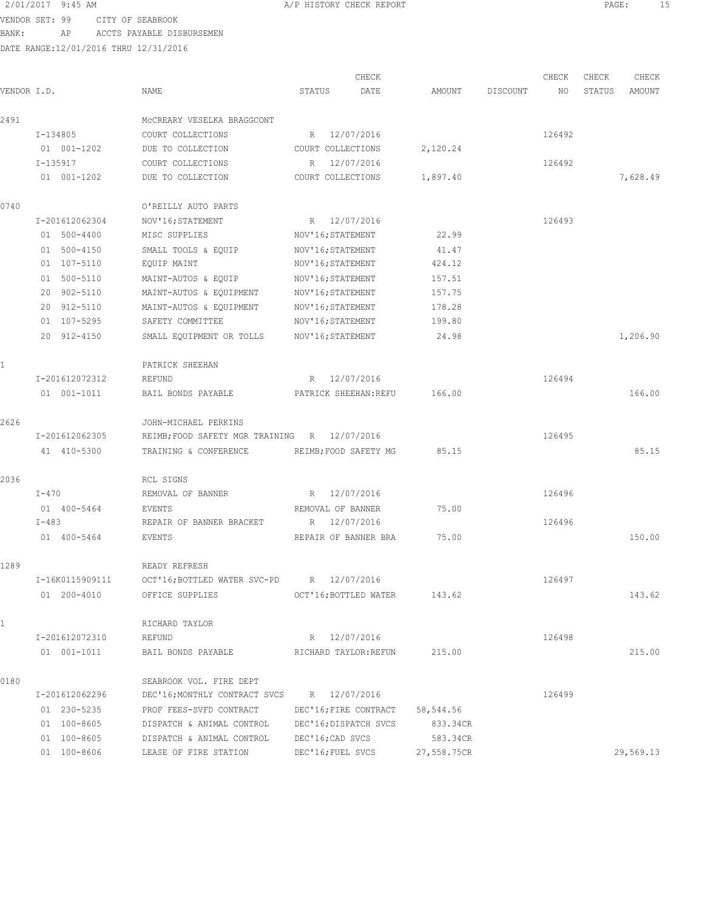VENDOR SET: 99 CITY OF SEABROOK BANK: AP ACCTS PAYABLE DISBURSEMEN

| VENDOR I.D. |                 | NAME                                         | STATUS            | CHECK<br>DATE         | AMOUNT      | DISCOUNT | CHECK<br>NO | CHECK<br>STATUS | CHECK<br>AMOUNT |
|-------------|-----------------|----------------------------------------------|-------------------|-----------------------|-------------|----------|-------------|-----------------|-----------------|
| 2491        |                 | MCCREARY VESELKA BRAGGCONT                   |                   |                       |             |          |             |                 |                 |
|             | I-134805        | COURT COLLECTIONS                            |                   | R 12/07/2016          |             |          | 126492      |                 |                 |
|             | 01 001-1202     | DUE TO COLLECTION                            | COURT COLLECTIONS |                       | 2,120.24    |          |             |                 |                 |
|             | I-135917        | COURT COLLECTIONS                            | R                 | 12/07/2016            |             |          | 126492      |                 |                 |
|             | 01 001-1202     | DUE TO COLLECTION                            | COURT COLLECTIONS |                       | 1,897.40    |          |             |                 | 7,628.49        |
| 0740        |                 | O'REILLY AUTO PARTS                          |                   |                       |             |          |             |                 |                 |
|             | I-201612062304  | NOV'16; STATEMENT                            |                   | R 12/07/2016          |             |          | 126493      |                 |                 |
|             | 01 500-4400     | MISC SUPPLIES                                | NOV'16; STATEMENT |                       | 22.99       |          |             |                 |                 |
|             | 01 500-4150     | SMALL TOOLS & EQUIP                          | NOV'16; STATEMENT |                       | 41.47       |          |             |                 |                 |
|             | 01 107-5110     | EQUIP MAINT                                  | NOV'16; STATEMENT |                       | 424.12      |          |             |                 |                 |
|             | 01 500-5110     | MAINT-AUTOS & EQUIP                          | NOV'16; STATEMENT |                       | 157.51      |          |             |                 |                 |
|             | 20 902-5110     | MAINT-AUTOS & EQUIPMENT                      | NOV'16; STATEMENT |                       | 157.75      |          |             |                 |                 |
|             | 20 912-5110     | MAINT-AUTOS & EQUIPMENT                      | NOV'16; STATEMENT |                       | 178.28      |          |             |                 |                 |
|             | 01 107-5295     | SAFETY COMMITTEE                             | NOV'16; STATEMENT |                       | 199.80      |          |             |                 |                 |
|             | 20 912-4150     | SMALL EQUIPMENT OR TOLLS                     | NOV'16; STATEMENT |                       | 24.98       |          |             |                 | 1,206.90        |
|             |                 | PATRICK SHEEHAN                              |                   |                       |             |          |             |                 |                 |
|             | I-201612072312  | REFUND                                       |                   | R 12/07/2016          |             |          | 126494      |                 |                 |
|             | 01 001-1011     | BAIL BONDS PAYABLE                           |                   | PATRICK SHEEHAN: REFU | 166.00      |          |             |                 | 166.00          |
| 2626        |                 | JOHN-MICHAEL PERKINS                         |                   |                       |             |          |             |                 |                 |
|             | I-201612062305  | REIMB; FOOD SAFETY MGR TRAINING R 12/07/2016 |                   |                       |             |          | 126495      |                 |                 |
|             | 41 410-5300     | TRAINING & CONFERENCE                        |                   | REIMB; FOOD SAFETY MG | 85.15       |          |             |                 | 85.15           |
| 2036        |                 | RCL SIGNS                                    |                   |                       |             |          |             |                 |                 |
|             | $I-470$         | REMOVAL OF BANNER                            |                   | R 12/07/2016          |             |          | 126496      |                 |                 |
|             | 01 400-5464     | EVENTS                                       | REMOVAL OF BANNER |                       | 75.00       |          |             |                 |                 |
|             | $I - 483$       | REPAIR OF BANNER BRACKET                     |                   | R 12/07/2016          |             |          | 126496      |                 |                 |
|             | 01 400-5464     | EVENTS                                       |                   | REPAIR OF BANNER BRA  | 75.00       |          |             |                 | 150.00          |
| 1289        |                 | READY REFRESH                                |                   |                       |             |          |             |                 |                 |
|             | I-16K0115909111 | OCT'16; BOTTLED WATER SVC-PD R 12/07/2016    |                   |                       |             |          | 126497      |                 |                 |
|             | 01 200-4010     | OFFICE SUPPLIES                              |                   | OCT'16; BOTTLED WATER | 143.62      |          |             |                 | 143.62          |
| 1           |                 | RICHARD TAYLOR                               |                   |                       |             |          |             |                 |                 |
|             | I-201612072310  | REFUND                                       |                   | R 12/07/2016          |             |          | 126498      |                 |                 |
|             | 01 001-1011     | BAIL BONDS PAYABLE                           |                   | RICHARD TAYLOR: REFUN | 215.00      |          |             |                 | 215.00          |
| 0180        |                 | SEABROOK VOL. FIRE DEPT                      |                   |                       |             |          |             |                 |                 |
|             | I-201612062296  | DEC'16; MONTHLY CONTRACT SVCS                |                   | R 12/07/2016          |             |          | 126499      |                 |                 |
|             | 01 230-5235     | PROF FEES-SVFD CONTRACT                      |                   | DEC'16; FIRE CONTRACT | 58,544.56   |          |             |                 |                 |
|             | 01 100-8605     | DISPATCH & ANIMAL CONTROL                    |                   | DEC'16; DISPATCH SVCS | 833.34CR    |          |             |                 |                 |
|             | 01 100-8605     | DISPATCH & ANIMAL CONTROL                    | DEC'16; CAD SVCS  |                       | 583.34CR    |          |             |                 |                 |
|             | 01 100-8606     | LEASE OF FIRE STATION                        | DEC'16; FUEL SVCS |                       | 27,558.75CR |          |             |                 | 29,569.13       |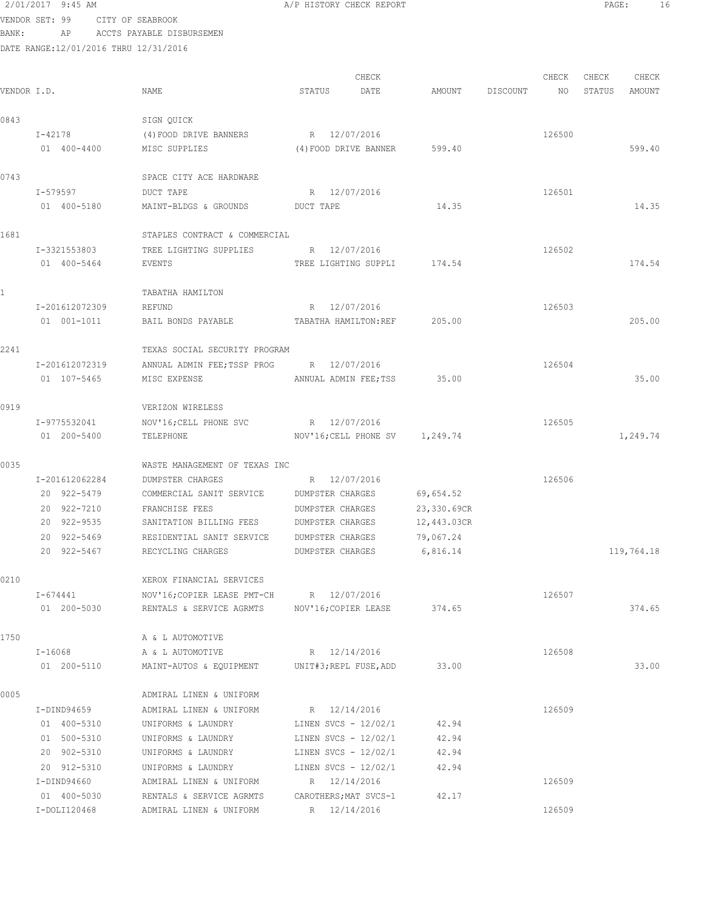| 2/01/2017 9:45 AM |    |                                 | A/P HISTORY CHECK REPORT |  |
|-------------------|----|---------------------------------|--------------------------|--|
|                   |    | VENDOR SET: 99 CITY OF SEABROOK |                          |  |
| BANK :            | AP | ACCTS PAYABLE DISBURSEMEN       |                          |  |

| VENDOR I.D.  |                | NAME                                          | STATUS                          | CHECK<br>DATE |             | AMOUNT DISCOUNT NO | CHECK  | CHECK<br>STATUS | CHECK<br>AMOUNT |
|--------------|----------------|-----------------------------------------------|---------------------------------|---------------|-------------|--------------------|--------|-----------------|-----------------|
| 0843         |                | SIGN QUICK                                    |                                 |               |             |                    |        |                 |                 |
|              | I-42178        | (4) FOOD DRIVE BANNERS                        | R 12/07/2016                    |               |             |                    | 126500 |                 |                 |
|              | 01 400-4400    | MISC SUPPLIES                                 | (4) FOOD DRIVE BANNER 599.40    |               |             |                    |        |                 | 599.40          |
| 0743         |                | SPACE CITY ACE HARDWARE                       |                                 |               |             |                    |        |                 |                 |
|              | I-579597       | DUCT TAPE                                     | R 12/07/2016                    |               |             |                    | 126501 |                 |                 |
|              | 01 400-5180    | MAINT-BLDGS & GROUNDS DUCT TAPE               |                                 |               | 14.35       |                    |        |                 | 14.35           |
| 1681         |                | STAPLES CONTRACT & COMMERCIAL                 |                                 |               |             |                    |        |                 |                 |
|              | I-3321553803   | TREE LIGHTING SUPPLIES                        | R 12/07/2016                    |               |             |                    | 126502 |                 |                 |
|              | 01 400-5464    | EVENTS                                        | TREE LIGHTING SUPPLI 174.54     |               |             |                    |        |                 | 174.54          |
| $\mathbf{1}$ |                | TABATHA HAMILTON                              |                                 |               |             |                    |        |                 |                 |
|              | I-201612072309 | REFUND                                        | R 12/07/2016                    |               |             |                    | 126503 |                 |                 |
|              | 01 001-1011    | BAIL BONDS PAYABLE                            | TABATHA HAMILTON:REF 205.00     |               |             |                    |        |                 | 205.00          |
| 2241         |                | TEXAS SOCIAL SECURITY PROGRAM                 |                                 |               |             |                    |        |                 |                 |
|              | I-201612072319 | ANNUAL ADMIN FEE; TSSP PROG R 12/07/2016      |                                 |               |             |                    | 126504 |                 |                 |
|              | 01 107-5465    | MISC EXPENSE                                  | ANNUAL ADMIN FEE; TSS 35.00     |               |             |                    |        |                 | 35.00           |
| 0919         |                | VERIZON WIRELESS                              |                                 |               |             |                    |        |                 |                 |
|              | I-9775532041   | NOV'16; CELL PHONE SVC                        | R 12/07/2016                    |               |             |                    | 126505 |                 |                 |
|              | 01 200-5400    | TELEPHONE                                     | NOV'16; CELL PHONE SV 1, 249.74 |               |             |                    |        |                 | 1,249.74        |
| 0035         |                | WASTE MANAGEMENT OF TEXAS INC                 |                                 |               |             |                    |        |                 |                 |
|              | I-201612062284 | DUMPSTER CHARGES                              | R 12/07/2016                    |               |             |                    | 126506 |                 |                 |
|              | 20 922-5479    | COMMERCIAL SANIT SERVICE                      | DUMPSTER CHARGES                |               | 69,654.52   |                    |        |                 |                 |
|              | 20 922-7210    | FRANCHISE FEES                                | DUMPSTER CHARGES                |               | 23,330.69CR |                    |        |                 |                 |
|              | 20 922-9535    | SANITATION BILLING FEES                       | DUMPSTER CHARGES                |               | 12,443.03CR |                    |        |                 |                 |
|              | 20 922-5469    | RESIDENTIAL SANIT SERVICE DUMPSTER CHARGES    |                                 |               | 79,067.24   |                    |        |                 |                 |
|              | 20 922-5467    | RECYCLING CHARGES                             | DUMPSTER CHARGES                |               | 6,816.14    |                    |        |                 | 119,764.18      |
| 0210         |                | XEROX FINANCIAL SERVICES                      |                                 |               |             |                    |        |                 |                 |
|              | I-674441       | NOV'16; COPIER LEASE PMT-CH R 12/07/2016      |                                 |               |             |                    | 126507 |                 |                 |
|              | 01 200-5030    | RENTALS & SERVICE AGRMTS MOV'16; COPIER LEASE |                                 |               | 374.65      |                    |        |                 | 374.65          |
| 1750         |                | A & L AUTOMOTIVE                              |                                 |               |             |                    |        |                 |                 |
|              | I-16068        | A & L AUTOMOTIVE                              | R 12/14/2016                    |               |             |                    | 126508 |                 |                 |
|              | 01 200-5110    | MAINT-AUTOS & EQUIPMENT                       | UNIT#3;REPL FUSE,ADD            |               | 33.00       |                    |        |                 | 33.00           |
| 0005         |                | ADMIRAL LINEN & UNIFORM                       |                                 |               |             |                    |        |                 |                 |
|              | I-DIND94659    | ADMIRAL LINEN & UNIFORM                       | R 12/14/2016                    |               |             |                    | 126509 |                 |                 |
|              | 01 400-5310    | UNIFORMS & LAUNDRY                            | LINEN SVCS - 12/02/1            |               | 42.94       |                    |        |                 |                 |
|              | 01 500-5310    | UNIFORMS & LAUNDRY                            | LINEN SVCS - 12/02/1            |               | 42.94       |                    |        |                 |                 |
|              | 20 902-5310    | UNIFORMS & LAUNDRY                            | LINEN SVCS - 12/02/1            |               | 42.94       |                    |        |                 |                 |
|              | 20 912-5310    | UNIFORMS & LAUNDRY                            | LINEN SVCS - $12/02/1$          |               | 42.94       |                    |        |                 |                 |
|              | I-DIND94660    | ADMIRAL LINEN & UNIFORM                       | R 12/14/2016                    |               |             |                    | 126509 |                 |                 |
|              | 01 400-5030    | RENTALS & SERVICE AGRMTS                      | CAROTHERS; MAT SVCS-1           |               | 42.17       |                    |        |                 |                 |
|              | I-DOLI120468   | ADMIRAL LINEN & UNIFORM                       | R 12/14/2016                    |               |             |                    | 126509 |                 |                 |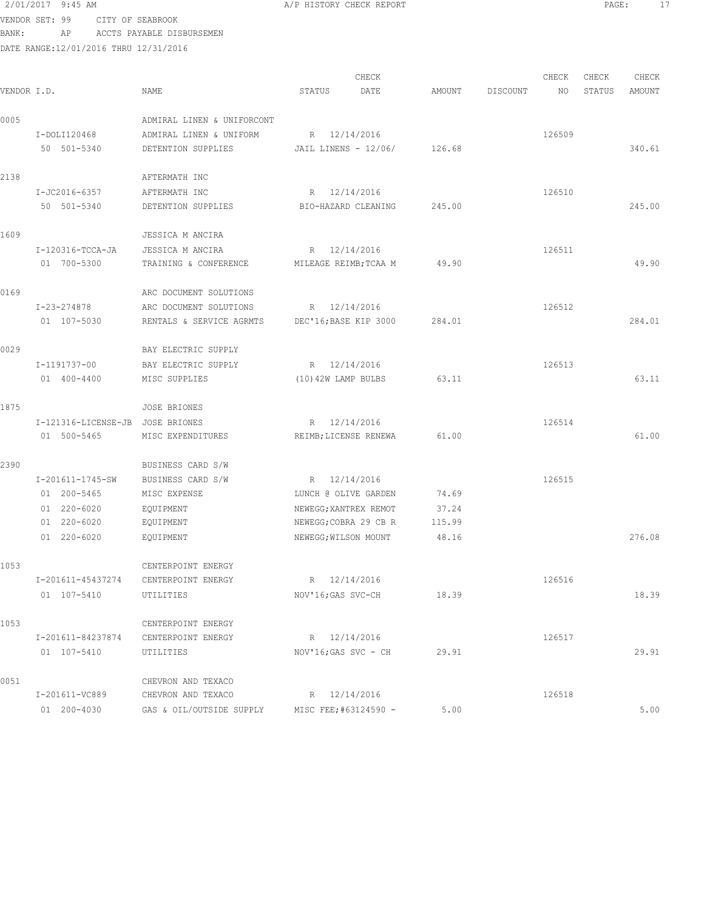# 2/01/2017 9:45 AM **A**/P HISTORY CHECK REPORT **PAGE:** 17 VENDOR SET: 99 CITY OF SEABROOK

BANK: AP ACCTS PAYABLE DISBURSEMEN

|             |                                  |                                               |                        | CHECK               |        |          | CHECK  | CHECK  | CHECK  |
|-------------|----------------------------------|-----------------------------------------------|------------------------|---------------------|--------|----------|--------|--------|--------|
| VENDOR I.D. |                                  | NAME                                          | STATUS                 | DATE                | AMOUNT | DISCOUNT | NO     | STATUS | AMOUNT |
| 0005        |                                  | ADMIRAL LINEN & UNIFORCONT                    |                        |                     |        |          |        |        |        |
|             | I-DOLI120468                     | ADMIRAL LINEN & UNIFORM                       | R 12/14/2016           |                     |        |          | 126509 |        |        |
|             | 50 501-5340                      | DETENTION SUPPLIES                            | JAIL LINENS - $12/06/$ |                     | 126.68 |          |        |        | 340.61 |
| 2138        |                                  | AFTERMATH INC                                 |                        |                     |        |          |        |        |        |
|             | I-JC2016-6357                    | AFTERMATH INC                                 | R 12/14/2016           |                     |        |          | 126510 |        |        |
|             | 50 501-5340                      | DETENTION SUPPLIES                            |                        | BIO-HAZARD CLEANING | 245.00 |          |        |        | 245.00 |
| 1609        |                                  | JESSICA M ANCIRA                              |                        |                     |        |          |        |        |        |
|             | I-120316-TCCA-JA                 | JESSICA M ANCIRA                              | R 12/14/2016           |                     |        |          | 126511 |        |        |
|             | 01 700-5300                      | TRAINING & CONFERENCE                         | MILEAGE REIMB; TCAA M  |                     | 49.90  |          |        |        | 49.90  |
| 0169        |                                  | ARC DOCUMENT SOLUTIONS                        |                        |                     |        |          |        |        |        |
|             | I-23-274878                      | ARC DOCUMENT SOLUTIONS                        | R 12/14/2016           |                     |        |          | 126512 |        |        |
|             | 01 107-5030                      | RENTALS & SERVICE AGRMTS                      | DEC'16; BASE KIP 3000  |                     | 284.01 |          |        |        | 284.01 |
| 0029        |                                  | BAY ELECTRIC SUPPLY                           |                        |                     |        |          |        |        |        |
|             | I-1191737-00                     | BAY ELECTRIC SUPPLY                           | R 12/14/2016           |                     |        |          | 126513 |        |        |
|             | 01 400-4400                      | MISC SUPPLIES                                 | (10) 42W LAMP BULBS    |                     | 63.11  |          |        |        | 63.11  |
| 1875        |                                  | <b>JOSE BRIONES</b>                           |                        |                     |        |          |        |        |        |
|             | I-121316-LICENSE-JB JOSE BRIONES |                                               | R 12/14/2016           |                     |        |          | 126514 |        |        |
|             | 01 500-5465                      | MISC EXPENDITURES                             | REIMB; LICENSE RENEWA  |                     | 61.00  |          |        |        | 61.00  |
| 2390        |                                  | BUSINESS CARD S/W                             |                        |                     |        |          |        |        |        |
|             | I-201611-1745-SW                 | BUSINESS CARD S/W                             | R 12/14/2016           |                     |        |          | 126515 |        |        |
|             | 01 200-5465                      | MISC EXPENSE                                  | LUNCH @ OLIVE GARDEN   |                     | 74.69  |          |        |        |        |
|             | 01 220-6020                      | EQUIPMENT                                     | NEWEGG; XANTREX REMOT  |                     | 37.24  |          |        |        |        |
|             | 01 220-6020                      | EQUIPMENT                                     | NEWEGG; COBRA 29 CB R  |                     | 115.99 |          |        |        |        |
|             | 01 220-6020                      | EQUIPMENT                                     | NEWEGG; WILSON MOUNT   |                     | 48.16  |          |        |        | 276.08 |
| 1053        |                                  | CENTERPOINT ENERGY                            |                        |                     |        |          |        |        |        |
|             | I-201611-45437274                | CENTERPOINT ENERGY                            | R                      | 12/14/2016          |        |          | 126516 |        |        |
|             | 01 107-5410                      | UTILITIES                                     | NOV'16; GAS SVC-CH     |                     | 18.39  |          |        |        | 18.39  |
| 1053        |                                  | CENTERPOINT ENERGY                            |                        |                     |        |          |        |        |        |
|             | I-201611-84237874                | CENTERPOINT ENERGY                            | R 12/14/2016           |                     |        |          | 126517 |        |        |
|             | 01 107-5410                      | UTILITIES                                     | NOV'16; GAS SVC - CH   |                     | 29.91  |          |        |        | 29.91  |
| 0051        |                                  | CHEVRON AND TEXACO                            |                        |                     |        |          |        |        |        |
|             | I-201611-VC889                   | CHEVRON AND TEXACO                            | R 12/14/2016           |                     |        |          | 126518 |        |        |
|             | 01 200-4030                      | GAS & OIL/OUTSIDE SUPPLY MISC FEE;#63124590 - |                        |                     | 5.00   |          |        |        | 5.00   |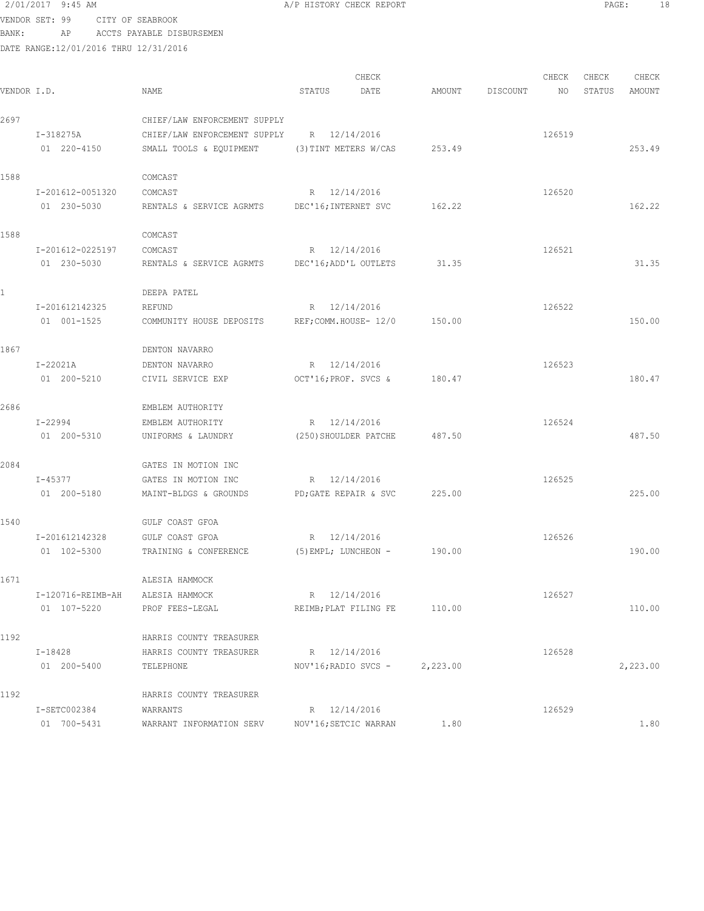|             | VENDOR SET: 99                        | CITY OF SEABROOK             |                                |        |          |        |        |          |
|-------------|---------------------------------------|------------------------------|--------------------------------|--------|----------|--------|--------|----------|
| BANK:       | AP                                    | ACCTS PAYABLE DISBURSEMEN    |                                |        |          |        |        |          |
|             | DATE RANGE:12/01/2016 THRU 12/31/2016 |                              |                                |        |          |        |        |          |
|             |                                       |                              |                                |        |          |        |        |          |
|             |                                       |                              | CHECK                          |        |          | CHECK  | CHECK  | CHECK    |
| VENDOR I.D. |                                       | NAME                         | DATE<br>STATUS                 | AMOUNT | DISCOUNT | NO     | STATUS | AMOUNT   |
| 2697        |                                       | CHIEF/LAW ENFORCEMENT SUPPLY |                                |        |          |        |        |          |
|             | I-318275A                             | CHIEF/LAW ENFORCEMENT SUPPLY | R 12/14/2016                   |        |          | 126519 |        |          |
|             | 01 220-4150                           | SMALL TOOLS & EQUIPMENT      | (3) TINT METERS W/CAS          | 253.49 |          |        |        | 253.49   |
|             |                                       |                              |                                |        |          |        |        |          |
| 1588        |                                       | COMCAST                      |                                |        |          |        |        |          |
|             | I-201612-0051320                      | COMCAST                      | R 12/14/2016                   |        |          | 126520 |        |          |
|             | 01 230-5030                           | RENTALS & SERVICE AGRMTS     | DEC'16; INTERNET SVC           | 162.22 |          |        |        | 162.22   |
|             |                                       |                              |                                |        |          |        |        |          |
| 1588        |                                       | COMCAST                      |                                |        |          |        |        |          |
|             | I-201612-0225197                      | COMCAST                      | R 12/14/2016                   |        |          | 126521 |        |          |
|             | 01 230-5030                           | RENTALS & SERVICE AGRMTS     | DEC'16; ADD'L OUTLETS          | 31.35  |          |        |        | 31.35    |
|             |                                       | DEEPA PATEL                  |                                |        |          |        |        |          |
|             | I-201612142325                        | REFUND                       | R 12/14/2016                   |        |          | 126522 |        |          |
|             | 01 001-1525                           | COMMUNITY HOUSE DEPOSITS     | REF; COMM.HOUSE- 12/0          | 150.00 |          |        |        | 150.00   |
|             |                                       |                              |                                |        |          |        |        |          |
| 1867        |                                       | DENTON NAVARRO               |                                |        |          |        |        |          |
|             | I-22021A                              | DENTON NAVARRO               | R 12/14/2016                   |        |          | 126523 |        |          |
|             | 01 200-5210                           | CIVIL SERVICE EXP            | OCT'16; PROF. SVCS &           | 180.47 |          |        |        | 180.47   |
| 2686        |                                       | EMBLEM AUTHORITY             |                                |        |          |        |        |          |
|             | I-22994                               | EMBLEM AUTHORITY             | R 12/14/2016                   |        |          | 126524 |        |          |
|             | 01 200-5310                           | UNIFORMS & LAUNDRY           | (250) SHOULDER PATCHE          | 487.50 |          |        |        | 487.50   |
|             |                                       |                              |                                |        |          |        |        |          |
| 2084        |                                       | GATES IN MOTION INC          |                                |        |          |        |        |          |
|             | I-45377                               | GATES IN MOTION INC          | R 12/14/2016                   |        |          | 126525 |        |          |
|             | 01 200-5180                           | MAINT-BLDGS & GROUNDS        | PD; GATE REPAIR & SVC          | 225.00 |          |        |        | 225.00   |
|             |                                       |                              |                                |        |          |        |        |          |
| 1540        |                                       | GULF COAST GFOA              |                                |        |          |        |        |          |
|             | I-201612142328                        | GULF COAST GFOA              | R 12/14/2016                   |        |          | 126526 |        |          |
|             | 01 102-5300                           | TRAINING & CONFERENCE        | (5) EMPL; LUNCHEON -           | 190.00 |          |        |        | 190.00   |
| 1671        |                                       | ALESIA HAMMOCK               |                                |        |          |        |        |          |
|             | $I-120716 - REIMB-AH$                 | ALESIA HAMMOCK               | R 12/14/2016                   |        |          | 126527 |        |          |
|             | 01 107-5220                           | PROF FEES-LEGAL              | REIMB; PLAT FILING FE          | 110.00 |          |        |        | 110.00   |
|             |                                       |                              |                                |        |          |        |        |          |
| 1192        |                                       | HARRIS COUNTY TREASURER      |                                |        |          |        |        |          |
|             | I-18428                               | HARRIS COUNTY TREASURER      | R 12/14/2016                   |        |          | 126528 |        |          |
|             | 01 200-5400                           | TELEPHONE                    | NOV'16; RADIO SVCS - 2, 223.00 |        |          |        |        | 2,223.00 |
| 1192        |                                       | HARRIS COUNTY TREASURER      |                                |        |          |        |        |          |
|             | I-SETC002384                          | WARRANTS                     | R 12/14/2016                   |        |          | 126529 |        |          |
|             | 01 700-5431                           | WARRANT INFORMATION SERV     | NOV'16; SETCIC WARRAN          | 1.80   |          |        |        | 1.80     |
|             |                                       |                              |                                |        |          |        |        |          |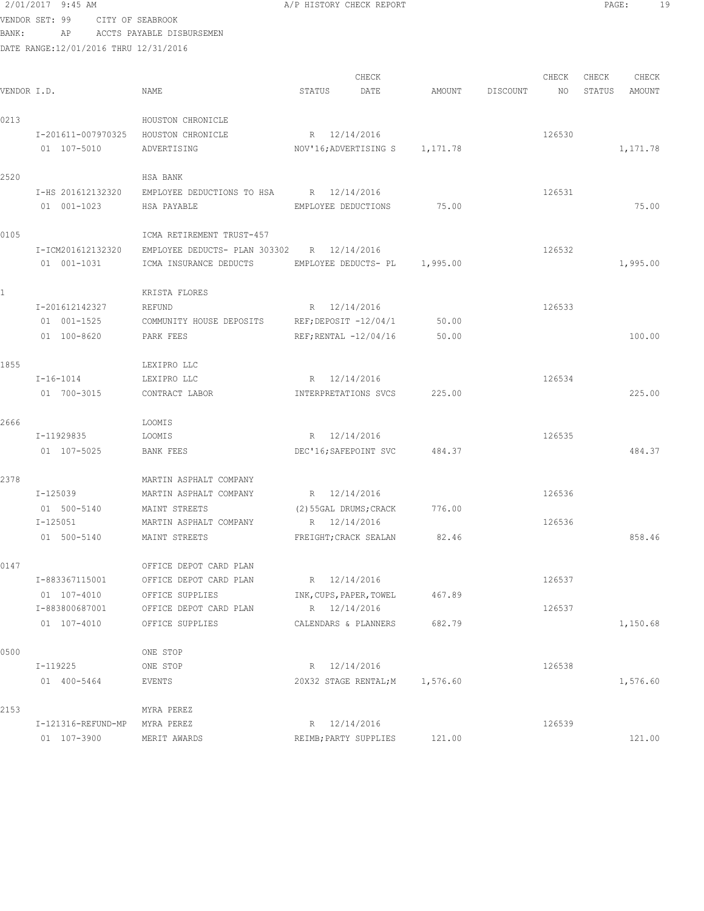| BANK:       | VENDOR SET: 99<br>AP                  | CITY OF SEABROOK<br>ACCTS PAYABLE DISBURSEMEN |                                 |        |          |        |        |          |
|-------------|---------------------------------------|-----------------------------------------------|---------------------------------|--------|----------|--------|--------|----------|
|             | DATE RANGE:12/01/2016 THRU 12/31/2016 |                                               |                                 |        |          |        |        |          |
|             |                                       |                                               |                                 |        |          |        |        |          |
|             |                                       |                                               | CHECK                           |        |          | CHECK  | CHECK  | CHECK    |
| VENDOR I.D. |                                       | NAME                                          | STATUS<br>DATE                  | AMOUNT | DISCOUNT | NO     | STATUS | AMOUNT   |
| 0213        |                                       | HOUSTON CHRONICLE                             |                                 |        |          |        |        |          |
|             |                                       | I-201611-007970325 HOUSTON CHRONICLE          | R 12/14/2016                    |        |          | 126530 |        |          |
|             | 01 107-5010                           | ADVERTISING                                   | NOV'16; ADVERTISING S 1, 171.78 |        |          |        |        | 1,171.78 |
| 2520        |                                       | HSA BANK                                      |                                 |        |          |        |        |          |
|             | I-HS 201612132320                     | EMPLOYEE DEDUCTIONS TO HSA R 12/14/2016       |                                 |        |          | 126531 |        |          |
|             | 01 001-1023                           | HSA PAYABLE                                   | EMPLOYEE DEDUCTIONS             | 75.00  |          |        |        | 75.00    |
| 0105        |                                       | ICMA RETIREMENT TRUST-457                     |                                 |        |          |        |        |          |
|             | I-ICM201612132320                     | EMPLOYEE DEDUCTS- PLAN 303302 R 12/14/2016    |                                 |        |          | 126532 |        |          |
|             | 01 001-1031                           | ICMA INSURANCE DEDUCTS                        | EMPLOYEE DEDUCTS- PL 1,995.00   |        |          |        |        | 1,995.00 |
|             |                                       | KRISTA FLORES                                 |                                 |        |          |        |        |          |
|             | I-201612142327                        | REFUND                                        | R 12/14/2016                    |        |          | 126533 |        |          |
|             | 01 001-1525                           | COMMUNITY HOUSE DEPOSITS                      | $REF$ ; $DEPOST - 12/04/1$      | 50.00  |          |        |        |          |
|             | 01 100-8620                           | PARK FEES                                     | $REF$ ; RENTAL $-12/04/16$      | 50.00  |          |        |        | 100.00   |
| 1855        |                                       | LEXIPRO LLC                                   |                                 |        |          |        |        |          |
|             | $I - 16 - 1014$                       | LEXIPRO LLC                                   | R 12/14/2016                    |        |          | 126534 |        |          |
|             | 01 700-3015                           | CONTRACT LABOR                                | INTERPRETATIONS SVCS            | 225.00 |          |        |        | 225.00   |
| 2666        |                                       | LOOMIS                                        |                                 |        |          |        |        |          |
|             | I-11929835                            | LOOMIS                                        | R 12/14/2016                    |        |          | 126535 |        |          |
|             | 01 107-5025                           | BANK FEES                                     | DEC'16; SAFEPOINT SVC 484.37    |        |          |        |        | 484.37   |
| 2378        |                                       | MARTIN ASPHALT COMPANY                        |                                 |        |          |        |        |          |
|             | I-125039                              | MARTIN ASPHALT COMPANY                        | R 12/14/2016                    |        |          | 126536 |        |          |
|             | 01 500-5140                           | MAINT STREETS                                 | (2) 55GAL DRUMS; CRACK          | 776.00 |          |        |        |          |
|             | $I - 125051$                          | MARTIN ASPHALT COMPANY                        | R 12/14/2016                    |        |          | 126536 |        |          |
|             | 01 500-5140                           | MAINT STREETS                                 | FREIGHT; CRACK SEALAN           | 82.46  |          |        |        | 858.46   |
| 0147        |                                       | OFFICE DEPOT CARD PLAN                        |                                 |        |          |        |        |          |
|             | I-883367115001                        | OFFICE DEPOT CARD PLAN                        | R 12/14/2016                    |        |          | 126537 |        |          |
|             | 01 107-4010                           | OFFICE SUPPLIES                               | INK, CUPS, PAPER, TOWEL 467.89  |        |          |        |        |          |
|             | I-883800687001                        | OFFICE DEPOT CARD PLAN                        | R 12/14/2016                    |        |          | 126537 |        |          |
|             | 01 107-4010                           | OFFICE SUPPLIES                               | CALENDARS & PLANNERS            | 682.79 |          |        |        | 1,150.68 |
| 0500        |                                       | ONE STOP                                      |                                 |        |          |        |        |          |
|             | I-119225                              | ONE STOP                                      | R 12/14/2016                    |        |          | 126538 |        |          |
|             | 01 400-5464                           | EVENTS                                        | 20X32 STAGE RENTAL; M 1,576.60  |        |          |        |        | 1,576.60 |
| 2153        |                                       | MYRA PEREZ                                    |                                 |        |          |        |        |          |
|             | I-121316-REFUND-MP MYRA PEREZ         |                                               | R 12/14/2016                    |        |          | 126539 |        |          |
|             | 01 107-3900                           | MERIT AWARDS                                  | REIMB; PARTY SUPPLIES 121.00    |        |          |        |        | 121.00   |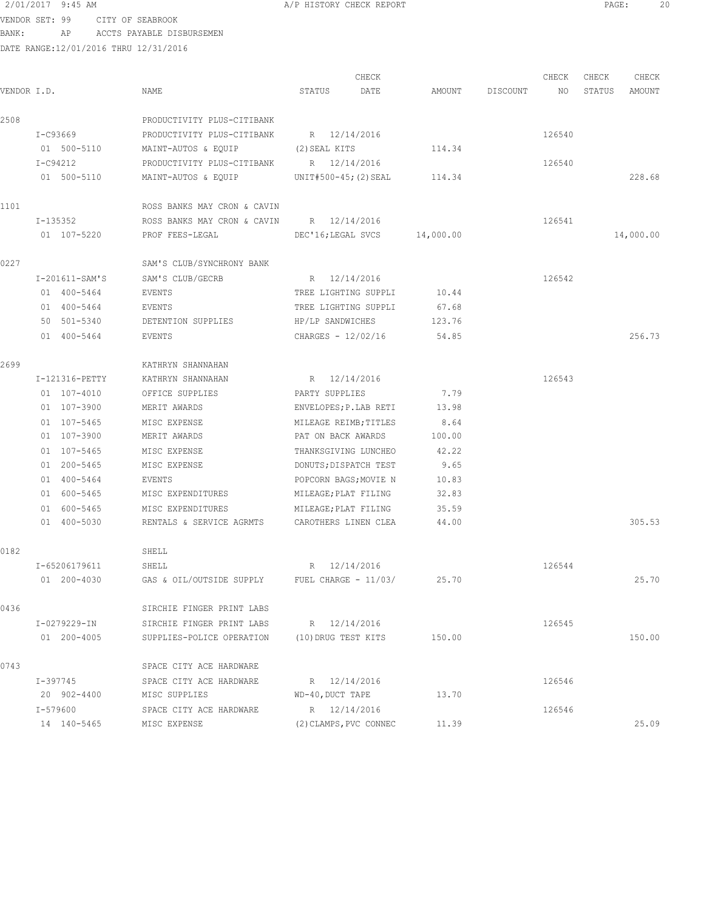VENDOR SET: 99 CITY OF SEABROOK BANK: AP ACCTS PAYABLE DISBURSEMEN

| VENDOR I.D. |                | NAME                                     | CHECK<br>STATUS<br>DATE    |           | AMOUNT DISCOUNT | CHECK<br>NO | CHECK<br>STATUS | CHECK<br>AMOUNT |
|-------------|----------------|------------------------------------------|----------------------------|-----------|-----------------|-------------|-----------------|-----------------|
| 2508        |                | PRODUCTIVITY PLUS-CITIBANK               |                            |           |                 |             |                 |                 |
|             | I-C93669       | PRODUCTIVITY PLUS-CITIBANK               | R 12/14/2016               |           |                 | 126540      |                 |                 |
|             | 01 500-5110    | MAINT-AUTOS & EQUIP                      | (2) SEAL KITS              | 114.34    |                 |             |                 |                 |
|             | I-C94212       | PRODUCTIVITY PLUS-CITIBANK               | R 12/14/2016               |           |                 | 126540      |                 |                 |
|             | 01 500-5110    | MAINT-AUTOS & EQUIP                      | UNIT#500-45; (2) SEAL      | 114.34    |                 |             |                 | 228.68          |
| 1101        |                | ROSS BANKS MAY CRON & CAVIN              |                            |           |                 |             |                 |                 |
|             | I-135352       | ROSS BANKS MAY CRON & CAVIN R 12/14/2016 |                            |           |                 | 126541      |                 |                 |
|             | 01 107-5220    | PROF FEES-LEGAL                          | DEC'16;LEGAL SVCS          | 14,000.00 |                 |             |                 | 14,000.00       |
| 0227        |                | SAM'S CLUB/SYNCHRONY BANK                |                            |           |                 |             |                 |                 |
|             | I-201611-SAM'S | SAM'S CLUB/GECRB                         | R 12/14/2016               |           |                 | 126542      |                 |                 |
|             | 01 400-5464    | EVENTS                                   | TREE LIGHTING SUPPLI       | 10.44     |                 |             |                 |                 |
|             | 01 400-5464    | EVENTS                                   | TREE LIGHTING SUPPLI       | 67.68     |                 |             |                 |                 |
|             | 50 501-5340    | DETENTION SUPPLIES                       | HP/LP SANDWICHES           | 123.76    |                 |             |                 |                 |
|             | 01 400-5464    | EVENTS                                   | CHARGES - 12/02/16         | 54.85     |                 |             |                 | 256.73          |
| 2699        |                | KATHRYN SHANNAHAN                        |                            |           |                 |             |                 |                 |
|             | I-121316-PETTY | KATHRYN SHANNAHAN                        | R 12/14/2016               |           |                 | 126543      |                 |                 |
|             | 01 107-4010    | OFFICE SUPPLIES                          | PARTY SUPPLIES             | 7.79      |                 |             |                 |                 |
|             | 01 107-3900    | MERIT AWARDS                             | ENVELOPES; P. LAB RETI     | 13.98     |                 |             |                 |                 |
|             | 01 107-5465    | MISC EXPENSE                             | MILEAGE REIMB; TITLES      | 8.64      |                 |             |                 |                 |
|             | 01 107-3900    | MERIT AWARDS                             | PAT ON BACK AWARDS         | 100.00    |                 |             |                 |                 |
|             | 01 107-5465    | MISC EXPENSE                             | THANKSGIVING LUNCHEO       | 42.22     |                 |             |                 |                 |
|             | 01 200-5465    | MISC EXPENSE                             | DONUTS; DISPATCH TEST      | 9.65      |                 |             |                 |                 |
|             | 01 400-5464    | EVENTS                                   | POPCORN BAGS; MOVIE N      | 10.83     |                 |             |                 |                 |
|             | 01 600-5465    | MISC EXPENDITURES                        | MILEAGE; PLAT FILING       | 32.83     |                 |             |                 |                 |
|             | 01 600-5465    | MISC EXPENDITURES                        | MILEAGE; PLAT FILING       | 35.59     |                 |             |                 |                 |
|             | 01 400-5030    | RENTALS & SERVICE AGRMTS                 | CAROTHERS LINEN CLEA       | 44.00     |                 |             |                 | 305.53          |
| 0182        |                | SHELL                                    |                            |           |                 |             |                 |                 |
|             | I-65206179611  | SHELL                                    | R 12/14/2016               |           |                 | 126544      |                 |                 |
|             | 01 200-4030    | GAS & OIL/OUTSIDE SUPPLY                 | FUEL CHARGE - 11/03/ 25.70 |           |                 |             |                 | 25.70           |
| 0436        |                | SIRCHIE FINGER PRINT LABS                |                            |           |                 |             |                 |                 |
|             | I-0279229-IN   | SIRCHIE FINGER PRINT LABS                | R 12/14/2016               |           |                 | 126545      |                 |                 |
|             | 01 200-4005    | SUPPLIES-POLICE OPERATION                | (10) DRUG TEST KITS        | 150.00    |                 |             |                 | 150.00          |
| 0743        |                | SPACE CITY ACE HARDWARE                  |                            |           |                 |             |                 |                 |
|             | I-397745       | SPACE CITY ACE HARDWARE                  | R 12/14/2016               |           |                 | 126546      |                 |                 |
|             | 20 902-4400    | MISC SUPPLIES                            | WD-40, DUCT TAPE           | 13.70     |                 |             |                 |                 |
|             | I-579600       | SPACE CITY ACE HARDWARE                  | R 12/14/2016               |           |                 | 126546      |                 |                 |
|             | 14 140-5465    | MISC EXPENSE                             | (2) CLAMPS, PVC CONNEC     | 11.39     |                 |             |                 | 25.09           |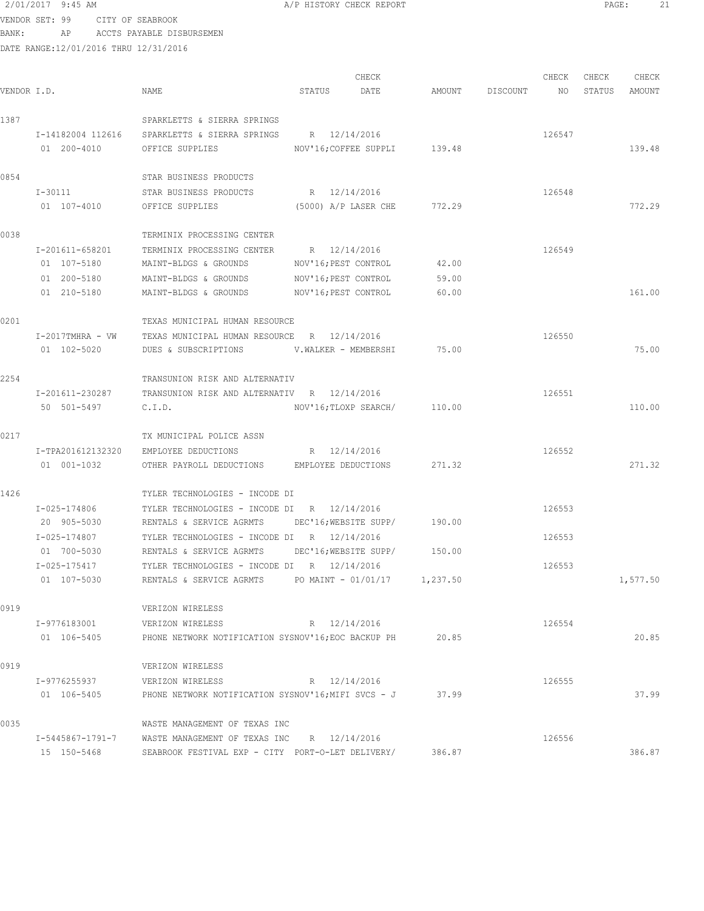# 2/01/2017 9:45 AM **PAGE:** 21

VENDOR SET: 99 CITY OF SEABROOK BANK: AP ACCTS PAYABLE DISBURSEMEN

| VENDOR I.D. |                     | NAME                                                      | STATUS               | CHECK<br>DATE                |          | AMOUNT DISCOUNT NO | CHECK  | CHECK<br>STATUS | CHECK<br>AMOUNT |
|-------------|---------------------|-----------------------------------------------------------|----------------------|------------------------------|----------|--------------------|--------|-----------------|-----------------|
| 1387        |                     | SPARKLETTS & SIERRA SPRINGS                               |                      |                              |          |                    |        |                 |                 |
|             |                     | I-14182004 112616 SPARKLETTS & SIERRA SPRINGS             | R 12/14/2016         |                              |          |                    | 126547 |                 |                 |
|             | 01 200-4010         | OFFICE SUPPLIES                                           |                      | NOV'16; COFFEE SUPPLI 139.48 |          |                    |        |                 | 139.48          |
|             |                     |                                                           |                      |                              |          |                    |        |                 |                 |
| 0854        |                     | STAR BUSINESS PRODUCTS                                    |                      |                              |          |                    |        |                 |                 |
|             | I-30111             | STAR BUSINESS PRODUCTS                                    | R 12/14/2016         |                              |          |                    | 126548 |                 |                 |
|             | 01 107-4010         | OFFICE SUPPLIES                                           | (5000) A/P LASER CHE |                              | 772.29   |                    |        |                 | 772.29          |
| 0038        |                     | TERMINIX PROCESSING CENTER                                |                      |                              |          |                    |        |                 |                 |
|             | I-201611-658201     | TERMINIX PROCESSING CENTER                                | R 12/14/2016         |                              |          |                    | 126549 |                 |                 |
|             | 01 107-5180         | MAINT-BLDGS & GROUNDS                                     | NOV'16; PEST CONTROL |                              | 42.00    |                    |        |                 |                 |
|             | 01 200-5180         | MAINT-BLDGS & GROUNDS                                     | NOV'16; PEST CONTROL |                              | 59.00    |                    |        |                 |                 |
|             | 01 210-5180         | MAINT-BLDGS & GROUNDS                                     | NOV'16; PEST CONTROL |                              | 60.00    |                    |        |                 | 161.00          |
|             |                     |                                                           |                      |                              |          |                    |        |                 |                 |
| 0201        |                     | TEXAS MUNICIPAL HUMAN RESOURCE                            |                      |                              |          |                    |        |                 |                 |
|             | $I-2017$ TMHRA - VW | TEXAS MUNICIPAL HUMAN RESOURCE R 12/14/2016               |                      |                              |          |                    | 126550 |                 |                 |
|             | 01 102-5020         | DUES & SUBSCRIPTIONS                                      | V.WALKER - MEMBERSHI |                              | 75.00    |                    |        |                 | 75.00           |
| 2254        |                     | TRANSUNION RISK AND ALTERNATIV                            |                      |                              |          |                    |        |                 |                 |
|             | I-201611-230287     | TRANSUNION RISK AND ALTERNATIV R 12/14/2016               |                      |                              |          |                    | 126551 |                 |                 |
|             | 50 501-5497         | C.I.D.                                                    |                      | NOV'16; TLOXP SEARCH/ 110.00 |          |                    |        |                 | 110.00          |
| 0217        |                     | TX MUNICIPAL POLICE ASSN                                  |                      |                              |          |                    |        |                 |                 |
|             | I-TPA201612132320   | EMPLOYEE DEDUCTIONS                                       | R 12/14/2016         |                              |          |                    | 126552 |                 |                 |
|             | 01 001-1032         | OTHER PAYROLL DEDUCTIONS EMPLOYEE DEDUCTIONS              |                      |                              | 271.32   |                    |        |                 | 271.32          |
|             |                     |                                                           |                      |                              |          |                    |        |                 |                 |
| 1426        |                     | TYLER TECHNOLOGIES - INCODE DI                            |                      |                              |          |                    |        |                 |                 |
|             | I-025-174806        | TYLER TECHNOLOGIES - INCODE DI R 12/14/2016               |                      |                              |          |                    | 126553 |                 |                 |
|             | 20 905-5030         | RENTALS & SERVICE AGRMTS DEC'16; WEBSITE SUPP/            |                      |                              | 190.00   |                    |        |                 |                 |
|             | I-025-174807        | TYLER TECHNOLOGIES - INCODE DI R 12/14/2016               |                      |                              |          |                    | 126553 |                 |                 |
|             | 01 700-5030         | RENTALS & SERVICE AGRMTS                                  |                      | DEC'16;WEBSITE SUPP/         | 150.00   |                    |        |                 |                 |
|             | I-025-175417        | TYLER TECHNOLOGIES - INCODE DI R 12/14/2016               |                      |                              |          |                    | 126553 |                 |                 |
|             | 01 107-5030         | RENTALS & SERVICE AGRMTS $PQ$ PO MAINT - 01/01/17         |                      |                              | 1,237.50 |                    |        |                 | 1,577.50        |
| 0919        |                     | VERIZON WIRELESS                                          |                      |                              |          |                    |        |                 |                 |
|             | I-9776183001        | VERIZON WIRELESS                                          | R 12/14/2016         |                              |          |                    | 126554 |                 |                 |
|             | 01 106-5405         | PHONE NETWORK NOTIFICATION SYSNOV'16; EOC BACKUP PH 20.85 |                      |                              |          |                    |        |                 | 20.85           |
| 0919        |                     | VERIZON WIRELESS                                          |                      |                              |          |                    |        |                 |                 |
|             | I-9776255937        | VERIZON WIRELESS                                          | R 12/14/2016         |                              |          |                    | 126555 |                 |                 |
|             | 01 106-5405         | PHONE NETWORK NOTIFICATION SYSNOV'16;MIFI SVCS - J        |                      |                              | 37.99    |                    |        |                 | 37.99           |
|             |                     |                                                           |                      |                              |          |                    |        |                 |                 |
| 0035        |                     | WASTE MANAGEMENT OF TEXAS INC                             |                      |                              |          |                    |        |                 |                 |
|             | I-5445867-1791-7    | WASTE MANAGEMENT OF TEXAS INC R 12/14/2016                |                      |                              |          |                    | 126556 |                 |                 |
|             | 15 150-5468         | SEABROOK FESTIVAL EXP - CITY PORT-O-LET DELIVERY/         |                      |                              | 386.87   |                    |        |                 | 386.87          |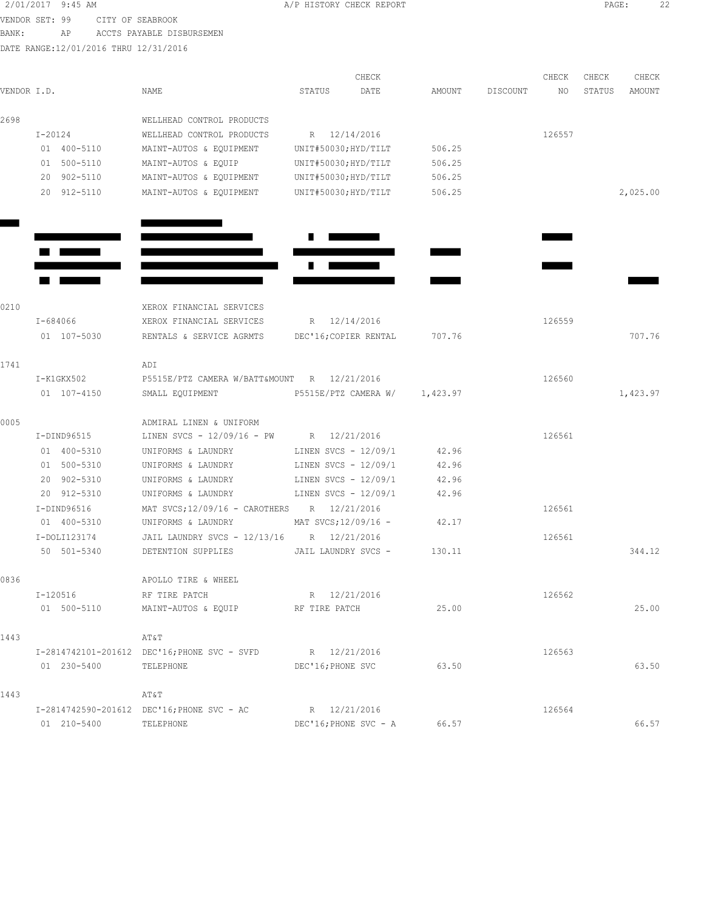|             | 2/01/2017 9:45 AM                     |                                                           |                       | A/P HISTORY CHECK REPORT |          |          |        | PAGE:  |          | 22 |
|-------------|---------------------------------------|-----------------------------------------------------------|-----------------------|--------------------------|----------|----------|--------|--------|----------|----|
|             | VENDOR SET: 99<br>CITY OF SEABROOK    |                                                           |                       |                          |          |          |        |        |          |    |
| BANK:       | AP                                    | ACCTS PAYABLE DISBURSEMEN                                 |                       |                          |          |          |        |        |          |    |
|             | DATE RANGE:12/01/2016 THRU 12/31/2016 |                                                           |                       |                          |          |          |        |        |          |    |
|             |                                       |                                                           |                       |                          |          |          |        |        |          |    |
|             |                                       |                                                           |                       | CHECK                    |          |          | CHECK  | CHECK  | CHECK    |    |
| VENDOR I.D. |                                       | NAME                                                      | STATUS                | DATE                     | AMOUNT   | DISCOUNT | NO     | STATUS | AMOUNT   |    |
| 2698        |                                       | WELLHEAD CONTROL PRODUCTS                                 |                       |                          |          |          |        |        |          |    |
|             | $I-20124$                             | WELLHEAD CONTROL PRODUCTS                                 | R 12/14/2016          |                          |          |          | 126557 |        |          |    |
|             | 01 400-5110                           | MAINT-AUTOS & EQUIPMENT                                   | UNIT#50030; HYD/TILT  |                          | 506.25   |          |        |        |          |    |
|             | 01 500-5110                           | MAINT-AUTOS & EQUIP                                       | UNIT#50030; HYD/TILT  |                          | 506.25   |          |        |        |          |    |
|             | 20 902-5110                           | MAINT-AUTOS & EQUIPMENT                                   | UNIT#50030;HYD/TILT   |                          | 506.25   |          |        |        |          |    |
|             | 20 912-5110                           | MAINT-AUTOS & EQUIPMENT                                   | UNIT#50030;HYD/TILT   |                          | 506.25   |          |        |        | 2,025.00 |    |
|             |                                       |                                                           |                       |                          |          |          |        |        |          |    |
|             |                                       |                                                           |                       |                          |          |          |        |        |          |    |
|             |                                       |                                                           |                       |                          |          |          |        |        |          |    |
|             |                                       |                                                           |                       |                          |          |          |        |        |          |    |
| 0210        |                                       | XEROX FINANCIAL SERVICES                                  |                       |                          |          |          |        |        |          |    |
|             | I-684066                              | XEROX FINANCIAL SERVICES                                  | R 12/14/2016          |                          |          |          | 126559 |        |          |    |
|             | 01 107-5030                           | RENTALS & SERVICE AGRMTS                                  | DEC'16; COPIER RENTAL |                          | 707.76   |          |        |        | 707.76   |    |
| 1741        |                                       | ADI                                                       |                       |                          |          |          |        |        |          |    |
|             | I-K1GKX502                            | P5515E/PTZ CAMERA W/BATT&MOUNT R 12/21/2016               |                       |                          |          |          | 126560 |        |          |    |
|             | 01 107-4150                           | SMALL EQUIPMENT                                           | P5515E/PTZ CAMERA W/  |                          | 1,423.97 |          |        |        | 1,423.97 |    |
| 0005        |                                       | ADMIRAL LINEN & UNIFORM                                   |                       |                          |          |          |        |        |          |    |
|             | I-DIND96515                           | LINEN SVCS - $12/09/16$ - PW R $12/21/2016$               |                       |                          |          |          | 126561 |        |          |    |
|             | 01 400-5310                           | UNIFORMS & LAUNDRY                                        | LINEN SVCS - 12/09/1  |                          | 42.96    |          |        |        |          |    |
|             | 01 500-5310                           | UNIFORMS & LAUNDRY                                        | LINEN SVCS - 12/09/1  |                          | 42.96    |          |        |        |          |    |
|             | 20 902-5310                           | UNIFORMS & LAUNDRY                                        | LINEN SVCS - 12/09/1  |                          | 42.96    |          |        |        |          |    |
|             | 20 912-5310                           | UNIFORMS & LAUNDRY                                        | LINEN SVCS - 12/09/1  |                          | 42.96    |          |        |        |          |    |
|             | I-DIND96516                           | MAT SVCS;12/09/16 - CAROTHERS R 12/21/2016                |                       |                          |          |          | 126561 |        |          |    |
|             | 01 400-5310                           | UNIFORMS & LAUNDRY                                        | MAT SVCS;12/09/16 -   |                          | 42.17    |          |        |        |          |    |
|             | I-DOLI123174                          | JAIL LAUNDRY SVCS - 12/13/16 R 12/21/2016                 |                       |                          |          |          | 126561 |        |          |    |
|             | 50 501-5340                           | DETENTION SUPPLIES JAIL LAUNDRY SVCS - 130.11             |                       |                          |          |          |        |        | 344.12   |    |
| 0836        |                                       | APOLLO TIRE & WHEEL                                       |                       |                          |          |          |        |        |          |    |
|             |                                       | I-120516 RF TIRE PATCH                                    | R 12/21/2016          |                          |          |          | 126562 |        |          |    |
|             |                                       | 01 500-5110 MAINT-AUTOS & EQUIP RE TIRE PATCH             |                       |                          | 25.00    |          |        |        | 25.00    |    |
| 1443        |                                       | AT&T                                                      |                       |                          |          |          |        |        |          |    |
|             |                                       | I-2814742101-201612 DEC'16; PHONE SVC - SVFD R 12/21/2016 |                       |                          |          |          | 126563 |        |          |    |
|             | 01 230-5400                           | TELEPHONE                                                 | DEC'16; PHONE SVC     |                          | 63.50    |          |        |        | 63.50    |    |
| 1443        |                                       | AT&T                                                      |                       |                          |          |          |        |        |          |    |
|             |                                       | I-2814742590-201612 DEC'16; PHONE SVC - AC                | R 12/21/2016          |                          |          |          | 126564 |        |          |    |
|             | 01 210-5400                           | TELEPHONE                                                 |                       | DEC'16; PHONE SVC - A    | 66.57    |          |        |        | 66.57    |    |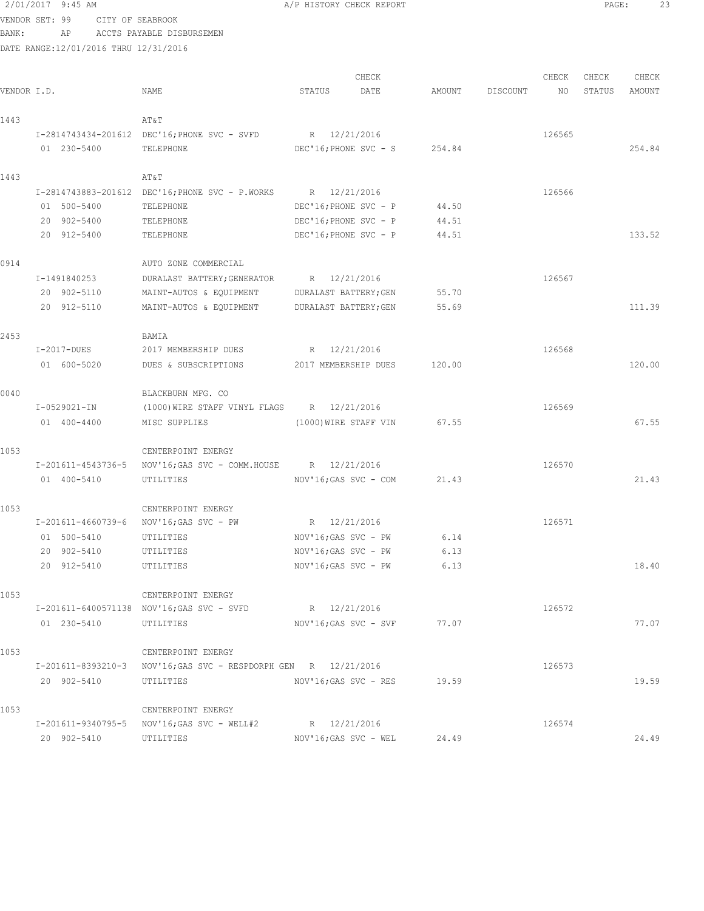|             | 2/01/2017 9:45 AM                     |                                                                 | A/P HISTORY CHECK REPORT |        |          |        | PAGE:  | 23     |  |
|-------------|---------------------------------------|-----------------------------------------------------------------|--------------------------|--------|----------|--------|--------|--------|--|
|             | VENDOR SET: 99<br>CITY OF SEABROOK    |                                                                 |                          |        |          |        |        |        |  |
| BANK:       | AP                                    | ACCTS PAYABLE DISBURSEMEN                                       |                          |        |          |        |        |        |  |
|             | DATE RANGE:12/01/2016 THRU 12/31/2016 |                                                                 |                          |        |          |        |        |        |  |
|             |                                       |                                                                 |                          |        |          |        |        |        |  |
|             |                                       |                                                                 | CHECK                    |        |          | CHECK  | CHECK  | CHECK  |  |
| VENDOR I.D. |                                       | NAME                                                            | STATUS<br>DATE           | AMOUNT | DISCOUNT | NO.    | STATUS | AMOUNT |  |
|             |                                       |                                                                 |                          |        |          |        |        |        |  |
| 1443        |                                       | AT&T                                                            |                          |        |          |        |        |        |  |
|             |                                       | I-2814743434-201612 DEC'16; PHONE SVC - SVFD                    | R 12/21/2016             |        |          | 126565 |        |        |  |
|             | 01 230-5400                           | TELEPHONE                                                       | DEC'16; PHONE SVC - S    | 254.84 |          |        |        | 254.84 |  |
| 1443        |                                       | AT&T                                                            |                          |        |          |        |        |        |  |
|             |                                       | I-2814743883-201612 DEC'16; PHONE SVC - P.WORKS                 | R 12/21/2016             |        |          | 126566 |        |        |  |
|             | 01 500-5400                           | TELEPHONE                                                       | DEC'16; PHONE SVC - P    | 44.50  |          |        |        |        |  |
|             | 20 902-5400                           | TELEPHONE                                                       | DEC'16; PHONE SVC - P    | 44.51  |          |        |        |        |  |
|             | 20 912-5400                           | TELEPHONE                                                       | DEC'16; PHONE SVC - P    | 44.51  |          |        |        | 133.52 |  |
|             |                                       |                                                                 |                          |        |          |        |        |        |  |
| 0914        |                                       | AUTO ZONE COMMERCIAL                                            |                          |        |          |        |        |        |  |
|             | I-1491840253                          | DURALAST BATTERY; GENERATOR                                     | R 12/21/2016             |        |          | 126567 |        |        |  |
|             | 20 902-5110                           | MAINT-AUTOS & EQUIPMENT                                         | DURALAST BATTERY; GEN    | 55.70  |          |        |        |        |  |
|             | 20 912-5110                           | MAINT-AUTOS & EQUIPMENT                                         | DURALAST BATTERY; GEN    | 55.69  |          |        |        | 111.39 |  |
|             |                                       |                                                                 |                          |        |          |        |        |        |  |
| 2453        |                                       | BAMIA                                                           |                          |        |          |        |        |        |  |
|             | $I-2017-DUES$                         | 2017 MEMBERSHIP DUES                                            | R 12/21/2016             |        |          | 126568 |        |        |  |
|             | 01 600-5020                           | DUES & SUBSCRIPTIONS                                            | 2017 MEMBERSHIP DUES     | 120.00 |          |        |        | 120.00 |  |
|             |                                       |                                                                 |                          |        |          |        |        |        |  |
| 0040        |                                       | BLACKBURN MFG. CO                                               |                          |        |          |        |        |        |  |
|             | I-0529021-IN                          | (1000) WIRE STAFF VINYL FLAGS R 12/21/2016                      |                          |        |          | 126569 |        |        |  |
|             | 01 400-4400                           | MISC SUPPLIES                                                   | (1000) WIRE STAFF VIN    | 67.55  |          |        |        | 67.55  |  |
|             |                                       |                                                                 |                          |        |          |        |        |        |  |
| 1053        |                                       | CENTERPOINT ENERGY                                              |                          |        |          |        |        |        |  |
|             |                                       | I-201611-4543736-5 NOV'16; GAS SVC - COMM. HOUSE R 12/21/2016   |                          |        |          | 126570 |        |        |  |
|             | 01 400-5410                           | UTILITIES                                                       | NOV'16;GAS SVC - COM     | 21.43  |          |        |        | 21.43  |  |
|             |                                       |                                                                 |                          |        |          |        |        |        |  |
| 1053        |                                       | CENTERPOINT ENERGY<br>I-201611-4660739-6 NOV'16; GAS SVC - PW   | R 12/21/2016             |        |          | 126571 |        |        |  |
|             | 01 500-5410                           | UTILITIES                                                       | NOV'16; GAS SVC - PW     | 6.14   |          |        |        |        |  |
|             | 20 902-5410                           | UTILITIES                                                       | NOV'16;GAS SVC - PW      | 6.13   |          |        |        |        |  |
|             | 20 912-5410                           | UTILITIES                                                       | NOV'16;GAS SVC - PW      | 6.13   |          |        |        | 18.40  |  |
|             |                                       |                                                                 |                          |        |          |        |        |        |  |
| 1053        |                                       | CENTERPOINT ENERGY                                              |                          |        |          |        |        |        |  |
|             |                                       | I-201611-6400571138 NOV'16;GAS SVC - SVFD                       | R 12/21/2016             |        |          | 126572 |        |        |  |
|             | 01 230-5410                           | UTILITIES                                                       | NOV'16;GAS SVC - SVF     | 77.07  |          |        |        | 77.07  |  |
|             |                                       |                                                                 |                          |        |          |        |        |        |  |
| 1053        |                                       | CENTERPOINT ENERGY                                              |                          |        |          |        |        |        |  |
|             |                                       | I-201611-8393210-3 NOV'16; GAS SVC - RESPDORPH GEN R 12/21/2016 |                          |        |          | 126573 |        |        |  |
|             | 20 902-5410                           | UTILITIES                                                       | NOV'16;GAS SVC - RES     | 19.59  |          |        |        | 19.59  |  |
|             |                                       |                                                                 |                          |        |          |        |        |        |  |
| 1053        |                                       | CENTERPOINT ENERGY                                              |                          |        |          |        |        |        |  |
|             |                                       | I-201611-9340795-5 NOV'16; GAS SVC - WELL#2                     | R 12/21/2016             |        |          | 126574 |        |        |  |

20 902-5410 UTILITIES NOV'16;GAS SVC - WEL 24.49 24.49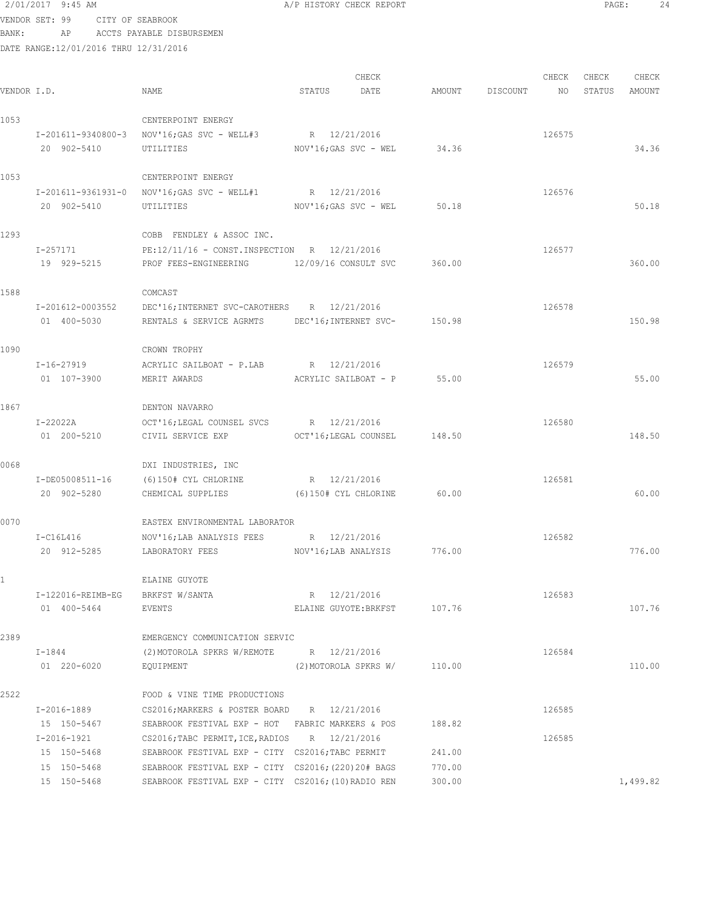# 2/01/2017 9:45 AM A/P HISTORY CHECK REPORT PAGE: 24 VENDOR SET: 99 CITY OF SEABROOK

BANK: AP ACCTS PAYABLE DISBURSEMEN

| VENDOR I.D. |                            | NAME                                                                                                    | STATUS | CHECK<br>DATE                   |                  | AMOUNT DISCOUNT NO | CHECK  | CHECK<br>STATUS | CHECK<br>AMOUNT |
|-------------|----------------------------|---------------------------------------------------------------------------------------------------------|--------|---------------------------------|------------------|--------------------|--------|-----------------|-----------------|
| 1053        |                            | CENTERPOINT ENERGY                                                                                      |        |                                 |                  |                    |        |                 |                 |
|             |                            | I-201611-9340800-3 NOV'16; GAS SVC - WELL#3 R 12/21/2016                                                |        |                                 |                  |                    | 126575 |                 |                 |
|             | 20 902-5410                | UTILITIES                                                                                               |        | $NOV'16; GAS$ $SVC - WEL$ 34.36 |                  |                    |        |                 | 34.36           |
| 1053        |                            | CENTERPOINT ENERGY                                                                                      |        |                                 |                  |                    |        |                 |                 |
|             |                            | I-201611-9361931-0 NOV'16; GAS SVC - WELL#1 R 12/21/2016                                                |        |                                 |                  |                    | 126576 |                 |                 |
|             | 20 902-5410                | UTILITIES                                                                                               |        | NOV'16:GAS SVC - WEL            | 50.18            |                    |        |                 | 50.18           |
| 1293        |                            | COBB FENDLEY & ASSOC INC.                                                                               |        |                                 |                  |                    |        |                 |                 |
|             | I-257171                   | $PE:12/11/16 - CONST.$ INSPECTION R $12/21/2016$                                                        |        |                                 |                  |                    | 126577 |                 |                 |
|             | 19 929-5215                | PROF FEES-ENGINEERING 12/09/16 CONSULT SVC                                                              |        |                                 | 360.00           |                    |        |                 | 360.00          |
| 1588        |                            | COMCAST                                                                                                 |        |                                 |                  |                    |        |                 |                 |
|             | I-201612-0003552           | DEC'16; INTERNET SVC-CAROTHERS R 12/21/2016                                                             |        |                                 |                  |                    | 126578 |                 |                 |
|             | 01 400-5030                | RENTALS & SERVICE AGRMTS DEC'16; INTERNET SVC-                                                          |        |                                 | 150.98           |                    |        |                 | 150.98          |
| 1090        |                            | CROWN TROPHY                                                                                            |        |                                 |                  |                    |        |                 |                 |
|             | I-16-27919                 | ACRYLIC SAILBOAT - P.LAB R $12/21/2016$                                                                 |        |                                 |                  |                    | 126579 |                 |                 |
|             | 01 107-3900                | MERIT AWARDS                                                                                            |        | ACRYLIC SAILBOAT - P            | 55.00            |                    |        |                 | 55.00           |
| 1867        |                            | DENTON NAVARRO                                                                                          |        |                                 |                  |                    |        |                 |                 |
|             | I-22022A                   | OCT'16; LEGAL COUNSEL SVCS R 12/21/2016                                                                 |        |                                 |                  |                    | 126580 |                 |                 |
|             | 01 200-5210                | CIVIL SERVICE EXP                                                                                       |        | OCT'16;LEGAL COUNSEL 148.50     |                  |                    |        |                 | 148.50          |
| 0068        |                            | DXI INDUSTRIES, INC                                                                                     |        |                                 |                  |                    |        |                 |                 |
|             | I-DE05008511-16            | (6)150# CYL CHLORINE                                                                                    |        | R 12/21/2016                    |                  |                    | 126581 |                 |                 |
|             | 20 902-5280                | CHEMICAL SUPPLIES                                                                                       |        | (6)150# CYL CHLORINE 60.00      |                  |                    |        |                 | 60.00           |
| 0070        |                            | EASTEX ENVIRONMENTAL LABORATOR                                                                          |        |                                 |                  |                    |        |                 |                 |
|             | $I-C16L416$                | NOV'16; LAB ANALYSIS FEES R 12/21/2016                                                                  |        |                                 |                  |                    | 126582 |                 |                 |
|             | 20 912-5285                | NOV'16; LAB ANALYSIS<br>LABORATORY FEES                                                                 |        |                                 | 776.00           |                    |        |                 | 776.00          |
|             |                            | ELAINE GUYOTE                                                                                           |        |                                 |                  |                    |        |                 |                 |
|             | I-122016-REIMB-EG          | BRKFST W/SANTA                                                                                          |        | R 12/21/2016                    |                  |                    | 126583 |                 |                 |
|             | 01 400-5464                | EVENTS                                                                                                  |        | ELAINE GUYOTE: BRKFST 107.76    |                  |                    |        |                 | 107.76          |
| 2389        |                            | EMERGENCY COMMUNICATION SERVIC                                                                          |        |                                 |                  |                    |        |                 |                 |
|             | $I - 1844$                 | $(2)$ MOTOROLA SPKRS W/REMOTE R $12/21/2016$                                                            |        |                                 |                  |                    | 126584 |                 |                 |
|             | 01 220-6020                | EQUIPMENT                                                                                               |        | (2) MOTOROLA SPKRS W/           | 110.00           |                    |        |                 | 110.00          |
| 2522        |                            | FOOD & VINE TIME PRODUCTIONS                                                                            |        |                                 |                  |                    |        |                 |                 |
|             | I-2016-1889                | CS2016; MARKERS & POSTER BOARD R 12/21/2016                                                             |        |                                 |                  |                    | 126585 |                 |                 |
|             | 15 150-5467                | SEABROOK FESTIVAL EXP - HOT FABRIC MARKERS & POS                                                        |        |                                 | 188.82           |                    |        |                 |                 |
|             | $I-2016-1921$              | CS2016; TABC PERMIT, ICE, RADIOS R 12/21/2016                                                           |        |                                 |                  |                    | 126585 |                 |                 |
|             | 15 150-5468<br>15 150-5468 | SEABROOK FESTIVAL EXP - CITY CS2016; TABC PERMIT<br>SEABROOK FESTIVAL EXP - CITY CS2016; (220) 20# BAGS |        |                                 | 241.00<br>770.00 |                    |        |                 |                 |
|             | 15 150-5468                | SEABROOK FESTIVAL EXP - CITY CS2016; (10) RADIO REN                                                     |        |                                 | 300.00           |                    |        |                 | 1,499.82        |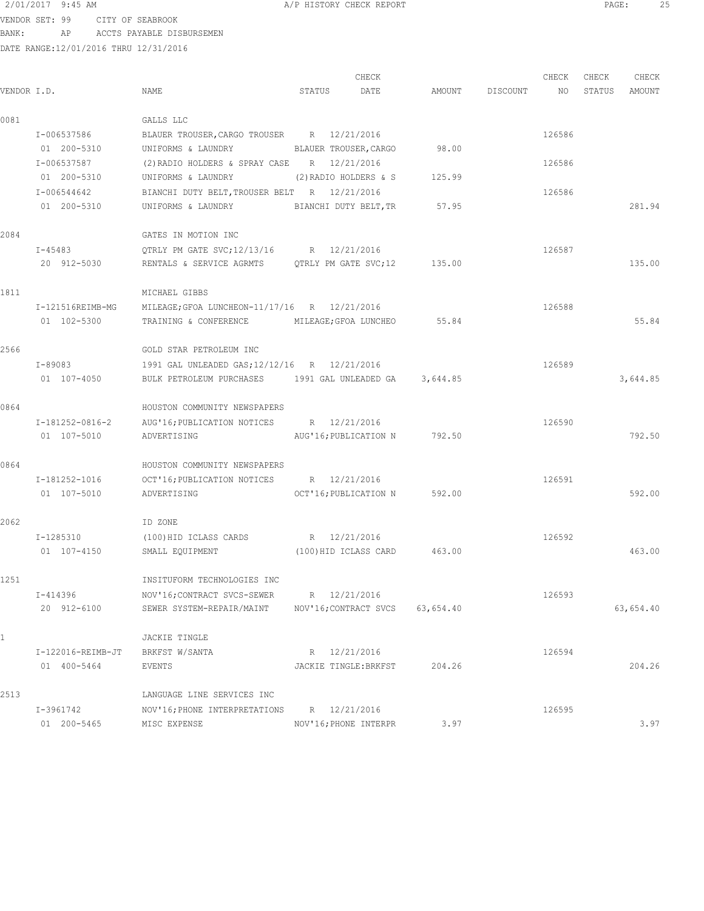VENDOR SET: 99 CITY OF SEABROOK BANK: AP ACCTS PAYABLE DISBURSEMEN

| VENDOR I.D. |                                      | NAME                                                                                                                     | STATUS                | CHECK<br>DATE                |           | AMOUNT DISCOUNT | CHECK<br>NO | CHECK<br>STATUS | CHECK<br>AMOUNT |
|-------------|--------------------------------------|--------------------------------------------------------------------------------------------------------------------------|-----------------------|------------------------------|-----------|-----------------|-------------|-----------------|-----------------|
| 0081        |                                      | GALLS LLC                                                                                                                |                       |                              |           |                 |             |                 |                 |
|             | I-006537586<br>01 200-5310           | BLAUER TROUSER, CARGO TROUSER R 12/21/2016<br>UNIFORMS & LAUNDRY                                                         |                       | BLAUER TROUSER, CARGO        | 98.00     |                 | 126586      |                 |                 |
|             | I-006537587<br>01 200-5310           | $(2)$ RADIO HOLDERS & SPRAY CASE R $12/21/2016$<br>UNIFORMS & LAUNDRY                                                    | (2) RADIO HOLDERS & S |                              | 125.99    |                 | 126586      |                 |                 |
|             | I-006544642<br>01 200-5310           | BIANCHI DUTY BELT, TROUSER BELT R 12/21/2016<br>UNIFORMS & LAUNDRY BIANCHI DUTY BELT, TR                                 |                       |                              | 57.95     |                 | 126586      |                 | 281.94          |
| 2084        |                                      | GATES IN MOTION INC                                                                                                      |                       |                              |           |                 |             |                 |                 |
|             | I-45483<br>20 912-5030               | OTRLY PM GATE SVC; 12/13/16 R 12/21/2016<br>RENTALS & SERVICE AGRMTS QTRLY PM GATE SVC;12                                |                       |                              | 135.00    |                 | 126587      |                 | 135.00          |
| 1811        | I-121516REIMB-MG<br>01 102-5300      | MICHAEL GIBBS<br>MILEAGE; GFOA LUNCHEON-11/17/16 R 12/21/2016<br>TRAINING & CONFERENCE MILEAGE; GFOA LUNCHEO             |                       |                              | 55.84     |                 | 126588      |                 | 55.84           |
| 2566        | $I - 89083$<br>01 107-4050           | GOLD STAR PETROLEUM INC<br>1991 GAL UNLEADED GAS; 12/12/16 R 12/21/2016<br>BULK PETROLEUM PURCHASES 1991 GAL UNLEADED GA |                       |                              | 3,644.85  |                 | 126589      |                 | 3,644.85        |
| 0864        |                                      | HOUSTON COMMUNITY NEWSPAPERS                                                                                             |                       |                              |           |                 |             |                 |                 |
|             | I-181252-0816-2<br>01 107-5010       | AUG'16; PUBLICATION NOTICES R 12/21/2016<br>ADVERTISING                                                                  |                       | AUG'16; PUBLICATION N 792.50 |           |                 | 126590      |                 | 792.50          |
| 0864        |                                      | HOUSTON COMMUNITY NEWSPAPERS                                                                                             |                       |                              |           |                 |             |                 |                 |
|             | I-181252-1016<br>01 107-5010         | OCT'16; PUBLICATION NOTICES R 12/21/2016<br>ADVERTISING                                                                  |                       | OCT'16; PUBLICATION N 592.00 |           |                 | 126591      |                 | 592.00          |
| 2062        | I-1285310<br>01 107-4150             | ID ZONE<br>(100) HID ICLASS CARDS R 12/21/2016<br>SMALL EQUIPMENT<br>(100) HID ICLASS CARD                               |                       |                              | 463.00    |                 | 126592      |                 | 463.00          |
| 1251        | I-414396                             | INSITUFORM TECHNOLOGIES INC<br>NOV'16; CONTRACT SVCS-SEWER                                                               | R 12/21/2016          |                              |           |                 | 126593      |                 |                 |
|             | 20 912-6100                          | SEWER SYSTEM-REPAIR/MAINT                                                                                                | NOV'16; CONTRACT SVCS |                              | 63,654.40 |                 |             |                 | 63,654.40       |
|             | $I-122016 - REIMB-JT$<br>01 400-5464 | JACKIE TINGLE<br>BRKFST W/SANTA<br>EVENTS                                                                                | R 12/21/2016          | JACKIE TINGLE: BRKFST        | 204.26    |                 | 126594      |                 | 204.26          |
| 2513        | I-3961742                            | LANGUAGE LINE SERVICES INC<br>NOV'16; PHONE INTERPRETATIONS                                                              | R 12/21/2016          |                              |           |                 | 126595      |                 |                 |
|             | 01 200-5465                          | MISC EXPENSE                                                                                                             | NOV'16; PHONE INTERPR |                              | 3.97      |                 |             |                 | 3.97            |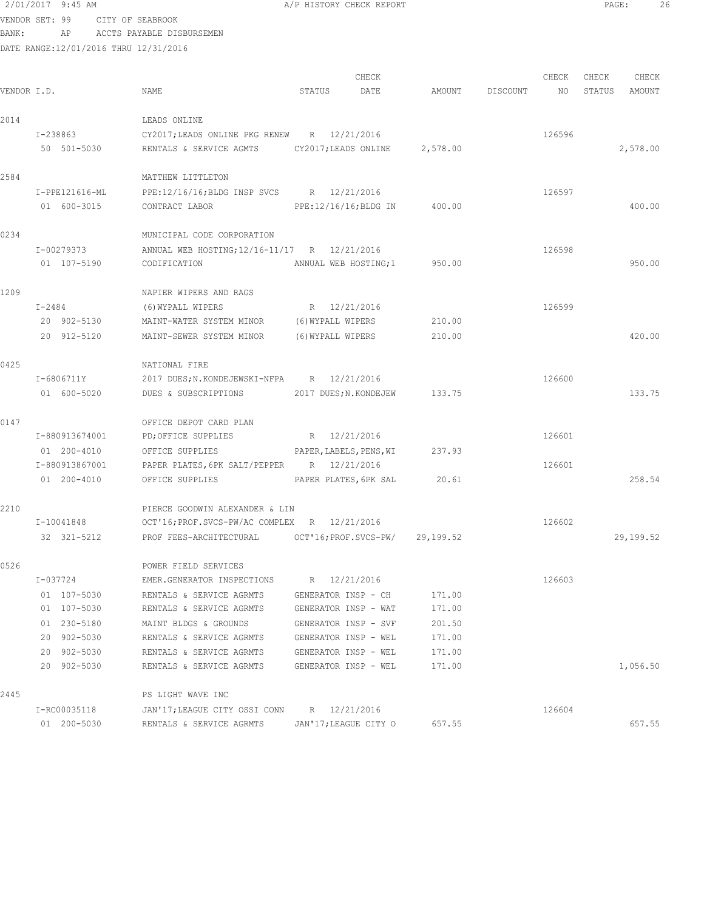VENDOR SET: 99 CITY OF SEABROOK BANK: AP ACCTS PAYABLE DISBURSEMEN

| VENDOR I.D. |                | NAME                                                      | STATUS                  | CHECK<br>DATE | AMOUNT   | DISCOUNT | CHECK<br>NO | CHECK<br>STATUS | CHECK<br>AMOUNT |
|-------------|----------------|-----------------------------------------------------------|-------------------------|---------------|----------|----------|-------------|-----------------|-----------------|
| 2014        |                | LEADS ONLINE                                              |                         |               |          |          |             |                 |                 |
|             | I-238863       | CY2017; LEADS ONLINE PKG RENEW R 12/21/2016               |                         |               |          |          | 126596      |                 |                 |
|             | 50 501-5030    | RENTALS & SERVICE AGMTS CY2017; LEADS ONLINE              |                         |               | 2,578.00 |          |             |                 | 2,578.00        |
| 2584        |                | MATTHEW LITTLETON                                         |                         |               |          |          |             |                 |                 |
|             | I-PPE121616-ML | PPE:12/16/16; BLDG INSP SVCS R 12/21/2016                 |                         |               |          |          | 126597      |                 |                 |
|             | 01 600-3015    | CONTRACT LABOR                                            | PPE:12/16/16;BLDG IN    |               | 400.00   |          |             |                 | 400.00          |
| 0234        |                | MUNICIPAL CODE CORPORATION                                |                         |               |          |          |             |                 |                 |
|             | I-00279373     | ANNUAL WEB HOSTING; 12/16-11/17 R 12/21/2016              |                         |               |          |          | 126598      |                 |                 |
|             | 01 107-5190    | CODIFICATION                                              | ANNUAL WEB HOSTING;1    |               | 950.00   |          |             |                 | 950.00          |
| 1209        |                | NAPIER WIPERS AND RAGS                                    |                         |               |          |          |             |                 |                 |
|             | I-2484         | (6) WYPALL WIPERS                                         | R 12/21/2016            |               |          |          | 126599      |                 |                 |
|             | 20 902-5130    | MAINT-WATER SYSTEM MINOR                                  | (6) WYPALL WIPERS       |               | 210.00   |          |             |                 |                 |
|             | 20 912-5120    | MAINT-SEWER SYSTEM MINOR                                  | (6) WYPALL WIPERS       |               | 210.00   |          |             |                 | 420.00          |
| 0425        |                | NATIONAL FIRE                                             |                         |               |          |          |             |                 |                 |
|             | I-6806711Y     | 2017 DUES; N. KONDEJEWSKI-NFPA R 12/21/2016               |                         |               |          |          | 126600      |                 |                 |
|             | 01 600-5020    | DUES & SUBSCRIPTIONS                                      | 2017 DUES; N.KONDEJEW   |               | 133.75   |          |             |                 | 133.75          |
| 0147        |                | OFFICE DEPOT CARD PLAN                                    |                         |               |          |          |             |                 |                 |
|             | I-880913674001 | PD; OFFICE SUPPLIES                                       | R 12/21/2016            |               |          |          | 126601      |                 |                 |
|             | 01 200-4010    | OFFICE SUPPLIES                                           | PAPER, LABELS, PENS, WI |               | 237.93   |          |             |                 |                 |
|             | I-880913867001 | PAPER PLATES, 6PK SALT/PEPPER R 12/21/2016                |                         |               |          |          | 126601      |                 |                 |
|             | 01 200-4010    | OFFICE SUPPLIES PAPER PLATES, 6PK SAL                     |                         |               | 20.61    |          |             |                 | 258.54          |
| 2210        |                | PIERCE GOODWIN ALEXANDER & LIN                            |                         |               |          |          |             |                 |                 |
|             | I-10041848     | OCT'16; PROF.SVCS-PW/AC COMPLEX R 12/21/2016              |                         |               |          |          | 126602      |                 |                 |
|             | 32 321-5212    | PROF FEES-ARCHITECTURAL OCT'16; PROF. SVCS-PW/ 29, 199.52 |                         |               |          |          |             |                 | 29,199.52       |
| 0526        |                | POWER FIELD SERVICES                                      |                         |               |          |          |             |                 |                 |
|             | I-037724       | EMER.GENERATOR INSPECTIONS R 12/21/2016                   |                         |               |          |          | 126603      |                 |                 |
|             | 01 107-5030    | RENTALS & SERVICE AGRMTS                                  | GENERATOR INSP - CH     |               | 171.00   |          |             |                 |                 |
|             | 01 107-5030    | RENTALS & SERVICE AGRMTS                                  | GENERATOR INSP - WAT    |               | 171.00   |          |             |                 |                 |
|             | 01 230-5180    | MAINT BLDGS & GROUNDS                                     | GENERATOR INSP - SVF    |               | 201.50   |          |             |                 |                 |
|             | 20 902-5030    | RENTALS & SERVICE AGRMTS                                  | GENERATOR INSP - WEL    |               | 171.00   |          |             |                 |                 |
|             | 20 902-5030    | RENTALS & SERVICE AGRMTS                                  | GENERATOR INSP - WEL    |               | 171.00   |          |             |                 |                 |
|             | 20 902-5030    | RENTALS & SERVICE AGRMTS                                  | GENERATOR INSP - WEL    |               | 171.00   |          |             |                 | 1,056.50        |
| 2445        |                | PS LIGHT WAVE INC                                         |                         |               |          |          |             |                 |                 |
|             | I-RC00035118   | JAN'17; LEAGUE CITY OSSI CONN                             | R 12/21/2016            |               |          |          | 126604      |                 |                 |
|             | 01 200-5030    | RENTALS & SERVICE AGRMTS                                  | JAN'17; LEAGUE CITY O   |               | 657.55   |          |             |                 | 657.55          |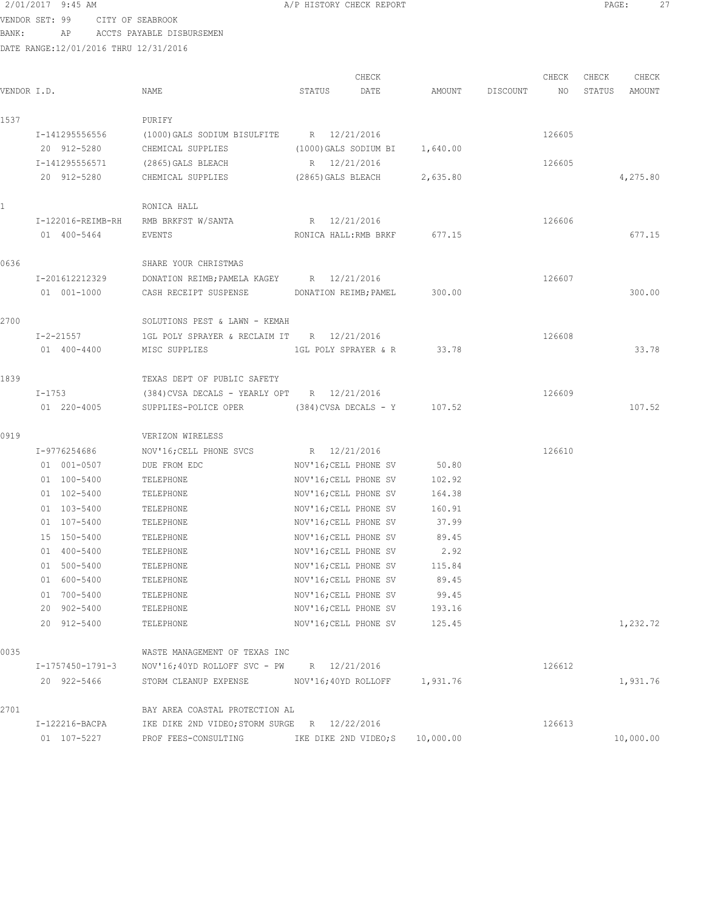VENDOR SET: 99 CITY OF SEABROOK BANK: AP ACCTS PAYABLE DISBURSEMEN

| VENDOR I.D.  |                               | NAME                                                           | CHECK<br>DATE<br>STATUS                        | AMOUNT        | CHECK<br>DISCOUNT<br>NO | CHECK<br>CHECK<br>STATUS<br>AMOUNT |
|--------------|-------------------------------|----------------------------------------------------------------|------------------------------------------------|---------------|-------------------------|------------------------------------|
| 1537         |                               | PURIFY                                                         |                                                |               |                         |                                    |
|              | I-141295556556<br>20 912-5280 | (1000) GALS SODIUM BISULFITE R 12/21/2016<br>CHEMICAL SUPPLIES | (1000) GALS SODIUM BI 1,640.00                 |               | 126605                  |                                    |
|              | I-141295556571                | (2865)GALS BLEACH                                              | R 12/21/2016                                   |               | 126605                  |                                    |
|              | 20 912-5280                   | CHEMICAL SUPPLIES                                              | (2865)GALS BLEACH                              | 2,635.80      |                         | 4,275.80                           |
| $\mathbf{1}$ |                               | RONICA HALL                                                    |                                                |               |                         |                                    |
|              | I-122016-REIMB-RH             | RMB BRKFST W/SANTA                                             | R 12/21/2016                                   |               | 126606                  |                                    |
|              | 01 400-5464                   | EVENTS                                                         | RONICA HALL:RMB BRKF                           | 677.15        |                         | 677.15                             |
| 0636         |                               | SHARE YOUR CHRISTMAS                                           |                                                |               |                         |                                    |
|              | I-201612212329                | DONATION REIMB; PAMELA KAGEY R 12/21/2016                      |                                                |               | 126607                  |                                    |
|              | 01 001-1000                   | CASH RECEIPT SUSPENSE                                          | DONATION REIMB; PAMEL                          | 300.00        |                         | 300.00                             |
| 2700         |                               | SOLUTIONS PEST & LAWN - KEMAH                                  |                                                |               |                         |                                    |
|              | I-2-21557                     | 1GL POLY SPRAYER & RECLAIM IT R 12/21/2016                     |                                                |               | 126608                  |                                    |
|              | 01 400-4400                   | MISC SUPPLIES                                                  | 1GL POLY SPRAYER & R                           | 33.78         |                         | 33.78                              |
| 1839         |                               | TEXAS DEPT OF PUBLIC SAFETY                                    |                                                |               |                         |                                    |
|              | I-1753                        | $(384)$ CVSA DECALS - YEARLY OPT R $12/21/2016$                |                                                |               | 126609                  |                                    |
|              | 01 220-4005                   | SUPPLIES-POLICE OPER (384) CVSA DECALS - Y 107.52              |                                                |               |                         | 107.52                             |
| 0919         |                               | VERIZON WIRELESS                                               |                                                |               |                         |                                    |
|              | I-9776254686                  | NOV'16; CELL PHONE SVCS                                        | R 12/21/2016                                   |               | 126610                  |                                    |
|              | 01 001-0507                   | DUE FROM EDC                                                   | NOV'16; CELL PHONE SV                          | 50.80         |                         |                                    |
|              | 01 100-5400                   | TELEPHONE                                                      | NOV'16; CELL PHONE SV                          | 102.92        |                         |                                    |
|              | 01 102-5400                   | TELEPHONE                                                      | NOV'16; CELL PHONE SV                          | 164.38        |                         |                                    |
|              | 01 103-5400                   | TELEPHONE                                                      | NOV'16; CELL PHONE SV                          | 160.91        |                         |                                    |
|              | 01 107-5400                   | TELEPHONE                                                      | NOV'16; CELL PHONE SV                          | 37.99         |                         |                                    |
|              | 15 150-5400<br>01 400-5400    | TELEPHONE                                                      | NOV'16; CELL PHONE SV                          | 89.45<br>2.92 |                         |                                    |
|              | 01 500-5400                   | TELEPHONE                                                      | NOV'16; CELL PHONE SV<br>NOV'16; CELL PHONE SV | 115.84        |                         |                                    |
|              | 01 600-5400                   | TELEPHONE<br>TELEPHONE                                         | NOV'16; CELL PHONE SV                          | 89.45         |                         |                                    |
|              | 01 700-5400                   | TELEPHONE                                                      | NOV'16; CELL PHONE SV                          | 99.45         |                         |                                    |
|              | 20 902-5400                   | TELEPHONE                                                      | NOV'16; CELL PHONE SV                          | 193.16        |                         |                                    |
|              | 20 912-5400                   | TELEPHONE                                                      | NOV'16; CELL PHONE SV                          | 125.45        |                         | 1,232.72                           |
| 0035         |                               | WASTE MANAGEMENT OF TEXAS INC                                  |                                                |               |                         |                                    |
|              | I-1757450-1791-3              | NOV'16;40YD ROLLOFF SVC - PW R 12/21/2016                      |                                                |               | 126612                  |                                    |
|              | 20 922-5466                   | STORM CLEANUP EXPENSE NOV'16;40YD ROLLOFF 1,931.76             |                                                |               |                         | 1,931.76                           |
| 2701         |                               | BAY AREA COASTAL PROTECTION AL                                 |                                                |               |                         |                                    |
|              | I-122216-BACPA                | IKE DIKE 2ND VIDEO; STORM SURGE R 12/22/2016                   |                                                |               | 126613                  |                                    |
|              | 01 107-5227                   | PROF FEES-CONSULTING                                           | IKE DIKE 2ND VIDEO; S                          | 10,000.00     |                         | 10,000.00                          |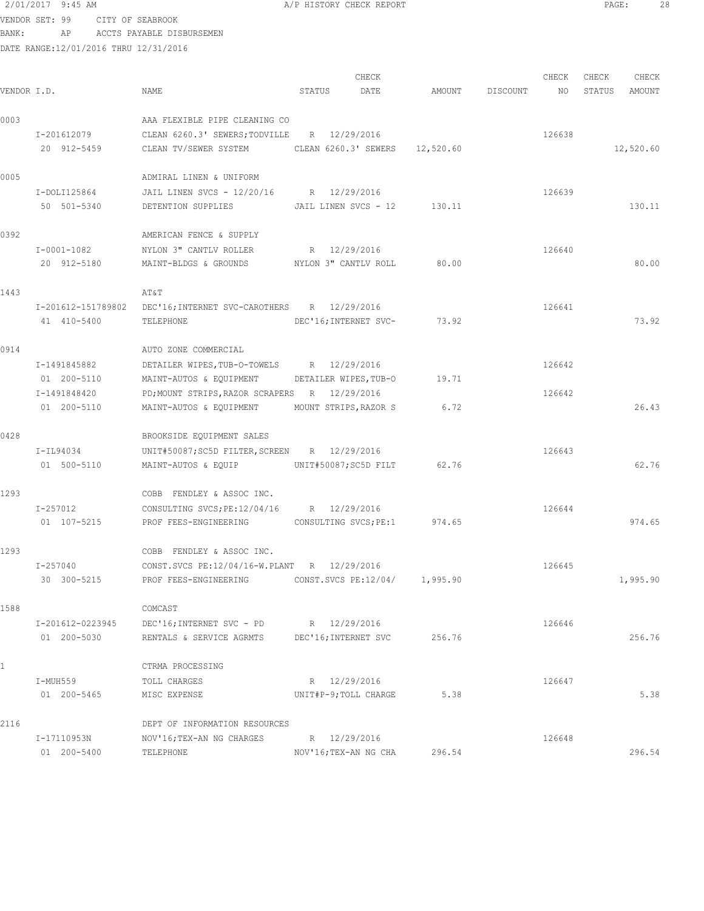VENDOR SET: 99 CITY OF SEABROOK BANK: AP ACCTS PAYABLE DISBURSEMEN

| VENDOR I.D. |                             | NAME                                                           | STATUS | CHECK<br>DATE                |        | AMOUNT DISCOUNT | CHECK<br>NO | CHECK<br>STATUS | CHECK<br>AMOUNT |
|-------------|-----------------------------|----------------------------------------------------------------|--------|------------------------------|--------|-----------------|-------------|-----------------|-----------------|
|             |                             |                                                                |        |                              |        |                 |             |                 |                 |
| 0003        |                             | AAA FLEXIBLE PIPE CLEANING CO                                  |        |                              |        |                 |             |                 |                 |
|             | I-201612079                 | CLEAN 6260.3' SEWERS; TODVILLE R 12/29/2016                    |        |                              |        |                 | 126638      |                 |                 |
|             | 20 912-5459                 | CLEAN TV/SEWER SYSTEM CLEAN 6260.3' SEWERS 12,520.60           |        |                              |        |                 |             |                 | 12,520.60       |
| 0005        |                             | ADMIRAL LINEN & UNIFORM                                        |        |                              |        |                 |             |                 |                 |
|             | I-DOLI125864                | JAIL LINEN SVCS - 12/20/16 R 12/29/2016                        |        |                              |        |                 | 126639      |                 |                 |
|             | 50 501-5340                 | DETENTION SUPPLIES                                             |        | JAIL LINEN SVCS - 12 130.11  |        |                 |             |                 | 130.11          |
| 0392        |                             | AMERICAN FENCE & SUPPLY                                        |        |                              |        |                 |             |                 |                 |
|             | I-0001-1082                 | NYLON 3" CANTLV ROLLER                                         |        | R 12/29/2016                 |        |                 | 126640      |                 |                 |
|             | 20 912-5180                 | MAINT-BLDGS & GROUNDS MYLON 3" CANTLV ROLL                     |        |                              | 80.00  |                 |             |                 | 80.00           |
| 1443        |                             | AT&T                                                           |        |                              |        |                 |             |                 |                 |
|             |                             | I-201612-151789802 DEC'16; INTERNET SVC-CAROTHERS R 12/29/2016 |        |                              |        |                 | 126641      |                 |                 |
|             | 41 410-5400                 | TELEPHONE                                                      |        | DEC'16; INTERNET SVC-        | 73.92  |                 |             |                 | 73.92           |
|             |                             |                                                                |        |                              |        |                 |             |                 |                 |
| 0914        |                             | AUTO ZONE COMMERCIAL                                           |        |                              |        |                 |             |                 |                 |
|             | I-1491845882                | DETAILER WIPES, TUB-O-TOWELS R 12/29/2016                      |        |                              |        |                 | 126642      |                 |                 |
|             | 01 200-5110                 | MAINT-AUTOS & EQUIPMENT                                        |        | DETAILER WIPES, TUB-O        | 19.71  |                 |             |                 |                 |
|             | I-1491848420<br>01 200-5110 | PD; MOUNT STRIPS, RAZOR SCRAPERS R 12/29/2016                  |        | MOUNT STRIPS, RAZOR S        | 6.72   |                 | 126642      |                 | 26.43           |
|             |                             | MAINT-AUTOS & EQUIPMENT                                        |        |                              |        |                 |             |                 |                 |
| 0428        |                             | BROOKSIDE EQUIPMENT SALES                                      |        |                              |        |                 |             |                 |                 |
|             | I-IL94034                   | UNIT#50087; SC5D FILTER, SCREEN R 12/29/2016                   |        |                              |        |                 | 126643      |                 |                 |
|             | 01 500-5110                 |                                                                |        |                              | 62.76  |                 |             |                 | 62.76           |
| 1293        |                             | COBB FENDLEY & ASSOC INC.                                      |        |                              |        |                 |             |                 |                 |
|             | I-257012                    | CONSULTING SVCS; PE: 12/04/16 R 12/29/2016                     |        |                              |        |                 | 126644      |                 |                 |
|             | 01 107-5215                 | PROF FEES-ENGINEERING                                          |        | CONSULTING SVCS; PE:1 974.65 |        |                 |             |                 | 974.65          |
| 1293        |                             | COBB FENDLEY & ASSOC INC.                                      |        |                              |        |                 |             |                 |                 |
|             | I-257040                    | CONST.SVCS PE:12/04/16-W.PLANT R 12/29/2016                    |        |                              |        |                 | 126645      |                 |                 |
|             | 30 300-5215                 | PROF FEES-ENGINEERING CONST.SVCS PE:12/04/ 1,995.90            |        |                              |        |                 |             |                 | 1,995.90        |
| 1588        |                             | COMCAST                                                        |        |                              |        |                 |             |                 |                 |
|             | I-201612-0223945            | DEC'16; INTERNET SVC - PD                                      |        | R 12/29/2016                 |        |                 | 126646      |                 |                 |
|             | 01 200-5030                 | RENTALS & SERVICE AGRMTS DEC'16; INTERNET SVC                  |        |                              | 256.76 |                 |             |                 | 256.76          |
|             |                             |                                                                |        |                              |        |                 |             |                 |                 |
|             | I-MUH559                    | CTRMA PROCESSING<br>TOLL CHARGES                               |        | R 12/29/2016                 |        |                 | 126647      |                 |                 |
|             | 01 200-5465                 | MISC EXPENSE                                                   |        | UNIT#P-9; TOLL CHARGE        | 5.38   |                 |             |                 | 5.38            |
|             |                             |                                                                |        |                              |        |                 |             |                 |                 |
| 2116        |                             | DEPT OF INFORMATION RESOURCES                                  |        |                              |        |                 |             |                 |                 |
|             | I-17110953N<br>01 200-5400  | NOV'16;TEX-AN NG CHARGES                                       |        | R 12/29/2016                 | 296.54 |                 | 126648      |                 | 296.54          |
|             |                             | TELEPHONE                                                      |        | NOV'16; TEX-AN NG CHA        |        |                 |             |                 |                 |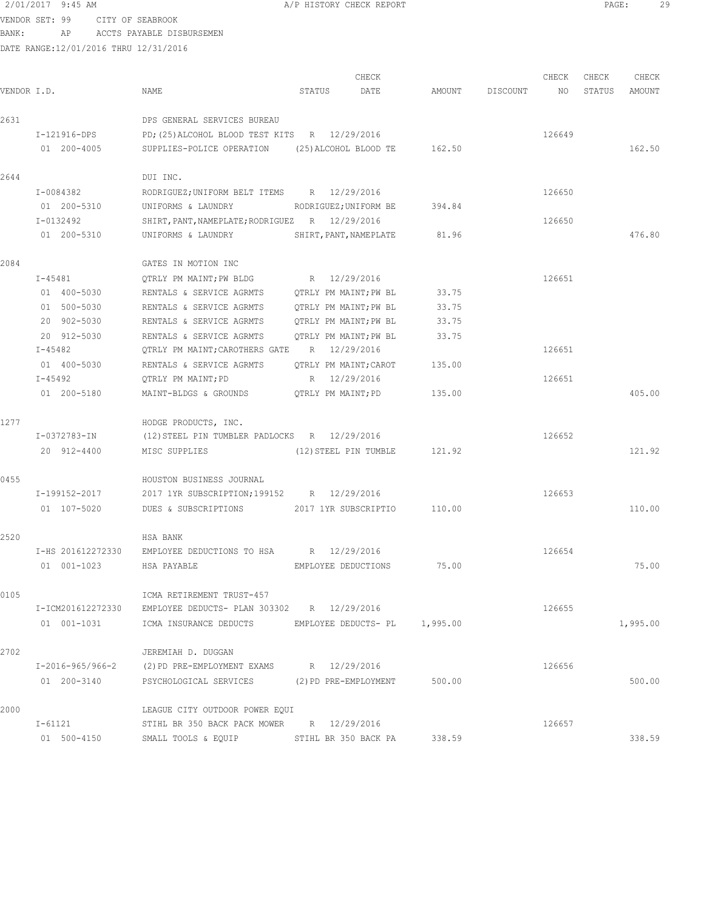VENDOR SET: 99 CITY OF SEABROOK BANK: AP ACCTS PAYABLE DISBURSEMEN

| VENDOR I.D. |                        | NAME                                                         | STATUS                 | CHECK<br>DATE | AMOUNT | DISCOUNT | CHECK<br>NO | CHECK<br>STATUS | CHECK<br>AMOUNT |
|-------------|------------------------|--------------------------------------------------------------|------------------------|---------------|--------|----------|-------------|-----------------|-----------------|
| 2631        |                        | DPS GENERAL SERVICES BUREAU                                  |                        |               |        |          |             |                 |                 |
|             | I-121916-DPS           | PD; (25) ALCOHOL BLOOD TEST KITS R 12/29/2016                |                        |               |        |          | 126649      |                 |                 |
|             | 01 200-4005            | SUPPLIES-POLICE OPERATION                                    | (25) ALCOHOL BLOOD TE  |               | 162.50 |          |             |                 | 162.50          |
| 2644        |                        | DUI INC.                                                     |                        |               |        |          |             |                 |                 |
|             | I-0084382              | RODRIGUEZ; UNIFORM BELT ITEMS R 12/29/2016                   |                        |               |        |          | 126650      |                 |                 |
|             | 01 200-5310            | UNIFORMS & LAUNDRY                                           | RODRIGUEZ; UNIFORM BE  |               | 394.84 |          |             |                 |                 |
|             | I-0132492              | SHIRT, PANT, NAMEPLATE; RODRIGUEZ R 12/29/2016               |                        |               |        |          | 126650      |                 |                 |
|             | 01 200-5310            | UNIFORMS & LAUNDRY                                           | SHIRT, PANT, NAMEPLATE |               | 81.96  |          |             |                 | 476.80          |
| 2084        |                        | GATES IN MOTION INC                                          |                        |               |        |          |             |                 |                 |
|             | I-45481                | QTRLY PM MAINT; PW BLDG                                      | R 12/29/2016           |               |        |          | 126651      |                 |                 |
|             | 01 400-5030            | RENTALS & SERVICE AGRMTS                                     | QTRLY PM MAINT;PW BL   |               | 33.75  |          |             |                 |                 |
|             | 01 500-5030            | RENTALS & SERVICE AGRMTS                                     | QTRLY PM MAINT; PW BL  |               | 33.75  |          |             |                 |                 |
|             | 20 902-5030            | RENTALS & SERVICE AGRMTS                                     | QTRLY PM MAINT;PW BL   |               | 33.75  |          |             |                 |                 |
|             | 20 912-5030            | RENTALS & SERVICE AGRMTS                                     | QTRLY PM MAINT; PW BL  |               | 33.75  |          |             |                 |                 |
|             | I-45482                | QTRLY PM MAINT; CAROTHERS GATE                               | R 12/29/2016           |               |        |          | 126651      |                 |                 |
|             | 01 400-5030            | RENTALS & SERVICE AGRMTS                                     | OTRLY PM MAINT; CAROT  |               | 135.00 |          |             |                 |                 |
|             | I-45492<br>01 200-5180 | QTRLY PM MAINT; PD                                           | R 12/29/2016           |               | 135.00 |          | 126651      |                 | 405.00          |
|             |                        | MAINT-BLDGS & GROUNDS                                        | QTRLY PM MAINT; PD     |               |        |          |             |                 |                 |
| 1277        |                        | HODGE PRODUCTS, INC.                                         |                        |               |        |          |             |                 |                 |
|             | I-0372783-IN           | (12) STEEL PIN TUMBLER PADLOCKS R 12/29/2016                 |                        |               |        |          | 126652      |                 |                 |
|             | 20 912-4400            | MISC SUPPLIES                                                | (12) STEEL PIN TUMBLE  |               | 121.92 |          |             |                 | 121.92          |
| 0455        |                        | HOUSTON BUSINESS JOURNAL                                     |                        |               |        |          |             |                 |                 |
|             | I-199152-2017          | 2017 1YR SUBSCRIPTION; 199152 R 12/29/2016                   |                        |               |        |          | 126653      |                 |                 |
|             | 01 107-5020            | DUES & SUBSCRIPTIONS                                         | 2017 1YR SUBSCRIPTIO   |               | 110.00 |          |             |                 | 110.00          |
| 2520        |                        | HSA BANK                                                     |                        |               |        |          |             |                 |                 |
|             | I-HS 201612272330      | EMPLOYEE DEDUCTIONS TO HSA                                   | R 12/29/2016           |               |        |          | 126654      |                 |                 |
|             | 01 001-1023            | HSA PAYABLE                                                  | EMPLOYEE DEDUCTIONS    |               | 75.00  |          |             |                 | 75.00           |
| 0105        |                        | ICMA RETIREMENT TRUST-457                                    |                        |               |        |          |             |                 |                 |
|             |                        | I-ICM201612272330 EMPLOYEE DEDUCTS- PLAN 303302 R 12/29/2016 |                        |               |        |          | 126655      |                 |                 |
|             | 01 001-1031            | ICMA INSURANCE DEDUCTS EMPLOYEE DEDUCTS- PL 1,995.00         |                        |               |        |          |             |                 | 1,995.00        |
| 2702        |                        | JEREMIAH D. DUGGAN                                           |                        |               |        |          |             |                 |                 |
|             | I-2016-965/966-2       | (2) PD PRE-EMPLOYMENT EXAMS R 12/29/2016                     |                        |               |        |          | 126656      |                 |                 |
|             | 01 200-3140            | PSYCHOLOGICAL SERVICES (2) PD PRE-EMPLOYMENT                 |                        |               | 500.00 |          |             |                 | 500.00          |
| 2000        |                        | LEAGUE CITY OUTDOOR POWER EQUI                               |                        |               |        |          |             |                 |                 |
|             | I-61121                | STIHL BR 350 BACK PACK MOWER R 12/29/2016                    |                        |               |        |          | 126657      |                 |                 |
|             | 01 500-4150            | SMALL TOOLS & EQUIP                                          | STIHL BR 350 BACK PA   |               | 338.59 |          |             |                 | 338.59          |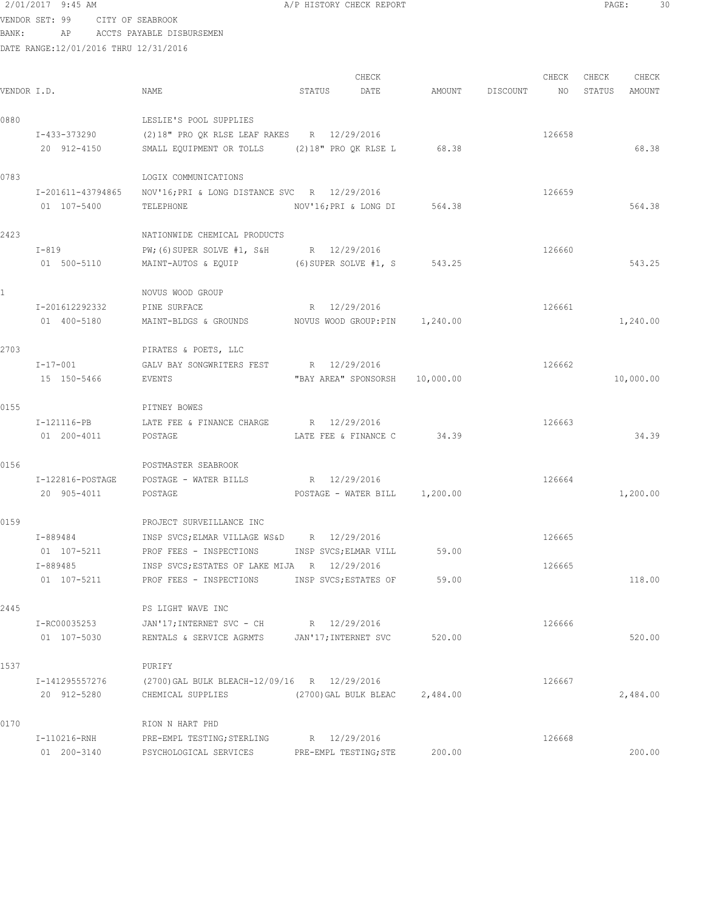VENDOR SET: 99 CITY OF SEABROOK BANK: AP ACCTS PAYABLE DISBURSEMEN

| VENDOR I.D.  |                                  | NAME                                                                                        | STATUS | CHECK<br>DATE                         | AMOUNT                         | DISCOUNT | CHECK<br>NO | CHECK<br>STATUS | CHECK<br>AMOUNT |
|--------------|----------------------------------|---------------------------------------------------------------------------------------------|--------|---------------------------------------|--------------------------------|----------|-------------|-----------------|-----------------|
| 0880         |                                  | LESLIE'S POOL SUPPLIES                                                                      |        |                                       |                                |          |             |                 |                 |
|              | I-433-373290<br>20 912-4150      | (2)18" PRO QK RLSE LEAF RAKES R 12/29/2016<br>SMALL EQUIPMENT OR TOLLS (2)18" PRO QK RLSE L |        |                                       | 68.38                          |          | 126658      |                 | 68.38           |
| 0783         |                                  | LOGIX COMMUNICATIONS                                                                        |        |                                       |                                |          |             |                 |                 |
|              | I-201611-43794865<br>01 107-5400 | NOV'16; PRI & LONG DISTANCE SVC R 12/29/2016<br>TELEPHONE                                   |        | NOV'16;PRI & LONG DI                  | 564.38                         |          | 126659      |                 | 564.38          |
| 2423         |                                  | NATIONWIDE CHEMICAL PRODUCTS                                                                |        |                                       |                                |          |             |                 |                 |
|              | $I-819$<br>01 500-5110           | PW; (6) SUPER SOLVE #1, S&H R 12/29/2016<br>MAINT-AUTOS & EQUIP                             |        |                                       | (6) SUPER SOLVE #1, S 543.25   |          | 126660      |                 | 543.25          |
| $\mathbf{1}$ |                                  | NOVUS WOOD GROUP                                                                            |        |                                       |                                |          |             |                 |                 |
|              | I-201612292332<br>01 400-5180    | PINE SURFACE<br>MAINT-BLDGS & GROUNDS                                                       |        | R 12/29/2016                          | NOVUS WOOD GROUP:PIN 1,240.00  |          | 126661      |                 | 1,240.00        |
| 2703         |                                  | PIRATES & POETS, LLC                                                                        |        |                                       |                                |          |             |                 |                 |
|              | $I - 17 - 001$<br>15 150-5466    | GALV BAY SONGWRITERS FEST R 12/29/2016<br>EVENTS                                            |        |                                       | "BAY AREA" SPONSORSH 10,000.00 |          | 126662      |                 | 10,000.00       |
| 0155         |                                  | PITNEY BOWES                                                                                |        |                                       |                                |          |             |                 |                 |
|              | I-121116-PB<br>01 200-4011       | LATE FEE & FINANCE CHARGE R 12/29/2016<br>POSTAGE                                           |        | LATE FEE & FINANCE C                  | 34.39                          |          | 126663      |                 | 34.39           |
| 0156         |                                  | POSTMASTER SEABROOK                                                                         |        |                                       |                                |          |             |                 |                 |
|              | I-122816-POSTAGE<br>20 905-4011  | POSTAGE - WATER BILLS<br>POSTAGE                                                            |        | R 12/29/2016                          | POSTAGE - WATER BILL 1,200.00  |          | 126664      |                 | 1,200.00        |
| 0159         |                                  | PROJECT SURVEILLANCE INC                                                                    |        |                                       |                                |          |             |                 |                 |
|              | I-889484<br>01 107-5211          | INSP SVCS; ELMAR VILLAGE WS&D R 12/29/2016<br>PROF FEES - INSPECTIONS                       |        | INSP SVCS; ELMAR VILL                 | 59.00                          |          | 126665      |                 |                 |
|              | I-889485<br>01 107-5211          | INSP SVCS; ESTATES OF LAKE MIJA R 12/29/2016<br>PROF FEES - INSPECTIONS                     |        | INSP SVCS; ESTATES OF                 | 59.00                          |          | 126665      |                 | 118.00          |
| 2445         |                                  | PS LIGHT WAVE INC                                                                           |        |                                       |                                |          |             |                 |                 |
|              | I-RC00035253<br>01 107-5030      | JAN'17; INTERNET SVC - CH R 12/29/2016<br>RENTALS & SERVICE AGRMTS JAN'17; INTERNET SVC     |        |                                       | 520.00                         |          | 126666      |                 | 520.00          |
| 1537         |                                  | PURIFY                                                                                      |        |                                       |                                |          |             |                 |                 |
|              | I-141295557276<br>20 912-5280    | (2700) GAL BULK BLEACH-12/09/16 R 12/29/2016<br>CHEMICAL SUPPLIES                           |        | (2700)GAL BULK BLEAC                  | 2,484.00                       |          | 126667      |                 | 2,484.00        |
| 0170         |                                  | RION N HART PHD                                                                             |        |                                       |                                |          |             |                 |                 |
|              | I-110216-RNH<br>01 200-3140      | PRE-EMPL TESTING; STERLING<br>PSYCHOLOGICAL SERVICES                                        |        | R 12/29/2016<br>PRE-EMPL TESTING; STE | 200.00                         |          | 126668      |                 | 200.00          |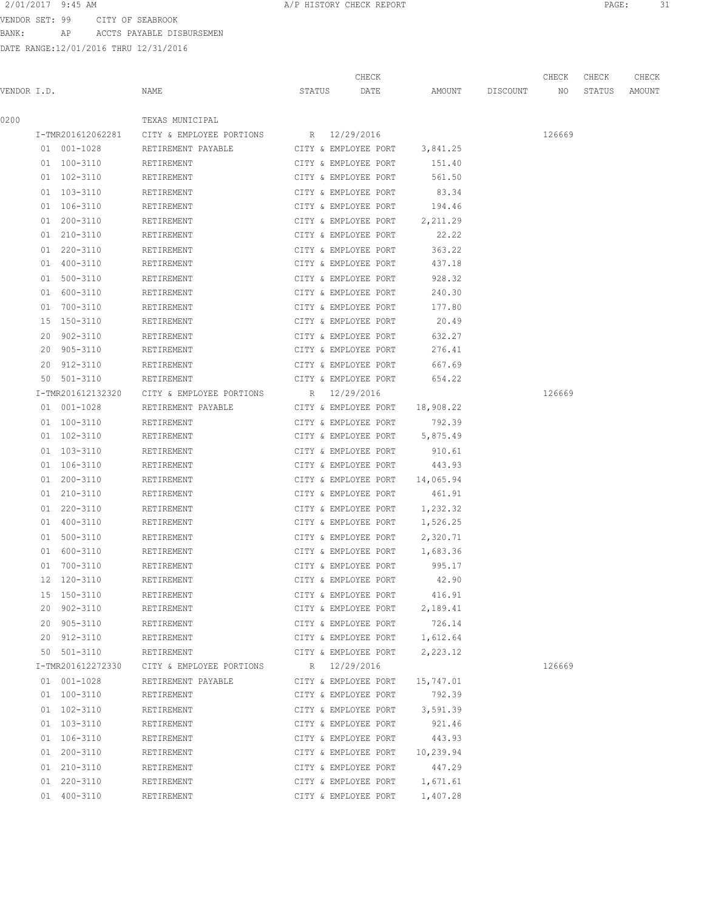# 2/01/2017 9:45 AM **PAGE:** 31

VENDOR SET: 99 CITY OF SEABROOK BANK: AP ACCTS PAYABLE DISBURSEMEN

|             |                   |                                                         |                                | CHECK                            |           |                    | CHECK  | CHECK  | CHECK  |
|-------------|-------------------|---------------------------------------------------------|--------------------------------|----------------------------------|-----------|--------------------|--------|--------|--------|
| VENDOR I.D. |                   | NAME                                                    | STATUS                         | DATE                             |           | AMOUNT DISCOUNT NO |        | STATUS | AMOUNT |
| 0200        |                   | TEXAS MUNICIPAL                                         |                                |                                  |           |                    |        |        |        |
|             |                   | I-TMR201612062281 CITY & EMPLOYEE PORTIONS R 12/29/2016 |                                |                                  |           |                    | 126669 |        |        |
|             | 01 001-1028       | RETIREMENT PAYABLE                                      | CITY & EMPLOYEE PORT 3,841.25  |                                  |           |                    |        |        |        |
|             | 01 100-3110       | RETIREMENT                                              | CITY & EMPLOYEE PORT           |                                  | 151.40    |                    |        |        |        |
|             | 01 102-3110       | RETIREMENT                                              | CITY & EMPLOYEE PORT           |                                  | 561.50    |                    |        |        |        |
|             | 01 103-3110       | RETIREMENT                                              | CITY & EMPLOYEE PORT           |                                  | 83.34     |                    |        |        |        |
|             | 01 106-3110       | RETIREMENT                                              |                                | CITY & EMPLOYEE PORT 194.46      |           |                    |        |        |        |
|             | 01 200-3110       | RETIREMENT                                              |                                | CITY & EMPLOYEE PORT             | 2,211.29  |                    |        |        |        |
|             | 01 210-3110       | RETIREMENT                                              | CITY & EMPLOYEE PORT           |                                  | 22.22     |                    |        |        |        |
|             | 01 220-3110       | RETIREMENT                                              | CITY & EMPLOYEE PORT           |                                  | 363.22    |                    |        |        |        |
|             | 01 400-3110       | RETIREMENT                                              | CITY & EMPLOYEE PORT           |                                  | 437.18    |                    |        |        |        |
|             | 01 500-3110       | RETIREMENT                                              | CITY & EMPLOYEE PORT           |                                  | 928.32    |                    |        |        |        |
|             | 01 600-3110       | RETIREMENT                                              | CITY & EMPLOYEE PORT           |                                  | 240.30    |                    |        |        |        |
|             | 01 700-3110       | RETIREMENT                                              | CITY & EMPLOYEE PORT           |                                  | 177.80    |                    |        |        |        |
|             | 15 150-3110       | RETIREMENT                                              | CITY & EMPLOYEE PORT           |                                  | 20.49     |                    |        |        |        |
|             | 20 902-3110       | RETIREMENT                                              | CITY & EMPLOYEE PORT           |                                  | 632.27    |                    |        |        |        |
|             | 20 905-3110       | RETIREMENT                                              | CITY & EMPLOYEE PORT           |                                  | 276.41    |                    |        |        |        |
|             | 20 912-3110       | RETIREMENT                                              | CITY & EMPLOYEE PORT           |                                  | 667.69    |                    |        |        |        |
|             | 50 501-3110       | RETIREMENT                                              | CITY & EMPLOYEE PORT           |                                  | 654.22    |                    |        |        |        |
|             | I-TMR201612132320 | CITY & EMPLOYEE PORTIONS                                | R 12/29/2016                   |                                  |           |                    | 126669 |        |        |
|             | 01 001-1028       | RETIREMENT PAYABLE                                      | CITY & EMPLOYEE PORT 18,908.22 |                                  |           |                    |        |        |        |
|             | 01 100-3110       | RETIREMENT                                              |                                | CITY & EMPLOYEE PORT             | 792.39    |                    |        |        |        |
|             | 01 102-3110       | RETIREMENT                                              |                                | CITY & EMPLOYEE PORT             | 5,875.49  |                    |        |        |        |
|             | 01 103-3110       | RETIREMENT                                              | CITY & EMPLOYEE PORT           |                                  | 910.61    |                    |        |        |        |
|             | 01 106-3110       | RETIREMENT                                              | CITY & EMPLOYEE PORT           |                                  | 443.93    |                    |        |        |        |
|             | 01 200-3110       | RETIREMENT                                              | CITY & EMPLOYEE PORT           |                                  | 14,065.94 |                    |        |        |        |
|             | 01 210-3110       | RETIREMENT                                              | CITY & EMPLOYEE PORT           |                                  | 461.91    |                    |        |        |        |
|             | 01 220-3110       | RETIREMENT                                              | CITY & EMPLOYEE PORT 1,232.32  |                                  |           |                    |        |        |        |
|             | 01 400-3110       | RETIREMENT                                              | CITY & EMPLOYEE PORT 1,526.25  |                                  |           |                    |        |        |        |
|             | 01 500-3110       | RETIREMENT                                              | CITY & EMPLOYEE PORT           |                                  | 2,320.71  |                    |        |        |        |
|             | 01 600-3110       | RETIREMENT                                              | CITY & EMPLOYEE PORT 1,683.36  |                                  |           |                    |        |        |        |
|             | 01 700-3110       | RETIREMENT                                              |                                | CITY & EMPLOYEE PORT             | 995.17    |                    |        |        |        |
|             | 12 120-3110       | RETIREMENT                                              |                                | CITY & EMPLOYEE PORT             | 42.90     |                    |        |        |        |
|             | 15 150-3110       | RETIREMENT                                              |                                | CITY & EMPLOYEE PORT             | 416.91    |                    |        |        |        |
|             | 20 902-3110       | RETIREMENT                                              |                                | CITY & EMPLOYEE PORT             | 2,189.41  |                    |        |        |        |
|             | 20 905-3110       | RETIREMENT                                              | CITY & EMPLOYEE PORT           |                                  | 726.14    |                    |        |        |        |
|             | 20 912-3110       | RETIREMENT                                              | CITY & EMPLOYEE PORT 1,612.64  |                                  |           |                    |        |        |        |
|             | 50 501-3110       | RETIREMENT                                              | CITY & EMPLOYEE PORT           |                                  | 2,223.12  |                    |        |        |        |
|             | I-TMR201612272330 | CITY & EMPLOYEE PORTIONS R 12/29/2016                   |                                |                                  |           |                    | 126669 |        |        |
|             | 01 001-1028       | RETIREMENT PAYABLE                                      | CITY & EMPLOYEE PORT           |                                  | 15,747.01 |                    |        |        |        |
|             | 01 100-3110       | RETIREMENT                                              | CITY & EMPLOYEE PORT           |                                  | 792.39    |                    |        |        |        |
|             | 01 102-3110       | RETIREMENT                                              |                                | CITY & EMPLOYEE PORT 3,591.39    |           |                    |        |        |        |
|             | 01 103-3110       | RETIREMENT                                              |                                | CITY & EMPLOYEE PORT             | 921.46    |                    |        |        |        |
|             | 01 106-3110       | RETIREMENT                                              |                                | CITY & EMPLOYEE PORT 443.93      |           |                    |        |        |        |
|             | 01 200-3110       | RETIREMENT                                              |                                | CITY & EMPLOYEE PORT $10,239.94$ |           |                    |        |        |        |
|             | 01 210-3110       | RETIREMENT                                              |                                | CITY & EMPLOYEE PORT             | 447.29    |                    |        |        |        |
|             | 01 220-3110       | RETIREMENT                                              |                                | CITY & EMPLOYEE PORT             | 1,671.61  |                    |        |        |        |
|             | 01 400-3110       | RETIREMENT                                              |                                | CITY & EMPLOYEE PORT             | 1,407.28  |                    |        |        |        |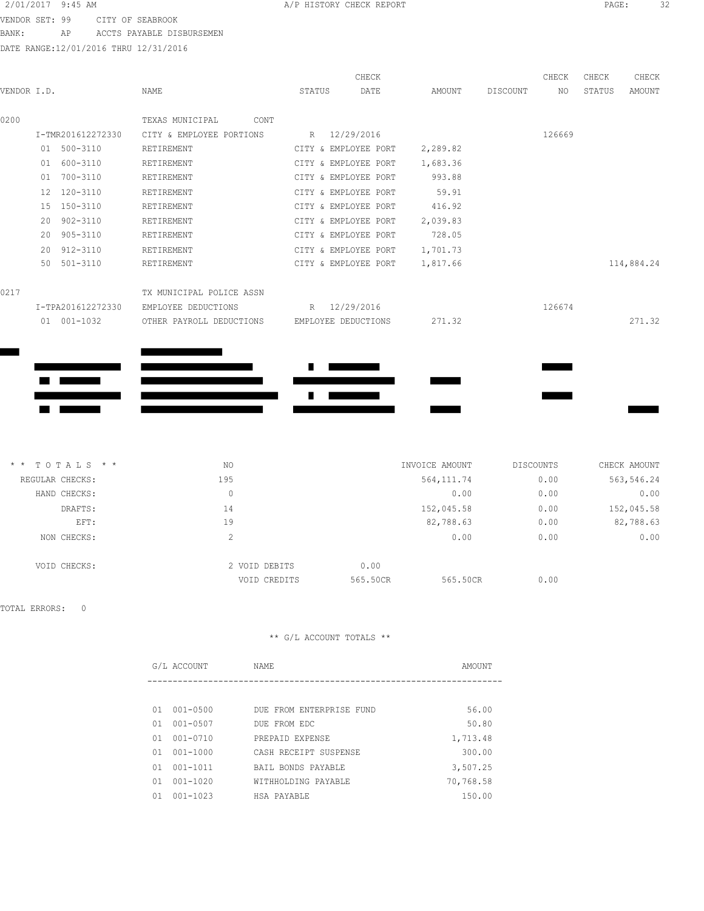VENDOR SET: 99 CITY OF SEABROOK BANK: AP ACCTS PAYABLE DISBURSEMEN

DATE RANGE:12/01/2016 THRU 12/31/2016

|             |              |                   |                          |        | CHECK                |          |          | CHECK  | CHECK  | CHECK      |
|-------------|--------------|-------------------|--------------------------|--------|----------------------|----------|----------|--------|--------|------------|
| VENDOR I.D. |              |                   | NAME                     | STATUS | DATE                 | AMOUNT   | DISCOUNT | ΝO     | STATUS | AMOUNT     |
| 0200        |              |                   | TEXAS MUNICIPAL<br>CONT  |        |                      |          |          |        |        |            |
|             |              | I-TMR201612272330 | CITY & EMPLOYEE PORTIONS |        | R 12/29/2016         |          |          | 126669 |        |            |
|             |              | 01 500-3110       | RETIREMENT               |        | CITY & EMPLOYEE PORT | 2,289.82 |          |        |        |            |
|             | 01           | 600-3110          | RETIREMENT               |        | CITY & EMPLOYEE PORT | 1,683.36 |          |        |        |            |
|             | 01           | 700-3110          | RETIREMENT               |        | CITY & EMPLOYEE PORT | 993.88   |          |        |        |            |
|             | 12           | 120-3110          | RETIREMENT               |        | CITY & EMPLOYEE PORT | 59.91    |          |        |        |            |
|             | 15           | 150-3110          | RETIREMENT               |        | CITY & EMPLOYEE PORT | 416.92   |          |        |        |            |
|             | 20           | 902-3110          | RETIREMENT               |        | CITY & EMPLOYEE PORT | 2,039.83 |          |        |        |            |
|             | 20           | 905-3110          | RETIREMENT               |        | CITY & EMPLOYEE PORT | 728.05   |          |        |        |            |
|             | $20^{\circ}$ | 912-3110          | RETIREMENT               |        | CITY & EMPLOYEE PORT | 1,701.73 |          |        |        |            |
|             |              | 50 501-3110       | RETIREMENT               |        | CITY & EMPLOYEE PORT | 1,817.66 |          |        |        | 114,884.24 |
| 0217        |              |                   | TX MUNICIPAL POLICE ASSN |        |                      |          |          |        |        |            |
|             |              | I-TPA201612272330 | EMPLOYEE DEDUCTIONS      | R      | 12/29/2016           |          |          | 126674 |        |            |
|             |              | 01 001-1032       | OTHER PAYROLL DEDUCTIONS |        | EMPLOYEE DEDUCTIONS  | 271.32   |          |        |        | 271.32     |
|             |              |                   |                          |        |                      |          |          |        |        |            |
|             |              |                   |                          |        |                      |          |          |        |        |            |
|             |              |                   |                          |        |                      |          |          |        |        |            |
|             |              |                   |                          |        |                      |          |          |        |        |            |
|             |              |                   |                          |        |                      |          |          |        |        |            |

| CHECK AMOUNT | DISCOUNTS | INVOICE AMOUNT |          | NO.                | $*$ * TOTALS * * |
|--------------|-----------|----------------|----------|--------------------|------------------|
| 563,546.24   | 0.00      | 564, 111.74    |          | 195                | REGULAR CHECKS:  |
| 0.00         | 0.00      | 0.00           |          | 0                  | HAND CHECKS:     |
| 152,045.58   | 0.00      | 152,045.58     |          | 14                 | DRAFTS:          |
| 82,788.63    | 0.00      | 82,788.63      |          | 19                 | EFT:             |
| 0.00         | 0.00      | 0.00           |          | $\mathcal{L}$<br>∠ | NON CHECKS:      |
|              |           |                | 0.00     | 2 VOID DEBITS      | VOID CHECKS:     |
|              | 0.00      | 565.50CR       | 565.50CR | VOID CREDITS       |                  |

TOTAL ERRORS: 0

|    | G/L ACCOUNT  | NAME                     | AMOUNT    |
|----|--------------|--------------------------|-----------|
|    |              |                          |           |
| 01 | 001-0500     | DUE FROM ENTERPRISE FUND | 56.00     |
| 01 | 001-0507     | DUE FROM EDC             | 50.80     |
| 01 | $001 - 0710$ | PREPAID EXPENSE          | 1,713.48  |
| 01 | $001 - 1000$ | CASH RECEIPT SUSPENSE    | 300.00    |
| 01 | $001 - 1011$ | BAIL BONDS PAYABLE       | 3,507.25  |
| 01 | $001 - 1020$ | WITHHOLDING PAYABLE      | 70,768.58 |
| 01 | $001 - 1023$ | HSA PAYABLE              | 150.00    |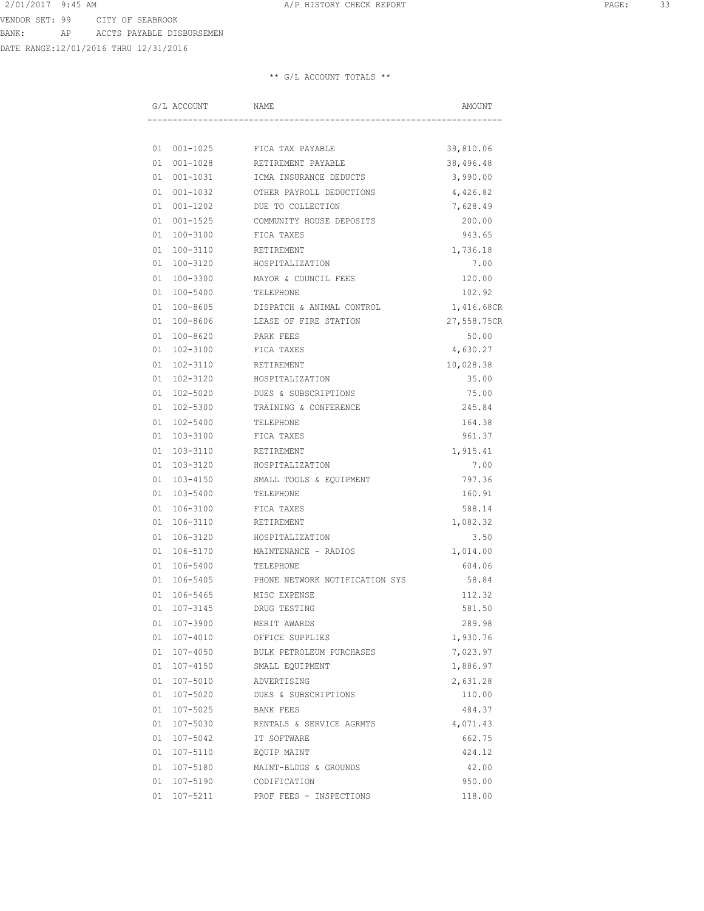DATE RANGE:12/01/2016 THRU 12/31/2016

|  | G/L ACCOUNT    | NAME                           | AMOUNT      |
|--|----------------|--------------------------------|-------------|
|  |                |                                |             |
|  | 01 001-1025    | FICA TAX PAYABLE               | 39,810.06   |
|  | 01 001-1028    | RETIREMENT PAYABLE             | 38,496.48   |
|  | 01 001-1031    | ICMA INSURANCE DEDUCTS         | 3,990.00    |
|  | 01 001-1032    | OTHER PAYROLL DEDUCTIONS       | 4,426.82    |
|  | 01 001-1202    | DUE TO COLLECTION              | 7,628.49    |
|  | $01001 - 1525$ | COMMUNITY HOUSE DEPOSITS       | 200.00      |
|  | 01 100-3100    | FICA TAXES                     | 943.65      |
|  | 01 100-3110    | RETIREMENT                     | 1,736.18    |
|  | 01 100-3120    | HOSPITALIZATION                | 7.00        |
|  | 01 100-3300    | MAYOR & COUNCIL FEES           | 120.00      |
|  | 01 100-5400    | TELEPHONE                      | 102.92      |
|  | 01 100-8605    | DISPATCH & ANIMAL CONTROL      | 1,416.68CR  |
|  | 01 100-8606    | LEASE OF FIRE STATION          | 27,558.75CR |
|  | 01 100-8620    | PARK FEES                      | 50.00       |
|  | 01 102-3100    | FICA TAXES                     | 4,630.27    |
|  | 01 102-3110    | RETIREMENT                     | 10,028.38   |
|  | 01 102-3120    | HOSPITALIZATION                | 35.00       |
|  | 01 102-5020    | DUES & SUBSCRIPTIONS           | 75.00       |
|  | 01 102-5300    | TRAINING & CONFERENCE          | 245.84      |
|  | 01 102-5400    | TELEPHONE                      | 164.38      |
|  | 01 103-3100    | FICA TAXES                     | 961.37      |
|  | 01 103-3110    | RETIREMENT                     | 1,915.41    |
|  | 01 103-3120    | HOSPITALIZATION                | 7.00        |
|  | 01 103-4150    | SMALL TOOLS & EQUIPMENT        | 797.36      |
|  | 01 103-5400    | TELEPHONE                      | 160.91      |
|  | 01 106-3100    | FICA TAXES                     | 588.14      |
|  | 01 106-3110    | RETIREMENT                     | 1,082.32    |
|  | 01 106-3120    | HOSPITALIZATION                | 3.50        |
|  | 01 106-5170    | MAINTENANCE - RADIOS           | 1,014.00    |
|  | 01 106-5400    | TELEPHONE                      | 604.06      |
|  | 01 106-5405    | PHONE NETWORK NOTIFICATION SYS | 58.84       |
|  | 01 106-5465    | MISC EXPENSE                   | 112.32      |
|  | 01 107-3145    | DRUG TESTING                   | 581.50      |
|  | 01 107-3900    | MERIT AWARDS                   | 289.98      |
|  | 01 107-4010    | OFFICE SUPPLIES                | 1,930.76    |
|  | 01 107-4050    | BULK PETROLEUM PURCHASES       | 7,023.97    |
|  | 01 107-4150    | SMALL EQUIPMENT                | 1,886.97    |
|  | 01 107-5010    | ADVERTISING                    | 2,631.28    |
|  | 01 107-5020    | DUES & SUBSCRIPTIONS           | 110.00      |
|  | 01 107-5025    | BANK FEES                      | 484.37      |
|  | 01 107-5030    | RENTALS & SERVICE AGRMTS       | 4,071.43    |
|  | 01 107-5042    | IT SOFTWARE                    | 662.75      |
|  | 01 107-5110    | EQUIP MAINT                    | 424.12      |
|  | 01 107-5180    | MAINT-BLDGS & GROUNDS          | 42.00       |
|  | 01 107-5190    | CODIFICATION                   | 950.00      |
|  | 01 107-5211    | PROF FEES - INSPECTIONS        | 118.00      |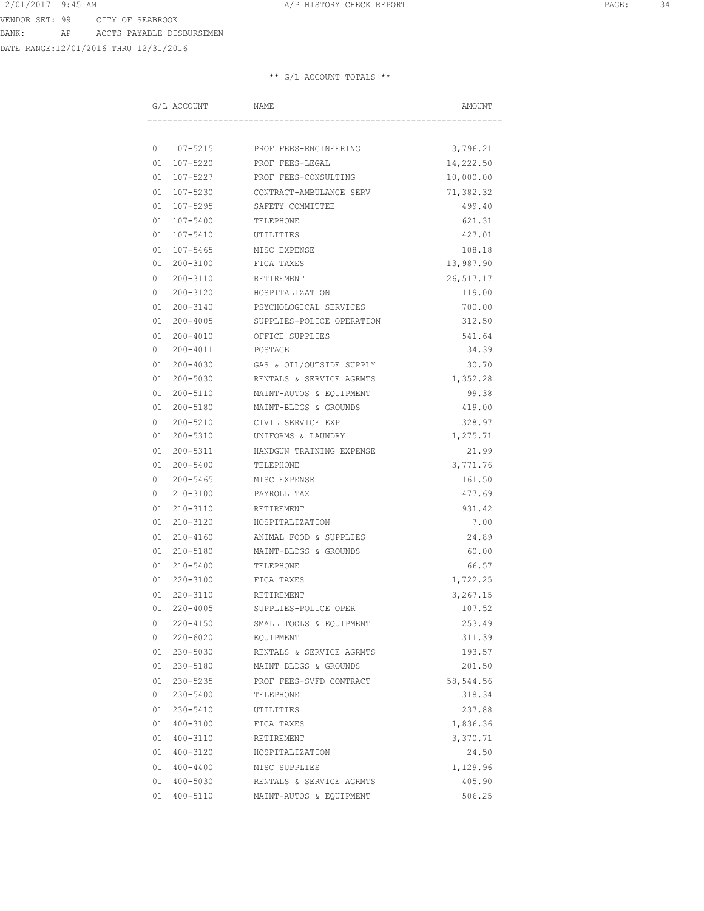DATE RANGE:12/01/2016 THRU 12/31/2016

| G/L ACCOUNT    | NAME                              | AMOUNT    |
|----------------|-----------------------------------|-----------|
|                |                                   |           |
|                | 01 107-5215 PROF FEES-ENGINEERING | 3,796.21  |
| 01 107-5220    | PROF FEES-LEGAL                   | 14,222.50 |
| 01 107-5227    | PROF FEES-CONSULTING              | 10,000.00 |
| 01 107-5230    | CONTRACT-AMBULANCE SERV           | 71,382.32 |
| 01 107-5295    | SAFETY COMMITTEE                  | 499.40    |
| 01 107-5400    | TELEPHONE                         | 621.31    |
| 01 107-5410    | UTILITIES                         | 427.01    |
| 01 107-5465    | MISC EXPENSE                      | 108.18    |
| 01 200-3100    | FICA TAXES                        | 13,987.90 |
| 01 200-3110    | RETIREMENT                        | 26,517.17 |
| 01 200-3120    | HOSPITALIZATION                   | 119.00    |
| 01 200-3140    | PSYCHOLOGICAL SERVICES            | 700.00    |
| 01 200-4005    | SUPPLIES-POLICE OPERATION         | 312.50    |
| $01200 - 4010$ | OFFICE SUPPLIES                   | 541.64    |
| 01 200-4011    | POSTAGE                           | 34.39     |
| 01 200-4030    | GAS & OIL/OUTSIDE SUPPLY          | 30.70     |
| 01 200-5030    | RENTALS & SERVICE AGRMTS          | 1,352.28  |
| 01 200-5110    | MAINT-AUTOS & EQUIPMENT           | 99.38     |
| 01 200-5180    | MAINT-BLDGS & GROUNDS             | 419.00    |
| 01 200-5210    | CIVIL SERVICE EXP                 | 328.97    |
| 01 200-5310    | UNIFORMS & LAUNDRY                | 1,275.71  |
| 01 200-5311    | HANDGUN TRAINING EXPENSE          | 21.99     |
| 01 200-5400    | TELEPHONE                         | 3,771.76  |
| 01 200-5465    | MISC EXPENSE                      | 161.50    |
| 01 210-3100    | PAYROLL TAX                       | 477.69    |
| 01 210-3110    | RETIREMENT                        | 931.42    |
| 01 210-3120    | HOSPITALIZATION                   | 7.00      |
| 01 210-4160    | ANIMAL FOOD & SUPPLIES            | 24.89     |
| 01 210-5180    | MAINT-BLDGS & GROUNDS             | 60.00     |
| 01 210-5400    | TELEPHONE                         | 66.57     |
| 01 220-3100    | FICA TAXES                        | 1,722.25  |
| 01 220-3110    | RETIREMENT                        | 3,267.15  |
| 01 220-4005    | SUPPLIES-POLICE OPER              | 107.52    |
| 01 220-4150    | SMALL TOOLS & EQUIPMENT           | 253.49    |
| 01 220-6020    | EQUIPMENT                         | 311.39    |
| 01 230-5030    | RENTALS & SERVICE AGRMTS          | 193.57    |
| 01 230-5180    | MAINT BLDGS & GROUNDS             | 201.50    |
| 01 230-5235    | PROF FEES-SVFD CONTRACT           | 58,544.56 |
| 01 230-5400    | TELEPHONE                         | 318.34    |
| 01 230-5410    | UTILITIES                         | 237.88    |
| 01 400-3100    | FICA TAXES                        | 1,836.36  |
| 01 400-3110    | RETIREMENT                        | 3,370.71  |
| 01 400-3120    | HOSPITALIZATION                   | 24.50     |
| 01 400-4400    | MISC SUPPLIES                     | 1,129.96  |
| 01 400-5030    | RENTALS & SERVICE AGRMTS          | 405.90    |
| 01 400-5110    | MAINT-AUTOS & EQUIPMENT           | 506.25    |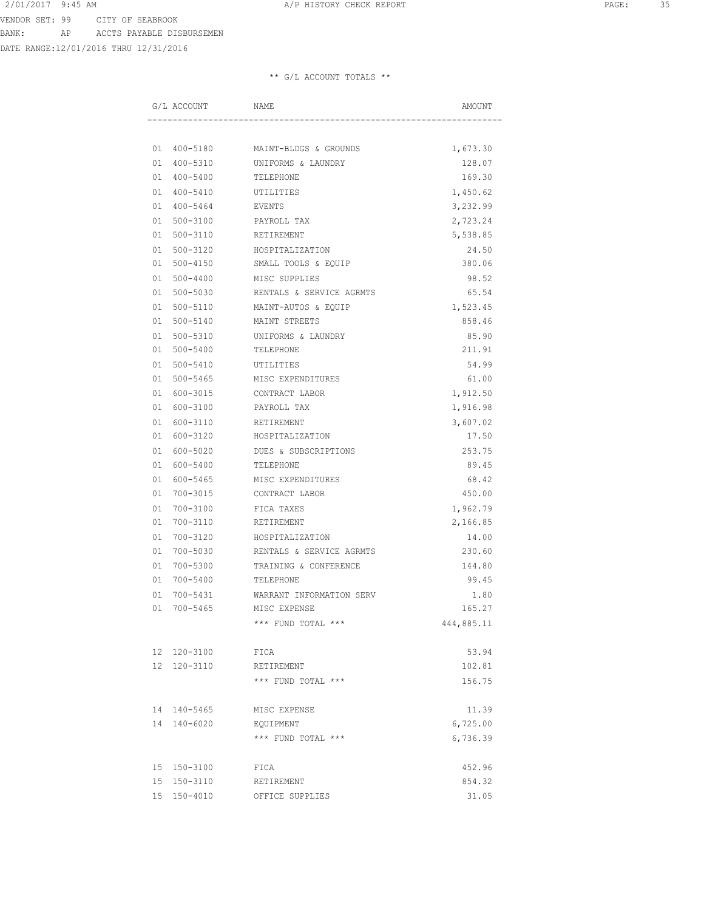DATE RANGE:12/01/2016 THRU 12/31/2016

| G/L ACCOUNT | NAME                                                         | AMOUNT     |
|-------------|--------------------------------------------------------------|------------|
|             |                                                              |            |
| 01 400-5180 | MAINT-BLDGS & GROUNDS                                        | 1,673.30   |
| 01 400-5310 | UNIFORMS & LAUNDRY                                           | 128.07     |
| 01 400-5400 | TELEPHONE                                                    | 169.30     |
| 01 400-5410 | UTILITIES                                                    | 1,450.62   |
| 01 400-5464 | EVENTS                                                       | 3,232.99   |
| 01 500-3100 | PAYROLL TAX                                                  | 2,723.24   |
| 01 500-3110 | RETIREMENT                                                   | 5,538.85   |
| 01 500-3120 | HOSPITALIZATION                                              | 24.50      |
| 01 500-4150 | SMALL TOOLS & EQUIP                                          | 380.06     |
| 01 500-4400 | MISC SUPPLIES                                                | 98.52      |
| 01 500-5030 | RENTALS & SERVICE AGRMTS                                     | 65.54      |
| 01 500-5110 | MAINT-AUTOS & EQUIP                                          | 1,523.45   |
| 01 500-5140 | MAINT STREETS                                                | 858.46     |
| 01 500-5310 | UNIFORMS & LAUNDRY                                           | 85.90      |
| 01 500-5400 | TELEPHONE                                                    | 211.91     |
| 01 500-5410 | UTILITIES                                                    | 54.99      |
| 01 500-5465 | MISC EXPENDITURES                                            | 61.00      |
| 01 600-3015 | CONTRACT LABOR                                               | 1,912.50   |
| 01 600-3100 | PAYROLL TAX                                                  | 1,916.98   |
| 01 600-3110 | RETIREMENT                                                   | 3,607.02   |
| 01 600-3120 | HOSPITALIZATION                                              | 17.50      |
| 01 600-5020 | DUES & SUBSCRIPTIONS                                         | 253.75     |
| 01 600-5400 | TELEPHONE                                                    | 89.45      |
| 01 600-5465 | MISC EXPENDITURES                                            | 68.42      |
| 01 700-3015 | CONTRACT LABOR                                               | 450.00     |
| 01 700-3100 | FICA TAXES                                                   | 1,962.79   |
| 01 700-3110 | RETIREMENT                                                   | 2,166.85   |
| 01 700-3120 | HOSPITALIZATION                                              | 14.00      |
| 01 700-5030 | RENTALS & SERVICE AGRMTS                                     | 230.60     |
| 01 700-5300 | TRAINING & CONFERENCE                                        | 144.80     |
| 01 700-5400 | TELEPHONE                                                    | 99.45      |
| 01 700-5431 | WARRANT INFORMATION SERV                                     | 1.80       |
| 01 700-5465 | MISC EXPENSE                                                 | 165.27     |
|             | *** FUND TOTAL ***                                           | 444,885.11 |
| 12 120-3100 | FICA                                                         | 53.94      |
| 12 120-3110 | RETIREMENT                                                   | 102.81     |
|             | *** FUND TOTAL ***                                           | 156.75     |
| 14 140-5465 | MISC EXPENSE                                                 | 11.39      |
| 14 140-6020 | EQUIPMENT                                                    | 6,725.00   |
|             | $^{\star\;\star\;\star}$ FUND TOTAL $^{\star\;\star\;\star}$ | 6,736.39   |
| 15 150-3100 | FICA                                                         | 452.96     |
| 15 150-3110 | RETIREMENT                                                   | 854.32     |
| 15 150-4010 | OFFICE SUPPLIES                                              | 31.05      |
|             |                                                              |            |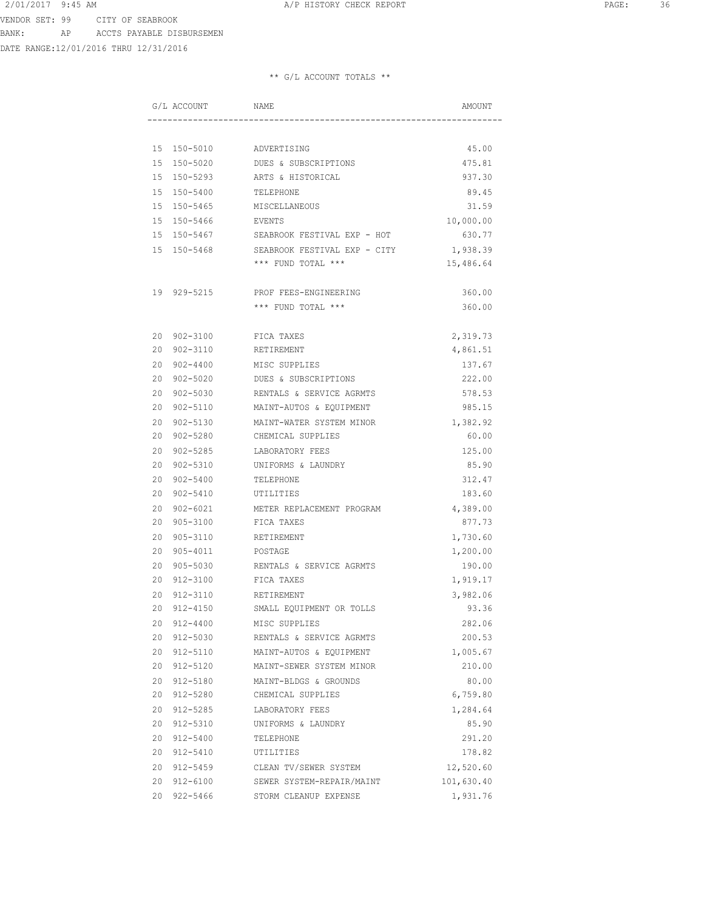DATE RANGE:12/01/2016 THRU 12/31/2016

| G/L ACCOUNT        | NAME                                    | AMOUNT     |
|--------------------|-----------------------------------------|------------|
|                    |                                         |            |
| 15 150-5010        | ADVERTISING                             | 45.00      |
| 15 150-5020        | DUES & SUBSCRIPTIONS                    | 475.81     |
| 15 150-5293        | ARTS & HISTORICAL                       | 937.30     |
| 15 150-5400        | TELEPHONE                               | 89.45      |
| 15 150-5465        | MISCELLANEOUS                           | 31.59      |
| 15 150-5466        | EVENTS                                  | 10,000.00  |
|                    | 15 150-5467 SEABROOK FESTIVAL EXP - HOT | 630.77     |
| 15 150-5468        | SEABROOK FESTIVAL EXP - CITY            | 1,938.39   |
|                    | *** FUND TOTAL ***                      | 15,486.64  |
| 19 929-5215        | PROF FEES-ENGINEERING                   | 360.00     |
|                    | *** FUND TOTAL ***                      | 360.00     |
|                    |                                         |            |
| 20 902-3100        | FICA TAXES                              | 2,319.73   |
| 20 902-3110        | RETIREMENT                              | 4,861.51   |
| 20 902-4400        | MISC SUPPLIES                           | 137.67     |
| 20 902-5020        | DUES & SUBSCRIPTIONS                    | 222.00     |
| 20 902-5030        | RENTALS & SERVICE AGRMTS                | 578.53     |
| 20 902-5110        | MAINT-AUTOS & EQUIPMENT                 | 985.15     |
| 20 902-5130        | MAINT-WATER SYSTEM MINOR                | 1,382.92   |
| 20 902-5280        | CHEMICAL SUPPLIES                       | 60.00      |
| 20 902-5285        | LABORATORY FEES                         | 125.00     |
| 20 902-5310        | UNIFORMS & LAUNDRY                      | 85.90      |
| 20<br>902-5400     | TELEPHONE                               | 312.47     |
| 902-5410<br>20     | UTILITIES                               | 183.60     |
| $902 - 6021$<br>20 | METER REPLACEMENT PROGRAM               | 4,389.00   |
| 905-3100<br>20     | FICA TAXES                              | 877.73     |
| 20<br>905-3110     | RETIREMENT                              | 1,730.60   |
| 20<br>905-4011     | POSTAGE                                 | 1,200.00   |
| 905-5030<br>20     | RENTALS & SERVICE AGRMTS                | 190.00     |
| 20<br>912-3100     | FICA TAXES                              | 1,919.17   |
| 912-3110<br>20     | RETIREMENT                              | 3,982.06   |
| 20 912-4150        | SMALL EQUIPMENT OR TOLLS                | 93.36      |
| 20 912-4400        | MISC SUPPLIES                           | 282.06     |
| 20 912-5030        | RENTALS & SERVICE AGRMTS                | 200.53     |
| 20 912-5110        | MAINT-AUTOS & EQUIPMENT                 | 1,005.67   |
| 20 912-5120        | MAINT-SEWER SYSTEM MINOR                | 210.00     |
| 20 912-5180        | MAINT-BLDGS & GROUNDS                   | 80.00      |
| 20 912-5280        | CHEMICAL SUPPLIES                       | 6,759.80   |
| 20 912-5285        | LABORATORY FEES                         | 1,284.64   |
| 20 912-5310        | UNIFORMS & LAUNDRY                      | 85.90      |
| 20 912-5400        | TELEPHONE                               | 291.20     |
| 20 912-5410        | UTILITIES                               | 178.82     |
| 20 912-5459        | CLEAN TV/SEWER SYSTEM                   | 12,520.60  |
| 20 912-6100        | SEWER SYSTEM-REPAIR/MAINT               | 101,630.40 |
| 20 922-5466        | STORM CLEANUP EXPENSE                   | 1,931.76   |
|                    |                                         |            |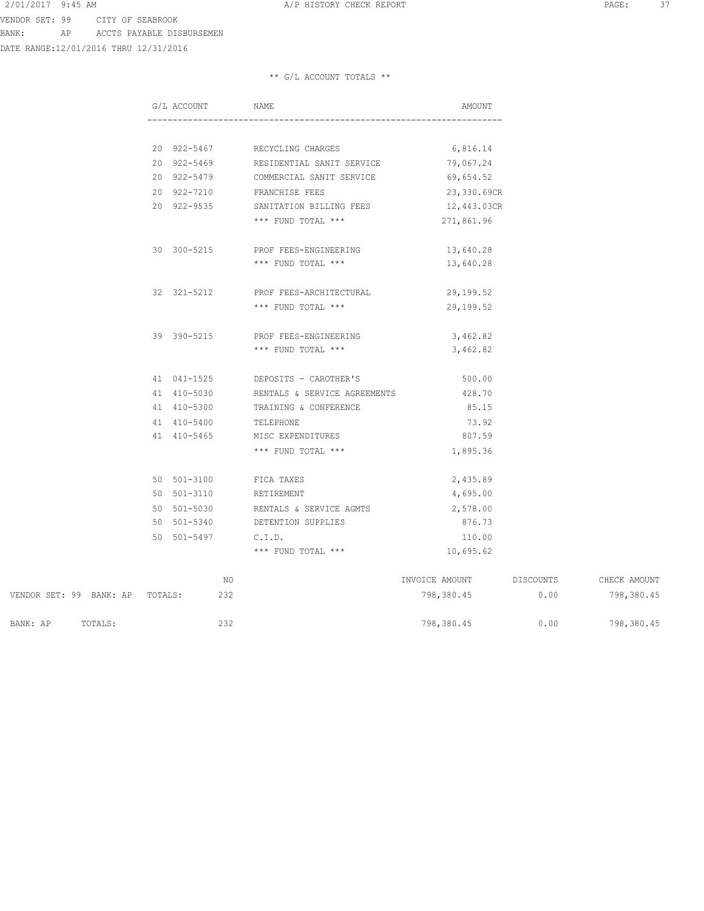DATE RANGE:12/01/2016 THRU 12/31/2016

| G/L ACCOUNT NAME |                                                 | AMOUNT         |           |              |
|------------------|-------------------------------------------------|----------------|-----------|--------------|
|                  |                                                 |                |           |              |
|                  | 20 922-5467 RECYCLING CHARGES                   | 6,816.14       |           |              |
|                  | 20 922-5469 RESIDENTIAL SANIT SERVICE 79,067.24 |                |           |              |
|                  | 20 922-5479 COMMERCIAL SANIT SERVICE 69,654.52  |                |           |              |
|                  | 20 922-7210 FRANCHISE FEES                      | 23,330.69CR    |           |              |
| 20 922-9535      | SANITATION BILLING FEES                         | 12,443.03CR    |           |              |
|                  | *** FUND TOTAL ***                              | 271,861.96     |           |              |
|                  | 30 300-5215 PROF FEES-ENGINEERING               | 13,640.28      |           |              |
|                  | *** FUND TOTAL ***                              | 13,640.28      |           |              |
| 32 321-5212      | PROF FEES-ARCHITECTURAL                         | 29,199.52      |           |              |
|                  | *** FUND TOTAL ***                              | 29,199.52      |           |              |
| 39 390-5215      | PROF FEES-ENGINEERING                           | 3,462.82       |           |              |
|                  | *** FUND TOTAL ***                              | 3,462.82       |           |              |
|                  | 41 041-1525 DEPOSITS - CAROTHER'S               | 500.00         |           |              |
|                  | 41 410-5030 RENTALS & SERVICE AGREEMENTS        | 428.70         |           |              |
| 41 410-5300      | TRAINING & CONFERENCE                           | 85.15          |           |              |
| 41 410-5400      | TELEPHONE                                       | 73.92          |           |              |
| 41 410-5465      | MISC EXPENDITURES                               | 807.59         |           |              |
|                  | *** FUND TOTAL ***                              | 1,895.36       |           |              |
| 50 501-3100      | FICA TAXES                                      | 2,435.89       |           |              |
| 50 501-3110      | RETIREMENT                                      | 4,695.00       |           |              |
|                  | 50 501-5030 RENTALS & SERVICE AGMTS 2,578.00    |                |           |              |
|                  | 50 501-5340 DETENTION SUPPLIES                  | 876.73         |           |              |
| 50 501-5497      | C.I.D.                                          | 110.00         |           |              |
|                  | *** FUND TOTAL ***                              | 10,695.62      |           |              |
| NO.              |                                                 | INVOICE AMOUNT | DISCOUNTS | CHECK AMOUNT |

|                         |         |         | IVU. | INVUILLE APPUUL | DISCOUNTS. | UNDUN AMUUNI |
|-------------------------|---------|---------|------|-----------------|------------|--------------|
| VENDOR SET: 99 BANK: AP |         | TOTALS: | 232  | 798,380.45      | 0.00       | 798,380.45   |
| BANK: AP                | TOTALS: |         | 232  | 798,380.45      | 0.00       | 798,380.45   |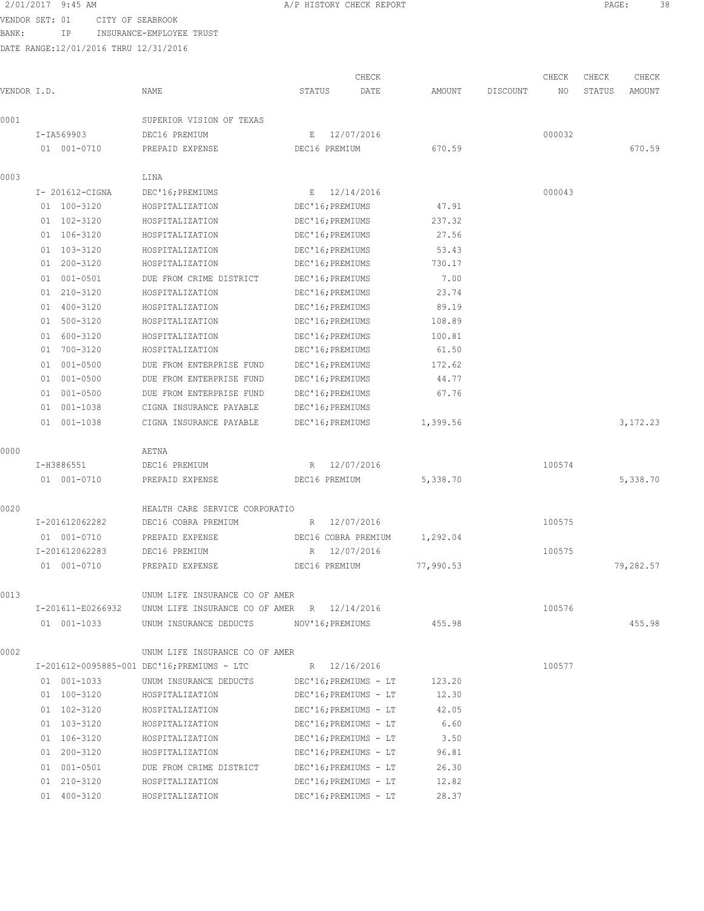VENDOR SET: 01 CITY OF SEABROOK

BANK: IP INSURANCE-EMPLOYEE TRUST

| 2/01/2017 9:45 AM<br>the contract of the contract of the contract of the contract of the contract of the contract of the contract of | A/P HISTORY CHECK REPORT | PAGE. |  |
|--------------------------------------------------------------------------------------------------------------------------------------|--------------------------|-------|--|
|                                                                                                                                      |                          |       |  |

|             |                    |                                             |                       | CHECK      |           |          | CHECK  | CHECK  | CHECK     |
|-------------|--------------------|---------------------------------------------|-----------------------|------------|-----------|----------|--------|--------|-----------|
| VENDOR I.D. |                    | NAME                                        | STATUS                | DATE       | AMOUNT    | DISCOUNT | ΝO     | STATUS | AMOUNT    |
| 0001        |                    | SUPERIOR VISION OF TEXAS                    |                       |            |           |          |        |        |           |
|             | I-IA569903         | DEC16 PREMIUM                               | Е                     | 12/07/2016 |           |          | 000032 |        |           |
|             | 01 001-0710        | PREPAID EXPENSE                             | DEC16 PREMIUM         |            | 670.59    |          |        |        | 670.59    |
| 0003        |                    | LINA                                        |                       |            |           |          |        |        |           |
|             | I- 201612-CIGNA    | DEC'16; PREMIUMS                            | E                     | 12/14/2016 |           |          | 000043 |        |           |
|             | 01 100-3120        | HOSPITALIZATION                             | DEC'16; PREMIUMS      |            | 47.91     |          |        |        |           |
|             | 01 102-3120        | HOSPITALIZATION                             | DEC'16; PREMIUMS      |            | 237.32    |          |        |        |           |
|             | 01 106-3120        | HOSPITALIZATION                             | DEC'16; PREMIUMS      |            | 27.56     |          |        |        |           |
|             | 103-3120<br>01     | HOSPITALIZATION                             | DEC'16; PREMIUMS      |            | 53.43     |          |        |        |           |
|             | 200-3120<br>01     | HOSPITALIZATION                             | DEC'16; PREMIUMS      |            | 730.17    |          |        |        |           |
|             | $001 - 0501$<br>01 | DUE FROM CRIME DISTRICT                     | DEC'16; PREMIUMS      |            | 7.00      |          |        |        |           |
|             | 01 210-3120        | HOSPITALIZATION                             | DEC'16; PREMIUMS      |            | 23.74     |          |        |        |           |
|             | 01 400-3120        | HOSPITALIZATION                             | DEC'16; PREMIUMS      |            | 89.19     |          |        |        |           |
|             | 500-3120<br>01     | HOSPITALIZATION                             | DEC'16; PREMIUMS      |            | 108.89    |          |        |        |           |
|             | 600-3120<br>01     | HOSPITALIZATION                             | DEC'16; PREMIUMS      |            | 100.81    |          |        |        |           |
|             | 700-3120<br>01     | HOSPITALIZATION                             | DEC'16; PREMIUMS      |            | 61.50     |          |        |        |           |
|             | 001-0500<br>01     | DUE FROM ENTERPRISE FUND                    | DEC'16; PREMIUMS      |            | 172.62    |          |        |        |           |
|             | 001-0500<br>01     | DUE FROM ENTERPRISE FUND                    | DEC'16; PREMIUMS      |            | 44.77     |          |        |        |           |
|             | 001-0500<br>01     | DUE FROM ENTERPRISE FUND                    | DEC'16; PREMIUMS      |            | 67.76     |          |        |        |           |
|             | 01 001-1038        | CIGNA INSURANCE PAYABLE                     | DEC'16; PREMIUMS      |            |           |          |        |        |           |
|             | 001-1038<br>01     | CIGNA INSURANCE PAYABLE                     | DEC'16; PREMIUMS      |            | 1,399.56  |          |        |        | 3,172.23  |
| 0000        |                    | AETNA                                       |                       |            |           |          |        |        |           |
|             | I-H3886551         | DEC16 PREMIUM                               | R                     | 12/07/2016 |           |          | 100574 |        |           |
|             | 01 001-0710        | PREPAID EXPENSE                             | DEC16 PREMIUM         |            | 5,338.70  |          |        |        | 5,338.70  |
| 0020        |                    | HEALTH CARE SERVICE CORPORATIO              |                       |            |           |          |        |        |           |
|             | I-201612062282     | DEC16 COBRA PREMIUM                         | R                     | 12/07/2016 |           |          | 100575 |        |           |
|             | 01 001-0710        | PREPAID EXPENSE                             | DEC16 COBRA PREMIUM   |            | 1,292.04  |          |        |        |           |
|             | I-201612062283     | DEC16 PREMIUM                               | R                     | 12/07/2016 |           |          | 100575 |        |           |
|             | 01 001-0710        | PREPAID EXPENSE                             | DEC16 PREMIUM         |            | 77,990.53 |          |        |        | 79,282.57 |
| 0013        |                    | UNUM LIFE INSURANCE CO OF AMER              |                       |            |           |          |        |        |           |
|             | I-201611-E0266932  | UNUM LIFE INSURANCE CO OF AMER R 12/14/2016 |                       |            |           |          | 100576 |        |           |
|             | 01 001-1033        | UNUM INSURANCE DEDUCTS                      | NOV'16; PREMIUMS      |            | 455.98    |          |        |        | 455.98    |
| 0002        |                    | UNUM LIFE INSURANCE CO OF AMER              |                       |            |           |          |        |        |           |
|             |                    | I-201612-0095885-001 DEC'16; PREMIUMS - LTC | R 12/16/2016          |            |           |          | 100577 |        |           |
|             | 01 001-1033        | UNUM INSURANCE DEDUCTS                      | DEC'16; PREMIUMS - LT |            | 123.20    |          |        |        |           |
|             | 01 100-3120        | HOSPITALIZATION                             | DEC'16; PREMIUMS - LT |            | 12.30     |          |        |        |           |
|             | 01 102-3120        | HOSPITALIZATION                             | DEC'16; PREMIUMS - LT |            | 42.05     |          |        |        |           |
|             | 01 103-3120        | HOSPITALIZATION                             | DEC'16; PREMIUMS - LT |            | 6.60      |          |        |        |           |
|             | 01 106-3120        | HOSPITALIZATION                             | DEC'16; PREMIUMS - LT |            | 3.50      |          |        |        |           |
|             | 01 200-3120        | HOSPITALIZATION                             | DEC'16; PREMIUMS - LT |            | 96.81     |          |        |        |           |
|             | 01 001-0501        | DUE FROM CRIME DISTRICT                     | DEC'16; PREMIUMS - LT |            | 26.30     |          |        |        |           |
|             | 01 210-3120        | HOSPITALIZATION                             | DEC'16; PREMIUMS - LT |            | 12.82     |          |        |        |           |
|             | 01 400-3120        | HOSPITALIZATION                             | DEC'16; PREMIUMS - LT |            | 28.37     |          |        |        |           |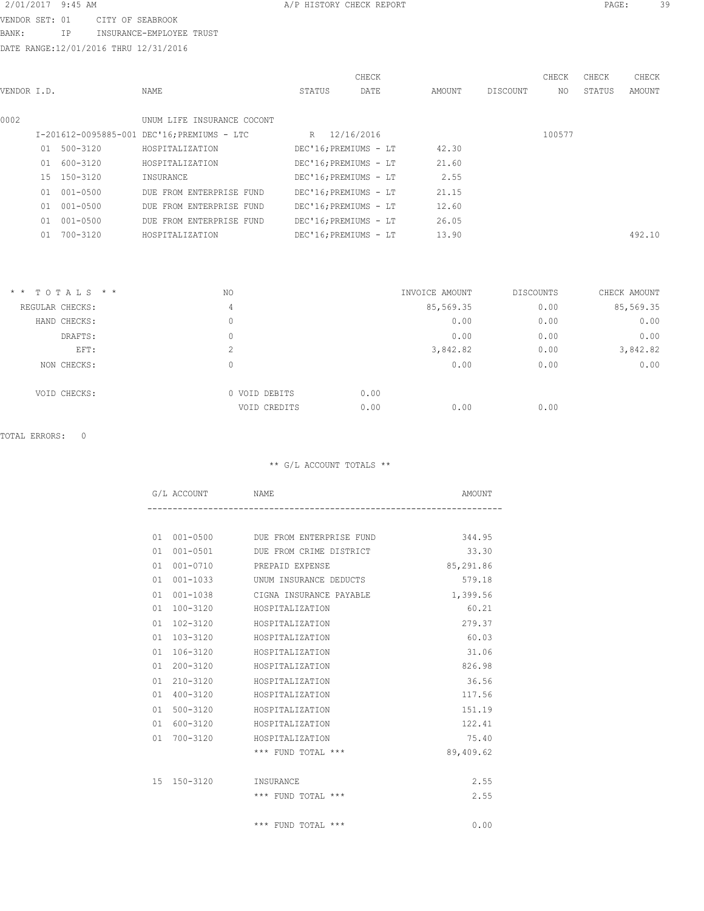VENDOR SET: 01 CITY OF SEABROOK BANK: IP INSURANCE-EMPLOYEE TRUST

DATE RANGE:12/01/2016 THRU 12/31/2016

|             |    |              |                                             |        | CHECK                 |        |          | CHECK  | CHECK  | CHECK  |
|-------------|----|--------------|---------------------------------------------|--------|-----------------------|--------|----------|--------|--------|--------|
| VENDOR I.D. |    |              | NAME                                        | STATUS | DATE                  | AMOUNT | DISCOUNT | NO.    | STATUS | AMOUNT |
|             |    |              |                                             |        |                       |        |          |        |        |        |
| 0002        |    |              | UNUM LIFE INSURANCE COCONT                  |        |                       |        |          |        |        |        |
|             |    |              | I-201612-0095885-001 DEC'16; PREMIUMS - LTC |        | R 12/16/2016          |        |          | 100577 |        |        |
|             | 01 | $500 - 3120$ | HOSPITALIZATION                             |        | DEC'16; PREMIUMS - LT | 42.30  |          |        |        |        |
|             |    | 01 600-3120  | HOSPITALIZATION                             |        | DEC'16; PREMIUMS - LT | 21.60  |          |        |        |        |
|             |    | 15 150-3120  | INSURANCE                                   |        | DEC'16; PREMIUMS - LT | 2.55   |          |        |        |        |
|             | 01 | $001 - 0500$ | DUE FROM ENTERPRISE FUND                    |        | DEC'16; PREMIUMS - LT | 21.15  |          |        |        |        |
|             | 01 | 001-0500     | DUE FROM ENTERPRISE FUND                    |        | DEC'16; PREMIUMS - LT | 12.60  |          |        |        |        |
|             | 01 | $001 - 0500$ | DUE FROM ENTERPRISE FUND                    |        | DEC'16; PREMIUMS - LT | 26.05  |          |        |        |        |
|             | 01 | 700-3120     | HOSPITALIZATION                             |        | DEC'16; PREMIUMS - LT | 13.90  |          |        |        | 492.10 |
|             |    |              |                                             |        |                       |        |          |        |        |        |

| $*$ * TOTALS * * | NO            | INVOICE AMOUNT | <b>DISCOUNTS</b> | CHECK AMOUNT |
|------------------|---------------|----------------|------------------|--------------|
| REGULAR CHECKS:  | 4             | 85,569.35      | 0.00             | 85,569.35    |
| HAND CHECKS:     | 0             | 0.00           | 0.00             | 0.00         |
| DRAFTS:          | 0             | 0.00           | 0.00             | 0.00         |
| EFT:             | $\sim$<br>∠   | 3,842.82       | 0.00             | 3,842.82     |
| NON CHECKS:      | 0             | 0.00           | 0.00             | 0.00         |
| VOID CHECKS:     | 0 VOID DEBITS | 0.00           |                  |              |
|                  | VOID CREDITS  | 0.00<br>0.00   | 0.00             |              |

# TOTAL ERRORS: 0

|    | G/L ACCOUNT NAME      |                                             | AMOUNT    |
|----|-----------------------|---------------------------------------------|-----------|
|    |                       |                                             |           |
|    |                       | 01 001-0500 DUE FROM ENTERPRISE FUND 344.95 |           |
| 01 |                       | 001-0501 DUE FROM CRIME DISTRICT            | 33.30     |
| 01 |                       | 001-0710 PREPAID EXPENSE                    | 85,291.86 |
| 01 | $001 - 1033$          | UNUM INSURANCE DEDUCTS                      | 579.18    |
| 01 | $001 - 1038$          | CIGNA INSURANCE PAYABLE                     | 1,399.56  |
| 01 | 100-3120              | HOSPITALIZATION                             | 60.21     |
| 01 | 102-3120              | HOSPITALIZATION                             | 279.37    |
| 01 | 103-3120              | HOSPITALIZATION                             | 60.03     |
| 01 | $106 - 3120$          | HOSPITALIZATION                             | 31.06     |
| 01 |                       | 200-3120 HOSPITALIZATION                    | 826.98    |
| 01 | $210 - 3120$          | HOSPITALIZATION                             | 36.56     |
| 01 | 400-3120              | HOSPITALIZATION                             | 117.56    |
| 01 | $500 - 3120$          | HOSPITALIZATION                             | 151.19    |
| 01 |                       | 600-3120 HOSPITALIZATION                    | 122.41    |
| 01 | 700-3120              | HOSPITALIZATION                             | 75.40     |
|    |                       | $***$ FUND TOTAL $***$                      | 89,409.62 |
|    |                       |                                             |           |
|    | 15 150-3120 INSURANCE |                                             | 2.55      |
|    |                       | $***$ FUND TOTAL $***$                      | 2.55      |
|    |                       |                                             |           |
|    |                       | $***$ FUND TOTAL $***$                      | 0.00      |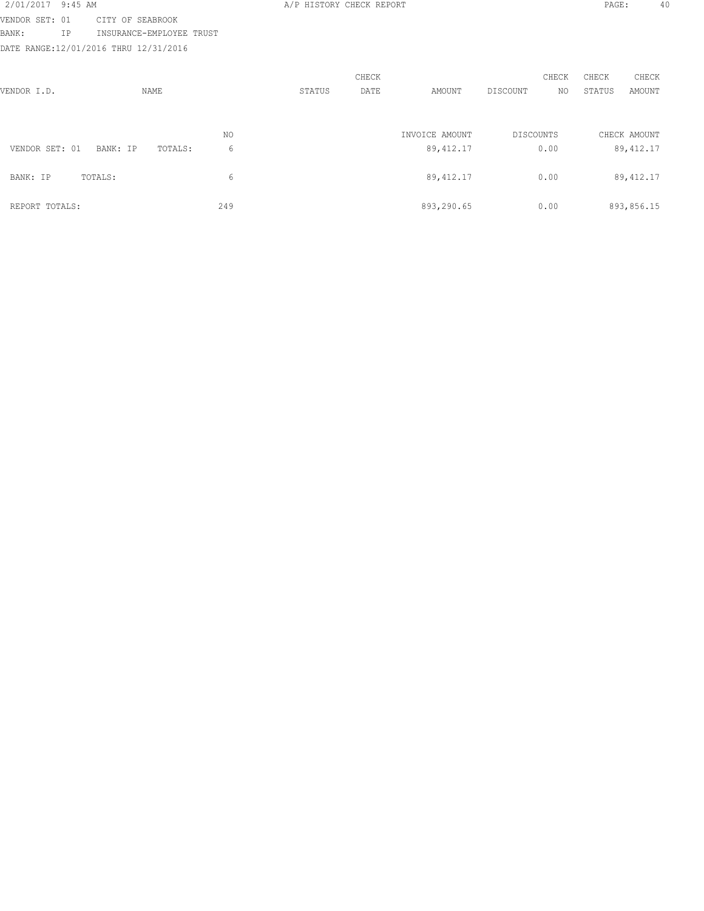| 2/01/2017      | 9:45 AM |                                       |     |        | A/P HISTORY CHECK REPORT |                |                  |       | PAGE:  |              | 40 |
|----------------|---------|---------------------------------------|-----|--------|--------------------------|----------------|------------------|-------|--------|--------------|----|
| VENDOR SET: 01 |         | CITY OF SEABROOK                      |     |        |                          |                |                  |       |        |              |    |
| BANK:          | ΙP      | INSURANCE-EMPLOYEE TRUST              |     |        |                          |                |                  |       |        |              |    |
|                |         | DATE RANGE:12/01/2016 THRU 12/31/2016 |     |        |                          |                |                  |       |        |              |    |
|                |         |                                       |     |        |                          |                |                  |       |        |              |    |
|                |         |                                       |     |        | CHECK                    |                |                  | CHECK | CHECK  | CHECK        |    |
| VENDOR I.D.    |         | NAME                                  |     | STATUS | DATE                     | AMOUNT         | DISCOUNT         | NO.   | STATUS | AMOUNT       |    |
|                |         |                                       |     |        |                          |                |                  |       |        |              |    |
|                |         |                                       |     |        |                          |                |                  |       |        |              |    |
|                |         |                                       | NO. |        |                          | INVOICE AMOUNT | <b>DISCOUNTS</b> |       |        | CHECK AMOUNT |    |
| VENDOR SET: 01 |         | BANK: IP<br>TOTALS:                   | 6   |        |                          | 89, 412.17     |                  | 0.00  |        | 89, 412.17   |    |
|                |         |                                       |     |        |                          |                |                  |       |        |              |    |
| BANK: IP       |         | TOTALS:                               | 6   |        |                          | 89, 412.17     |                  | 0.00  |        | 89, 412.17   |    |
|                |         |                                       |     |        |                          |                |                  |       |        |              |    |
| REPORT TOTALS: |         |                                       | 249 |        |                          | 893,290.65     |                  | 0.00  |        | 893,856.15   |    |
|                |         |                                       |     |        |                          |                |                  |       |        |              |    |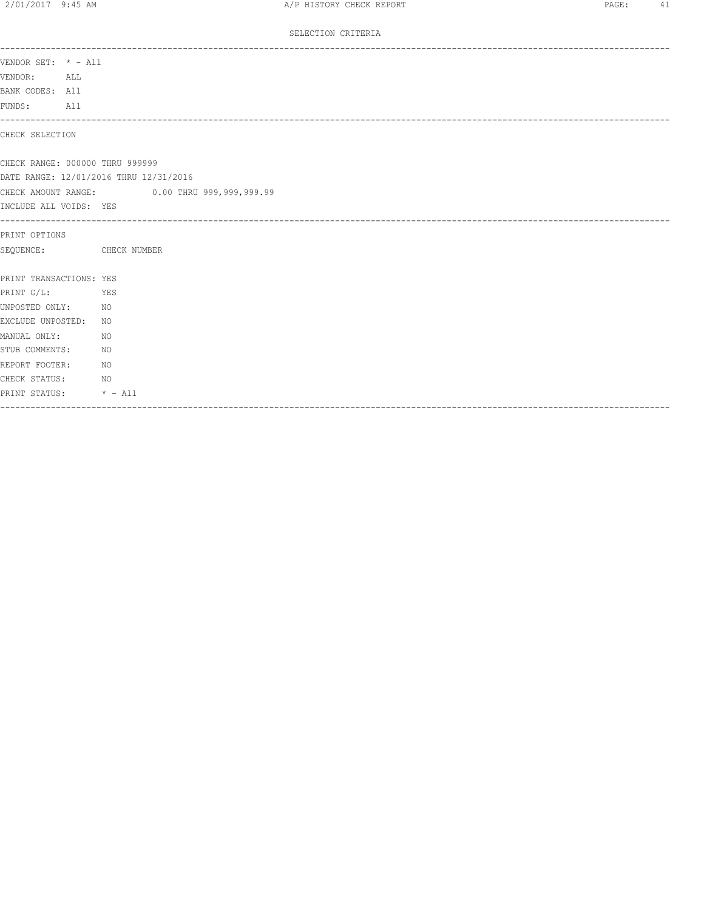# SELECTION CRITERIA

| VENDOR SET: * - All             |                                              |
|---------------------------------|----------------------------------------------|
| VENDOR: ALL                     |                                              |
| BANK CODES: All                 |                                              |
| FUNDS: All                      |                                              |
| CHECK SELECTION                 |                                              |
| CHECK RANGE: 000000 THRU 999999 |                                              |
|                                 | DATE RANGE: 12/01/2016 THRU 12/31/2016       |
|                                 | CHECK AMOUNT RANGE: 0.00 THRU 999,999,999.99 |
| INCLUDE ALL VOIDS: YES          |                                              |
| PRINT OPTIONS                   |                                              |
| SEQUENCE: CHECK NUMBER          |                                              |
| PRINT TRANSACTIONS: YES         |                                              |
| PRINT G/L:                      | <b>YES</b>                                   |
| UNPOSTED ONLY: NO               |                                              |
| EXCLUDE UNPOSTED: NO            |                                              |
| MANUAL ONLY:                    | NO                                           |
| STUB COMMENTS:                  | NO.                                          |
| REPORT FOOTER:                  | NO <sub>N</sub>                              |
| CHECK STATUS:                   | NO <sub>N</sub>                              |
| PRINT STATUS: * - All           |                                              |
|                                 |                                              |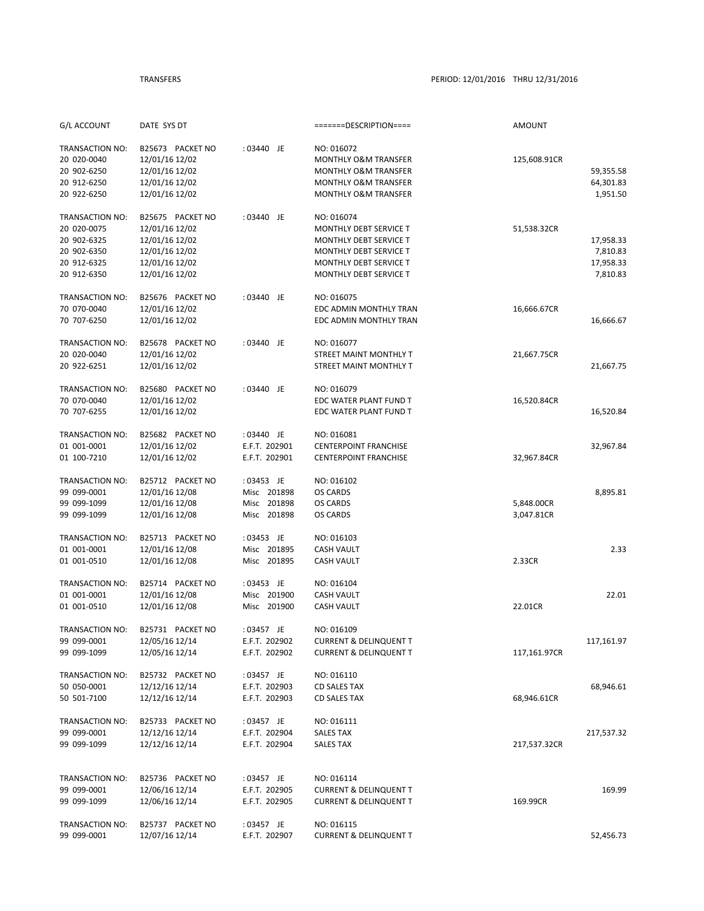| G/L ACCOUNT            | DATE SYS DT      |               | =======DESCRIPTION====            | AMOUNT       |            |
|------------------------|------------------|---------------|-----------------------------------|--------------|------------|
|                        |                  |               |                                   |              |            |
| TRANSACTION NO:        | B25673 PACKET NO | : 03440 JE    | NO: 016072                        |              |            |
| 20 020-0040            | 12/01/16 12/02   |               | <b>MONTHLY O&amp;M TRANSFER</b>   | 125,608.91CR |            |
| 20 902-6250            | 12/01/16 12/02   |               | <b>MONTHLY O&amp;M TRANSFER</b>   |              | 59,355.58  |
| 20 912-6250            | 12/01/16 12/02   |               | MONTHLY O&M TRANSFER              |              | 64,301.83  |
| 20 922-6250            | 12/01/16 12/02   |               | <b>MONTHLY O&amp;M TRANSFER</b>   |              | 1,951.50   |
| TRANSACTION NO:        | B25675 PACKET NO | : 03440 JE    | NO: 016074                        |              |            |
| 20 020-0075            | 12/01/16 12/02   |               | MONTHLY DEBT SERVICE T            | 51,538.32CR  |            |
| 20 902-6325            | 12/01/16 12/02   |               | <b>MONTHLY DEBT SERVICE T</b>     |              | 17,958.33  |
| 20 902-6350            | 12/01/16 12/02   |               | MONTHLY DEBT SERVICE T            |              | 7,810.83   |
| 20 912-6325            | 12/01/16 12/02   |               | MONTHLY DEBT SERVICE T            |              | 17,958.33  |
| 20 912-6350            | 12/01/16 12/02   |               | <b>MONTHLY DEBT SERVICE T</b>     |              | 7,810.83   |
|                        |                  |               |                                   |              |            |
| TRANSACTION NO:        | B25676 PACKET NO | : 03440 JE    | NO: 016075                        |              |            |
| 70 070-0040            | 12/01/16 12/02   |               | EDC ADMIN MONTHLY TRAN            | 16,666.67CR  |            |
| 70 707-6250            | 12/01/16 12/02   |               | EDC ADMIN MONTHLY TRAN            |              | 16,666.67  |
| TRANSACTION NO:        | B25678 PACKET NO | : 03440 JE    | NO: 016077                        |              |            |
| 20 020-0040            | 12/01/16 12/02   |               | STREET MAINT MONTHLY T            | 21,667.75CR  |            |
| 20 922-6251            | 12/01/16 12/02   |               | STREET MAINT MONTHLY T            |              | 21,667.75  |
| TRANSACTION NO:        | B25680 PACKET NO | : 03440 JE    | NO: 016079                        |              |            |
| 70 070-0040            | 12/01/16 12/02   |               | EDC WATER PLANT FUND T            | 16,520.84CR  |            |
| 70 707-6255            | 12/01/16 12/02   |               | EDC WATER PLANT FUND T            |              | 16,520.84  |
|                        |                  |               |                                   |              |            |
| TRANSACTION NO:        | B25682 PACKET NO | : 03440 JE    | NO: 016081                        |              |            |
| 01 001-0001            | 12/01/16 12/02   | E.F.T. 202901 | <b>CENTERPOINT FRANCHISE</b>      |              | 32,967.84  |
| 01 100-7210            | 12/01/16 12/02   | E.F.T. 202901 | <b>CENTERPOINT FRANCHISE</b>      | 32,967.84CR  |            |
| TRANSACTION NO:        | B25712 PACKET NO | : 03453 JE    | NO: 016102                        |              |            |
| 99 099-0001            | 12/01/16 12/08   | Misc 201898   | OS CARDS                          |              | 8,895.81   |
| 99 099-1099            | 12/01/16 12/08   | Misc 201898   | OS CARDS                          | 5,848.00CR   |            |
| 99 099-1099            | 12/01/16 12/08   | Misc 201898   | OS CARDS                          | 3,047.81CR   |            |
|                        |                  |               |                                   |              |            |
| TRANSACTION NO:        | B25713 PACKET NO | : 03453 JE    | NO: 016103                        |              |            |
| 01 001-0001            | 12/01/16 12/08   | Misc 201895   | <b>CASH VAULT</b>                 |              | 2.33       |
| 01 001-0510            | 12/01/16 12/08   | Misc 201895   | <b>CASH VAULT</b>                 | 2.33CR       |            |
| TRANSACTION NO:        | B25714 PACKET NO | : 03453 JE    | NO: 016104                        |              |            |
| 01 001-0001            | 12/01/16 12/08   | Misc 201900   | <b>CASH VAULT</b>                 |              | 22.01      |
| 01 001-0510            | 12/01/16 12/08   | Misc 201900   | <b>CASH VAULT</b>                 | 22.01CR      |            |
| <b>TRANSACTION NO:</b> | B25731 PACKET NO | : 03457 JE    | NO: 016109                        |              |            |
| 99 099-0001            | 12/05/16 12/14   | E.F.T. 202902 | <b>CURRENT &amp; DELINQUENT T</b> |              | 117,161.97 |
| 99 099-1099            | 12/05/16 12/14   | E.F.T. 202902 | <b>CURRENT &amp; DELINQUENT T</b> | 117,161.97CR |            |
|                        |                  |               |                                   |              |            |
| TRANSACTION NO:        | B25732 PACKET NO | : 03457 JE    | NO: 016110                        |              |            |
| 50 050-0001            | 12/12/16 12/14   | E.F.T. 202903 | CD SALES TAX                      |              | 68,946.61  |
| 50 501-7100            | 12/12/16 12/14   | E.F.T. 202903 | <b>CD SALES TAX</b>               | 68,946.61CR  |            |
| TRANSACTION NO:        | B25733 PACKET NO | : 03457 JE    | NO: 016111                        |              |            |
| 99 099-0001            | 12/12/16 12/14   | E.F.T. 202904 | SALES TAX                         |              | 217,537.32 |
| 99 099-1099            | 12/12/16 12/14   | E.F.T. 202904 | <b>SALES TAX</b>                  | 217,537.32CR |            |
|                        |                  |               |                                   |              |            |
|                        |                  |               |                                   |              |            |
| TRANSACTION NO:        | B25736 PACKET NO | : 03457 JE    | NO: 016114                        |              |            |
| 99 099-0001            | 12/06/16 12/14   | E.F.T. 202905 | <b>CURRENT &amp; DELINQUENT T</b> |              | 169.99     |
| 99 099-1099            | 12/06/16 12/14   | E.F.T. 202905 | <b>CURRENT &amp; DELINQUENT T</b> | 169.99CR     |            |
| TRANSACTION NO:        | B25737 PACKET NO | : 03457 JE    | NO: 016115                        |              |            |
| 99 099-0001            | 12/07/16 12/14   | E.F.T. 202907 | <b>CURRENT &amp; DELINQUENT T</b> |              | 52,456.73  |
|                        |                  |               |                                   |              |            |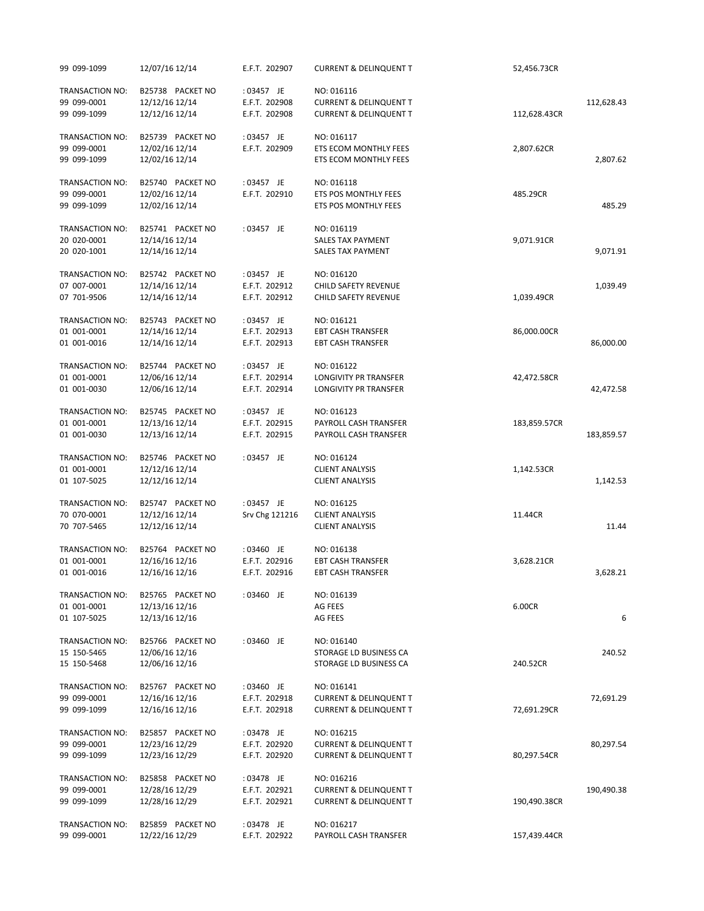|            | 52,456.73CR  | <b>CURRENT &amp; DELINQUENT T</b>                                                    | E.F.T. 202907                                | 12/07/16 12/14                                       | 99 099-1099                                   |
|------------|--------------|--------------------------------------------------------------------------------------|----------------------------------------------|------------------------------------------------------|-----------------------------------------------|
| 112,628.43 | 112,628.43CR | NO: 016116<br><b>CURRENT &amp; DELINQUENT T</b><br><b>CURRENT &amp; DELINQUENT T</b> | : 03457 JE<br>E.F.T. 202908<br>E.F.T. 202908 | B25738 PACKET NO<br>12/12/16 12/14<br>12/12/16 12/14 | TRANSACTION NO:<br>99 099-0001<br>99 099-1099 |
| 2,807.62   | 2,807.62CR   | NO: 016117<br><b>ETS ECOM MONTHLY FEES</b><br>ETS ECOM MONTHLY FEES                  | : 03457 JE<br>E.F.T. 202909                  | B25739 PACKET NO<br>12/02/16 12/14<br>12/02/16 12/14 | TRANSACTION NO:<br>99 099-0001<br>99 099-1099 |
| 485.29     | 485.29CR     | NO: 016118<br>ETS POS MONTHLY FEES<br>ETS POS MONTHLY FEES                           | : 03457 JE<br>E.F.T. 202910                  | B25740 PACKET NO<br>12/02/16 12/14<br>12/02/16 12/14 | TRANSACTION NO:<br>99 099-0001<br>99 099-1099 |
| 9,071.91   | 9,071.91CR   | NO: 016119<br>SALES TAX PAYMENT<br><b>SALES TAX PAYMENT</b>                          | : 03457 JE                                   | B25741 PACKET NO<br>12/14/16 12/14<br>12/14/16 12/14 | TRANSACTION NO:<br>20 020-0001<br>20 020-1001 |
| 1,039.49   | 1,039.49CR   | NO: 016120<br>CHILD SAFETY REVENUE<br><b>CHILD SAFETY REVENUE</b>                    | : 03457 JE<br>E.F.T. 202912<br>E.F.T. 202912 | B25742 PACKET NO<br>12/14/16 12/14<br>12/14/16 12/14 | TRANSACTION NO:<br>07 007-0001<br>07 701-9506 |
| 86,000.00  | 86,000.00CR  | NO: 016121<br><b>EBT CASH TRANSFER</b><br><b>EBT CASH TRANSFER</b>                   | : 03457 JE<br>E.F.T. 202913<br>E.F.T. 202913 | B25743 PACKET NO<br>12/14/16 12/14<br>12/14/16 12/14 | TRANSACTION NO:<br>01 001-0001<br>01 001-0016 |
| 42,472.58  | 42,472.58CR  | NO: 016122<br>LONGIVITY PR TRANSFER<br>LONGIVITY PR TRANSFER                         | : 03457 JE<br>E.F.T. 202914<br>E.F.T. 202914 | B25744 PACKET NO<br>12/06/16 12/14<br>12/06/16 12/14 | TRANSACTION NO:<br>01 001-0001<br>01 001-0030 |
| 183,859.57 | 183,859.57CR | NO: 016123<br>PAYROLL CASH TRANSFER<br>PAYROLL CASH TRANSFER                         | : 03457 JE<br>E.F.T. 202915<br>E.F.T. 202915 | B25745 PACKET NO<br>12/13/16 12/14<br>12/13/16 12/14 | TRANSACTION NO:<br>01 001-0001<br>01 001-0030 |
| 1,142.53   | 1,142.53CR   | NO: 016124<br><b>CLIENT ANALYSIS</b><br><b>CLIENT ANALYSIS</b>                       | : 03457 JE                                   | B25746 PACKET NO<br>12/12/16 12/14<br>12/12/16 12/14 | TRANSACTION NO:<br>01 001-0001<br>01 107-5025 |
| 11.44      | 11.44CR      | NO: 016125<br><b>CLIENT ANALYSIS</b><br><b>CLIENT ANALYSIS</b>                       | : 03457 JE<br>Srv Chg 121216                 | B25747 PACKET NO<br>12/12/16 12/14<br>12/12/16 12/14 | TRANSACTION NO:<br>70 070-0001<br>70 707-5465 |
| 3,628.21   | 3,628.21CR   | NO: 016138<br><b>EBT CASH TRANSFER</b><br><b>EBT CASH TRANSFER</b>                   | : 03460 JE<br>E.F.T. 202916<br>E.F.T. 202916 | B25764 PACKET NO<br>12/16/16 12/16<br>12/16/16 12/16 | TRANSACTION NO:<br>01 001-0001<br>01 001-0016 |
| 6          | 6.00CR       | NO: 016139<br>AG FEES<br>AG FEES                                                     | : 03460 JE                                   | B25765 PACKET NO<br>12/13/16 12/16<br>12/13/16 12/16 | TRANSACTION NO:<br>01 001-0001<br>01 107-5025 |
| 240.52     | 240.52CR     | NO: 016140<br>STORAGE LD BUSINESS CA<br>STORAGE LD BUSINESS CA                       | : 03460 JE                                   | B25766 PACKET NO<br>12/06/16 12/16<br>12/06/16 12/16 | TRANSACTION NO:<br>15 150-5465<br>15 150-5468 |
| 72,691.29  | 72,691.29CR  | NO: 016141<br><b>CURRENT &amp; DELINQUENT T</b><br><b>CURRENT &amp; DELINQUENT T</b> | : 03460 JE<br>E.F.T. 202918<br>E.F.T. 202918 | B25767 PACKET NO<br>12/16/16 12/16<br>12/16/16 12/16 | TRANSACTION NO:<br>99 099-0001<br>99 099-1099 |
| 80,297.54  | 80,297.54CR  | NO: 016215<br><b>CURRENT &amp; DELINQUENT T</b><br><b>CURRENT &amp; DELINQUENT T</b> | : 03478 JE<br>E.F.T. 202920<br>E.F.T. 202920 | B25857 PACKET NO<br>12/23/16 12/29<br>12/23/16 12/29 | TRANSACTION NO:<br>99 099-0001<br>99 099-1099 |
| 190,490.38 | 190,490.38CR | NO: 016216<br><b>CURRENT &amp; DELINQUENT T</b><br><b>CURRENT &amp; DELINQUENT T</b> | : 03478 JE<br>E.F.T. 202921<br>E.F.T. 202921 | B25858 PACKET NO<br>12/28/16 12/29<br>12/28/16 12/29 | TRANSACTION NO:<br>99 099-0001<br>99 099-1099 |
|            | 157,439.44CR | NO: 016217<br>PAYROLL CASH TRANSFER                                                  | : 03478 JE<br>E.F.T. 202922                  | B25859 PACKET NO<br>12/22/16 12/29                   | TRANSACTION NO:<br>99 099-0001                |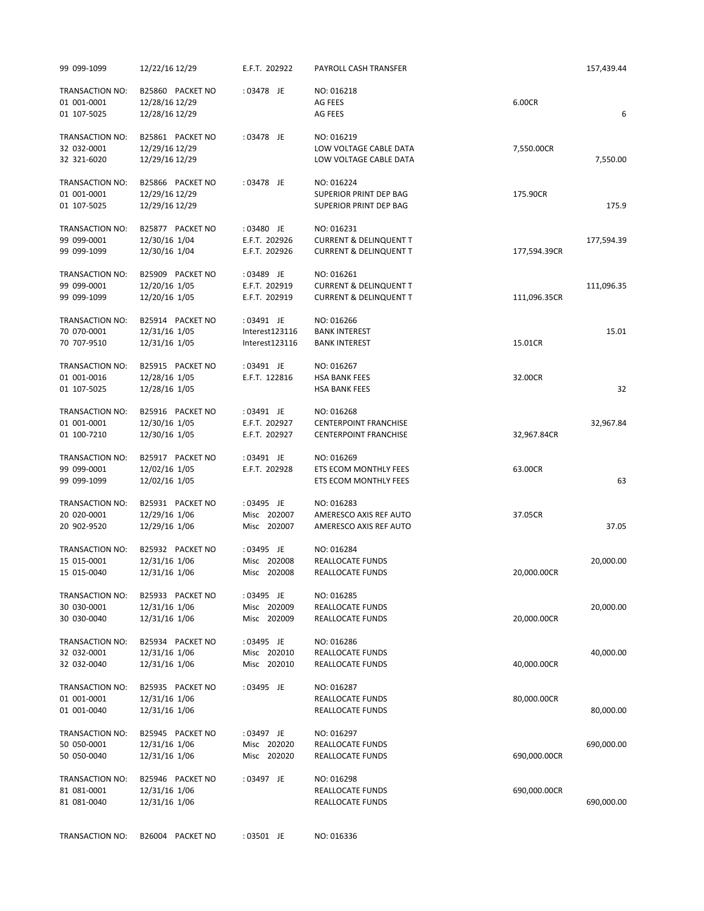| 99 099-1099                                   | 12/22/16 12/29                                       | E.F.T. 202922  | PAYROLL CASH TRANSFER                                          |              | 157,439.44 |
|-----------------------------------------------|------------------------------------------------------|----------------|----------------------------------------------------------------|--------------|------------|
| TRANSACTION NO:<br>01 001-0001                | B25860 PACKET NO<br>12/28/16 12/29                   | : 03478 JE     | NO: 016218<br>AG FEES                                          | 6.00CR       |            |
| 01 107-5025                                   | 12/28/16 12/29                                       |                | AG FEES                                                        |              | 6          |
| TRANSACTION NO:<br>32 032-0001<br>32 321-6020 | B25861 PACKET NO<br>12/29/16 12/29<br>12/29/16 12/29 | : 03478 JE     | NO: 016219<br>LOW VOLTAGE CABLE DATA<br>LOW VOLTAGE CABLE DATA | 7,550.00CR   | 7,550.00   |
| TRANSACTION NO:                               | B25866 PACKET NO                                     | : 03478 JE     | NO: 016224                                                     |              |            |
| 01 001-0001<br>01 107-5025                    | 12/29/16 12/29<br>12/29/16 12/29                     |                | <b>SUPERIOR PRINT DEP BAG</b><br>SUPERIOR PRINT DEP BAG        | 175.90CR     | 175.9      |
| TRANSACTION NO:                               | B25877 PACKET NO                                     | : 03480 JE     | NO: 016231                                                     |              |            |
| 99 099-0001                                   | 12/30/16 1/04                                        | E.F.T. 202926  | <b>CURRENT &amp; DELINQUENT T</b>                              |              | 177,594.39 |
| 99 099-1099                                   | 12/30/16 1/04                                        | E.F.T. 202926  | <b>CURRENT &amp; DELINQUENT T</b>                              | 177,594.39CR |            |
| TRANSACTION NO:                               | B25909 PACKET NO                                     | : 03489 JE     | NO: 016261                                                     |              |            |
| 99 099-0001                                   | 12/20/16 1/05                                        | E.F.T. 202919  | <b>CURRENT &amp; DELINQUENT T</b>                              |              | 111,096.35 |
| 99 099-1099                                   | 12/20/16 1/05                                        | E.F.T. 202919  | <b>CURRENT &amp; DELINQUENT T</b>                              | 111,096.35CR |            |
| TRANSACTION NO:                               | B25914 PACKET NO                                     | : 03491 JE     | NO: 016266                                                     |              |            |
| 70 070-0001                                   | 12/31/16 1/05                                        | Interest123116 | <b>BANK INTEREST</b>                                           |              | 15.01      |
| 70 707-9510                                   | 12/31/16 1/05                                        | Interest123116 | <b>BANK INTEREST</b>                                           | 15.01CR      |            |
| TRANSACTION NO:                               | B25915 PACKET NO                                     | : 03491 JE     | NO: 016267                                                     |              |            |
| 01 001-0016                                   | 12/28/16 1/05                                        | E.F.T. 122816  | <b>HSA BANK FEES</b>                                           | 32.00CR      |            |
| 01 107-5025                                   | 12/28/16 1/05                                        |                | <b>HSA BANK FEES</b>                                           |              | 32         |
| <b>TRANSACTION NO:</b>                        | B25916 PACKET NO                                     | : 03491 JE     | NO: 016268                                                     |              |            |
| 01 001-0001                                   | 12/30/16 1/05                                        | E.F.T. 202927  | <b>CENTERPOINT FRANCHISE</b>                                   |              | 32,967.84  |
| 01 100-7210                                   | 12/30/16 1/05                                        | E.F.T. 202927  | <b>CENTERPOINT FRANCHISE</b>                                   | 32,967.84CR  |            |
| TRANSACTION NO:                               | B25917 PACKET NO                                     | : 03491 JE     | NO: 016269                                                     |              |            |
| 99 099-0001                                   | 12/02/16 1/05                                        | E.F.T. 202928  | ETS ECOM MONTHLY FEES                                          | 63.00CR      |            |
| 99 099-1099                                   | 12/02/16 1/05                                        |                | ETS ECOM MONTHLY FEES                                          |              | 63         |
| <b>TRANSACTION NO:</b>                        | B25931 PACKET NO                                     | : 03495 JE     | NO: 016283                                                     |              |            |
| 20 020-0001                                   | 12/29/16 1/06                                        | Misc 202007    | AMERESCO AXIS REF AUTO                                         | 37.05CR      |            |
| 20 902-9520                                   | 12/29/16 1/06                                        | Misc 202007    | AMERESCO AXIS REF AUTO                                         |              | 37.05      |
| TRANSACTION NO:                               | B25932 PACKET NO                                     | : 03495 JE     | NO: 016284                                                     |              |            |
| 15 015-0001                                   | 12/31/16 1/06                                        | Misc 202008    | REALLOCATE FUNDS                                               |              | 20,000.00  |
| 15 015-0040                                   | 12/31/16 1/06                                        | Misc 202008    | REALLOCATE FUNDS                                               | 20,000.00CR  |            |
| TRANSACTION NO:                               | B25933 PACKET NO                                     | : 03495 JE     | NO: 016285                                                     |              |            |
| 30 030-0001                                   | 12/31/16 1/06                                        | Misc 202009    | REALLOCATE FUNDS                                               |              | 20,000.00  |
| 30 030-0040                                   | 12/31/16 1/06                                        | Misc 202009    | REALLOCATE FUNDS                                               | 20,000.00CR  |            |
| TRANSACTION NO:                               | B25934 PACKET NO                                     | : 03495 JE     | NO: 016286                                                     |              |            |
| 32 032-0001                                   | 12/31/16 1/06                                        | Misc 202010    | <b>REALLOCATE FUNDS</b>                                        |              | 40,000.00  |
| 32 032-0040                                   | 12/31/16 1/06                                        | Misc 202010    | REALLOCATE FUNDS                                               | 40,000.00CR  |            |
| TRANSACTION NO:                               | B25935 PACKET NO                                     | : 03495 JE     | NO: 016287                                                     |              |            |
| 01 001-0001                                   | 12/31/16 1/06                                        |                | REALLOCATE FUNDS                                               | 80,000.00CR  |            |
| 01 001-0040                                   | 12/31/16 1/06                                        |                | REALLOCATE FUNDS                                               |              | 80,000.00  |
| TRANSACTION NO:                               | B25945 PACKET NO                                     | : 03497 JE     | NO: 016297                                                     |              |            |
| 50 050-0001                                   | 12/31/16 1/06                                        | Misc 202020    | REALLOCATE FUNDS                                               |              | 690,000.00 |
| 50 050-0040                                   | 12/31/16 1/06                                        | Misc 202020    | REALLOCATE FUNDS                                               | 690,000.00CR |            |
| TRANSACTION NO:                               | B25946 PACKET NO                                     | : 03497 JE     | NO: 016298                                                     |              |            |
| 81 081-0001                                   | 12/31/16 1/06                                        |                | REALLOCATE FUNDS                                               | 690,000.00CR |            |
| 81 081-0040                                   | 12/31/16 1/06                                        |                | REALLOCATE FUNDS                                               |              | 690,000.00 |
|                                               |                                                      |                |                                                                |              |            |
| TRANSACTION NO:                               | B26004 PACKET NO                                     | : 03501 JE     | NO: 016336                                                     |              |            |